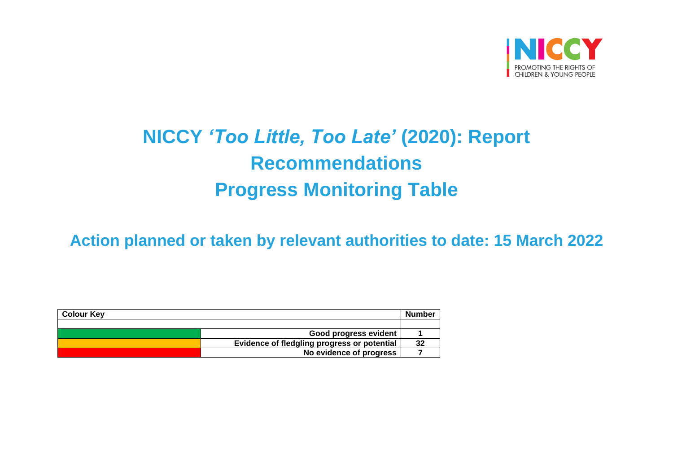

## **NICCY** *'Too Little, Too Late'* **(2020): Report Recommendations Progress Monitoring Table**

**Action planned or taken by relevant authorities to date: 15 March 2022**

| <b>Colour Key</b> |                                             | Number |
|-------------------|---------------------------------------------|--------|
|                   |                                             |        |
|                   | Good progress evident                       |        |
|                   | Evidence of fledgling progress or potential | 32     |
|                   | No evidence of progress                     |        |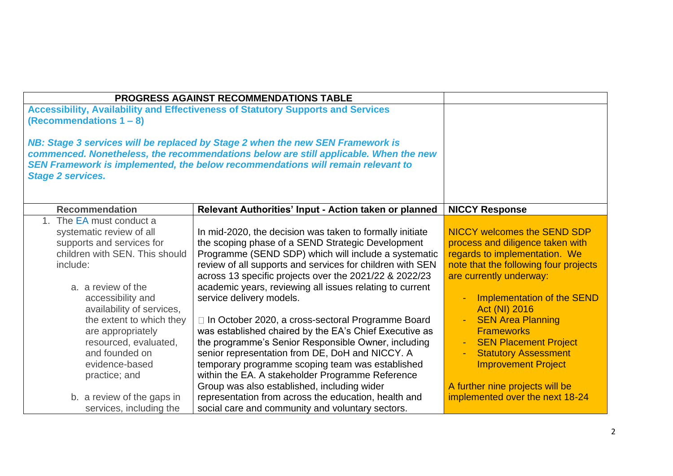|                                                                                                                                                                                                                                                                                                                                                                      | <b>PROGRESS AGAINST RECOMMENDATIONS TABLE</b>                                                                                                                                                                                                                                                                                                                                                                                                                                                                                                                                                                                                                                                                                                                                                                                  |                                                                                                                                                                                                                                                                                                                                                                                                                                                |
|----------------------------------------------------------------------------------------------------------------------------------------------------------------------------------------------------------------------------------------------------------------------------------------------------------------------------------------------------------------------|--------------------------------------------------------------------------------------------------------------------------------------------------------------------------------------------------------------------------------------------------------------------------------------------------------------------------------------------------------------------------------------------------------------------------------------------------------------------------------------------------------------------------------------------------------------------------------------------------------------------------------------------------------------------------------------------------------------------------------------------------------------------------------------------------------------------------------|------------------------------------------------------------------------------------------------------------------------------------------------------------------------------------------------------------------------------------------------------------------------------------------------------------------------------------------------------------------------------------------------------------------------------------------------|
| (Recommendations $1 - 8$ )                                                                                                                                                                                                                                                                                                                                           | <b>Accessibility, Availability and Effectiveness of Statutory Supports and Services</b>                                                                                                                                                                                                                                                                                                                                                                                                                                                                                                                                                                                                                                                                                                                                        |                                                                                                                                                                                                                                                                                                                                                                                                                                                |
| <b>Stage 2 services.</b>                                                                                                                                                                                                                                                                                                                                             | NB: Stage 3 services will be replaced by Stage 2 when the new SEN Framework is<br>commenced. Nonetheless, the recommendations below are still applicable. When the new<br>SEN Framework is implemented, the below recommendations will remain relevant to                                                                                                                                                                                                                                                                                                                                                                                                                                                                                                                                                                      |                                                                                                                                                                                                                                                                                                                                                                                                                                                |
| <b>Recommendation</b>                                                                                                                                                                                                                                                                                                                                                | Relevant Authorities' Input - Action taken or planned                                                                                                                                                                                                                                                                                                                                                                                                                                                                                                                                                                                                                                                                                                                                                                          | <b>NICCY Response</b>                                                                                                                                                                                                                                                                                                                                                                                                                          |
| 1. The EA must conduct a<br>systematic review of all<br>supports and services for<br>children with SEN. This should<br>include:<br>a. a review of the<br>accessibility and<br>availability of services,<br>the extent to which they<br>are appropriately<br>resourced, evaluated,<br>and founded on<br>evidence-based<br>practice; and<br>b. a review of the gaps in | In mid-2020, the decision was taken to formally initiate<br>the scoping phase of a SEND Strategic Development<br>Programme (SEND SDP) which will include a systematic<br>review of all supports and services for children with SEN<br>across 13 specific projects over the 2021/22 & 2022/23<br>academic years, reviewing all issues relating to current<br>service delivery models.<br>□ In October 2020, a cross-sectoral Programme Board<br>was established chaired by the EA's Chief Executive as<br>the programme's Senior Responsible Owner, including<br>senior representation from DE, DoH and NICCY. A<br>temporary programme scoping team was established<br>within the EA. A stakeholder Programme Reference<br>Group was also established, including wider<br>representation from across the education, health and | <b>NICCY welcomes the SEND SDP</b><br>process and diligence taken with<br>regards to implementation. We<br>note that the following four projects<br>are currently underway:<br>Implementation of the SEND<br>Act (NI) 2016<br><b>SEN Area Planning</b><br><b>Frameworks</b><br><b>SEN Placement Project</b><br><b>Statutory Assessment</b><br><b>Improvement Project</b><br>A further nine projects will be<br>implemented over the next 18-24 |
| services, including the                                                                                                                                                                                                                                                                                                                                              | social care and community and voluntary sectors.                                                                                                                                                                                                                                                                                                                                                                                                                                                                                                                                                                                                                                                                                                                                                                               |                                                                                                                                                                                                                                                                                                                                                                                                                                                |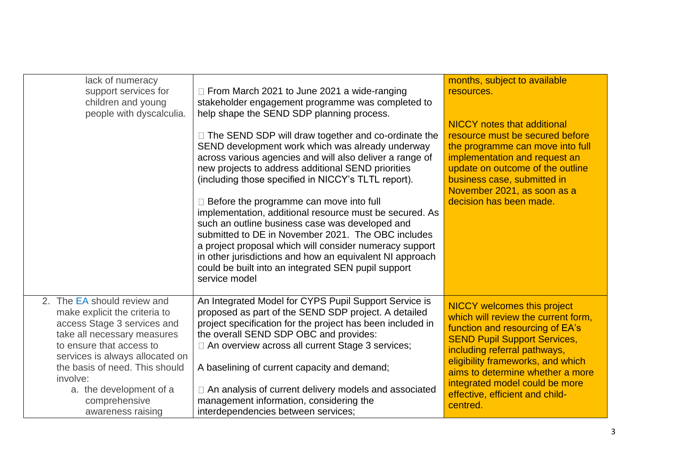| lack of numeracy<br>support services for<br>children and young<br>people with dyscalculia.                                                                                                                                                                                                               | □ From March 2021 to June 2021 a wide-ranging<br>stakeholder engagement programme was completed to<br>help shape the SEND SDP planning process.<br>□ The SEND SDP will draw together and co-ordinate the<br>SEND development work which was already underway<br>across various agencies and will also deliver a range of<br>new projects to address additional SEND priorities<br>(including those specified in NICCY's TLTL report).<br>$\Box$ Before the programme can move into full<br>implementation, additional resource must be secured. As<br>such an outline business case was developed and<br>submitted to DE in November 2021. The OBC includes<br>a project proposal which will consider numeracy support<br>in other jurisdictions and how an equivalent NI approach<br>could be built into an integrated SEN pupil support<br>service model | months, subject to available<br>resources.<br><b>NICCY</b> notes that additional<br>resource must be secured before<br>the programme can move into full<br>implementation and request an<br>update on outcome of the outline<br>business case, submitted in<br>November 2021, as soon as a<br>decision has been made.                         |
|----------------------------------------------------------------------------------------------------------------------------------------------------------------------------------------------------------------------------------------------------------------------------------------------------------|------------------------------------------------------------------------------------------------------------------------------------------------------------------------------------------------------------------------------------------------------------------------------------------------------------------------------------------------------------------------------------------------------------------------------------------------------------------------------------------------------------------------------------------------------------------------------------------------------------------------------------------------------------------------------------------------------------------------------------------------------------------------------------------------------------------------------------------------------------|-----------------------------------------------------------------------------------------------------------------------------------------------------------------------------------------------------------------------------------------------------------------------------------------------------------------------------------------------|
| 2. The EA should review and<br>make explicit the criteria to<br>access Stage 3 services and<br>take all necessary measures<br>to ensure that access to<br>services is always allocated on<br>the basis of need. This should<br>involve:<br>a. the development of a<br>comprehensive<br>awareness raising | An Integrated Model for CYPS Pupil Support Service is<br>proposed as part of the SEND SDP project. A detailed<br>project specification for the project has been included in<br>the overall SEND SDP OBC and provides:<br>□ An overview across all current Stage 3 services;<br>A baselining of current capacity and demand;<br>□ An analysis of current delivery models and associated<br>management information, considering the<br>interdependencies between services;                                                                                                                                                                                                                                                                                                                                                                                   | <b>NICCY welcomes this project</b><br>which will review the current form,<br>function and resourcing of EA's<br><b>SEND Pupil Support Services,</b><br>including referral pathways,<br>eligibility frameworks, and which<br>aims to determine whether a more<br>integrated model could be more<br>effective, efficient and child-<br>centred. |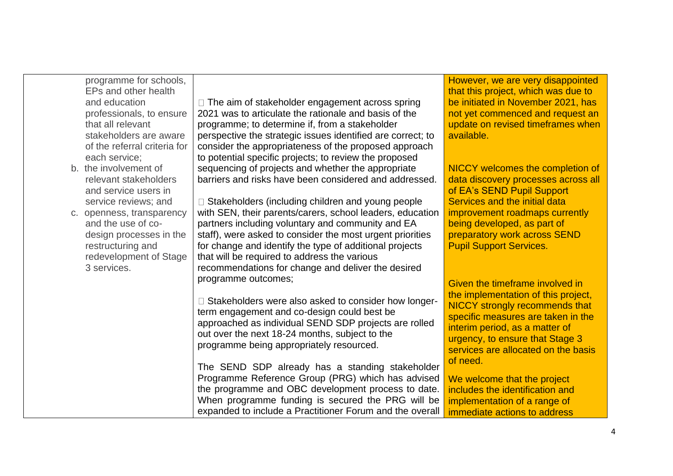|  | programme for schools,<br>EPs and other health |                                                                                                         | However, we are very disappointed<br>that this project, which was due to |
|--|------------------------------------------------|---------------------------------------------------------------------------------------------------------|--------------------------------------------------------------------------|
|  | and education                                  | □ The aim of stakeholder engagement across spring                                                       | be initiated in November 2021, has                                       |
|  | professionals, to ensure                       | 2021 was to articulate the rationale and basis of the                                                   | not yet commenced and request an                                         |
|  | that all relevant                              | programme; to determine if, from a stakeholder                                                          | update on revised timeframes when                                        |
|  | stakeholders are aware                         | perspective the strategic issues identified are correct; to                                             | available.                                                               |
|  | of the referral criteria for                   | consider the appropriateness of the proposed approach                                                   |                                                                          |
|  | each service;                                  | to potential specific projects; to review the proposed                                                  |                                                                          |
|  | b. the involvement of                          | sequencing of projects and whether the appropriate                                                      | NICCY welcomes the completion of                                         |
|  | relevant stakeholders                          | barriers and risks have been considered and addressed.                                                  | data discovery processes across all                                      |
|  | and service users in                           |                                                                                                         | of EA's SEND Pupil Support                                               |
|  | service reviews; and                           | □ Stakeholders (including children and young people                                                     | Services and the initial data                                            |
|  | c. openness, transparency                      | with SEN, their parents/carers, school leaders, education                                               | improvement roadmaps currently                                           |
|  | and the use of co-                             | partners including voluntary and community and EA                                                       | being developed, as part of                                              |
|  | design processes in the                        | staff), were asked to consider the most urgent priorities                                               | preparatory work across SEND<br><b>Pupil Support Services.</b>           |
|  | restructuring and<br>redevelopment of Stage    | for change and identify the type of additional projects<br>that will be required to address the various |                                                                          |
|  | 3 services.                                    | recommendations for change and deliver the desired                                                      |                                                                          |
|  |                                                | programme outcomes;                                                                                     |                                                                          |
|  |                                                |                                                                                                         | Given the timeframe involved in                                          |
|  |                                                | □ Stakeholders were also asked to consider how longer-                                                  | the implementation of this project,                                      |
|  |                                                | term engagement and co-design could best be                                                             | <b>NICCY strongly recommends that</b>                                    |
|  |                                                | approached as individual SEND SDP projects are rolled                                                   | specific measures are taken in the                                       |
|  |                                                | out over the next 18-24 months, subject to the                                                          | interim period, as a matter of<br>urgency, to ensure that Stage 3        |
|  |                                                | programme being appropriately resourced.                                                                | services are allocated on the basis                                      |
|  |                                                |                                                                                                         | of need.                                                                 |
|  |                                                | The SEND SDP already has a standing stakeholder                                                         |                                                                          |
|  |                                                | Programme Reference Group (PRG) which has advised                                                       | We welcome that the project                                              |
|  |                                                | the programme and OBC development process to date.                                                      | includes the identification and                                          |
|  |                                                | When programme funding is secured the PRG will be                                                       | implementation of a range of                                             |
|  |                                                | expanded to include a Practitioner Forum and the overall                                                | immediate actions to address                                             |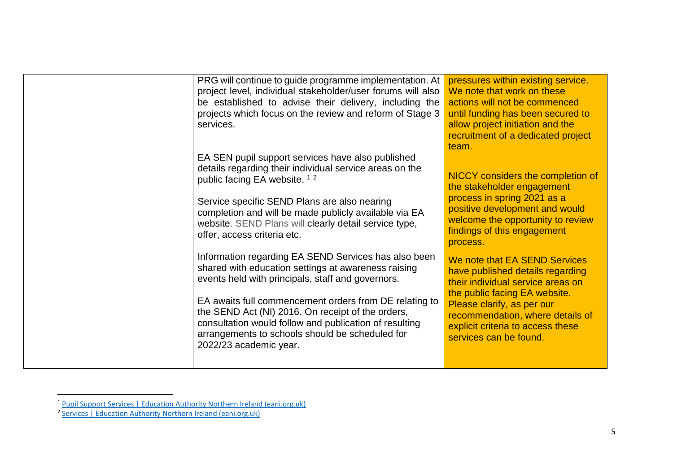| PRG will continue to guide programme implementation. At<br>project level, individual stakeholder/user forums will also<br>be established to advise their delivery, including the<br>projects which focus on the review and reform of Stage 3<br>services.                       | pressures within existing service.<br>We note that work on these<br>actions will not be commenced<br>until funding has been secured to<br>allow project initiation and the<br>recruitment of a dedicated project<br>team. |
|---------------------------------------------------------------------------------------------------------------------------------------------------------------------------------------------------------------------------------------------------------------------------------|---------------------------------------------------------------------------------------------------------------------------------------------------------------------------------------------------------------------------|
| EA SEN pupil support services have also published<br>details regarding their individual service areas on the<br>public facing EA website. <sup>12</sup>                                                                                                                         | NICCY considers the completion of<br>the stakeholder engagement                                                                                                                                                           |
| Service specific SEND Plans are also nearing<br>completion and will be made publicly available via EA<br>website. SEND Plans will clearly detail service type,<br>offer, access criteria etc.                                                                                   | process in spring 2021 as a<br>positive development and would<br>welcome the opportunity to review<br>findings of this engagement<br>process.                                                                             |
| Information regarding EA SEND Services has also been<br>shared with education settings at awareness raising<br>events held with principals, staff and governors.<br>EA awaits full commencement orders from DE relating to<br>the SEND Act (NI) 2016. On receipt of the orders, | We note that EA SEND Services<br>have published details regarding<br>their individual service areas on<br>the public facing EA website.<br>Please clarify, as per our                                                     |
| consultation would follow and publication of resulting<br>arrangements to schools should be scheduled for<br>2022/23 academic year.                                                                                                                                             | recommendation, where details of<br>explicit criteria to access these<br>services can be found.                                                                                                                           |

<sup>1</sup> [Pupil Support Services | Education Authority Northern Ireland \(eani.org.uk\)](https://www.eani.org.uk/services/pupil-support-services) 2 [Services | Education Authority Northern Ireland \(eani.org.uk\)](https://www.eani.org.uk/services)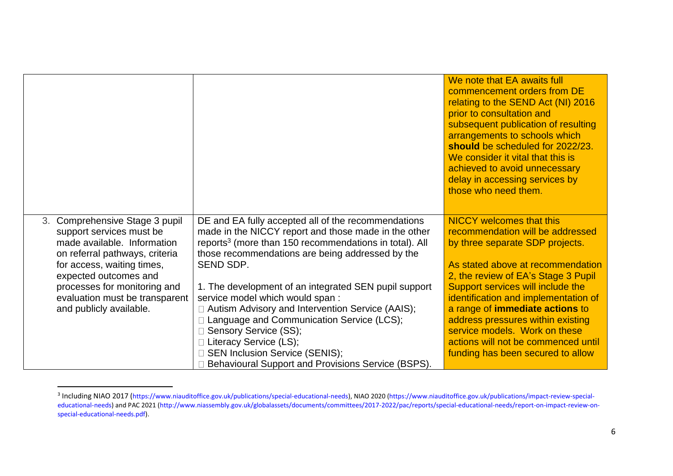|                                                               |                                                                                                                        | We note that EA awaits full<br>commencement orders from DE<br>relating to the SEND Act (NI) 2016<br>prior to consultation and<br>subsequent publication of resulting<br>arrangements to schools which<br>should be scheduled for 2022/23.<br>We consider it vital that this is<br>achieved to avoid unnecessary<br>delay in accessing services by<br>those who need them. |
|---------------------------------------------------------------|------------------------------------------------------------------------------------------------------------------------|---------------------------------------------------------------------------------------------------------------------------------------------------------------------------------------------------------------------------------------------------------------------------------------------------------------------------------------------------------------------------|
| 3. Comprehensive Stage 3 pupil<br>support services must be    | DE and EA fully accepted all of the recommendations<br>made in the NICCY report and those made in the other            | <b>NICCY welcomes that this</b><br>recommendation will be addressed                                                                                                                                                                                                                                                                                                       |
| made available. Information<br>on referral pathways, criteria | reports <sup>3</sup> (more than 150 recommendations in total). All<br>those recommendations are being addressed by the | by three separate SDP projects.                                                                                                                                                                                                                                                                                                                                           |
| for access, waiting times,                                    | SEND SDP.                                                                                                              | As stated above at recommendation                                                                                                                                                                                                                                                                                                                                         |
| expected outcomes and                                         |                                                                                                                        | 2, the review of EA's Stage 3 Pupil                                                                                                                                                                                                                                                                                                                                       |
| processes for monitoring and                                  | 1. The development of an integrated SEN pupil support                                                                  | Support services will include the                                                                                                                                                                                                                                                                                                                                         |
| evaluation must be transparent<br>and publicly available.     | service model which would span:<br>$\Box$ Autism Advisory and Intervention Service (AAIS);                             | identification and implementation of<br>a range of immediate actions to                                                                                                                                                                                                                                                                                                   |
|                                                               | Language and Communication Service (LCS);                                                                              | address pressures within existing                                                                                                                                                                                                                                                                                                                                         |
|                                                               | □ Sensory Service (SS);                                                                                                | service models. Work on these                                                                                                                                                                                                                                                                                                                                             |
|                                                               | $\Box$ Literacy Service (LS);                                                                                          | actions will not be commenced until                                                                                                                                                                                                                                                                                                                                       |
|                                                               | □ SEN Inclusion Service (SENIS);                                                                                       | funding has been secured to allow                                                                                                                                                                                                                                                                                                                                         |
|                                                               | Behavioural Support and Provisions Service (BSPS).                                                                     |                                                                                                                                                                                                                                                                                                                                                                           |

<sup>&</sup>lt;sup>3</sup> Including NIAO 2017 (https://www.niauditoffice.gov.uk/publications/special-educational-needs), NIAO 2020 (https://www.niauditoffice.gov.uk/publications/impact-review-specialeducational-needs) and PAC 2021 (http://www.niassembly.gov.uk/globalassets/documents/committees/2017-2022/pac/reports/special-educational-needs/report-on-impact-review-onspecial-educational-needs.pdf).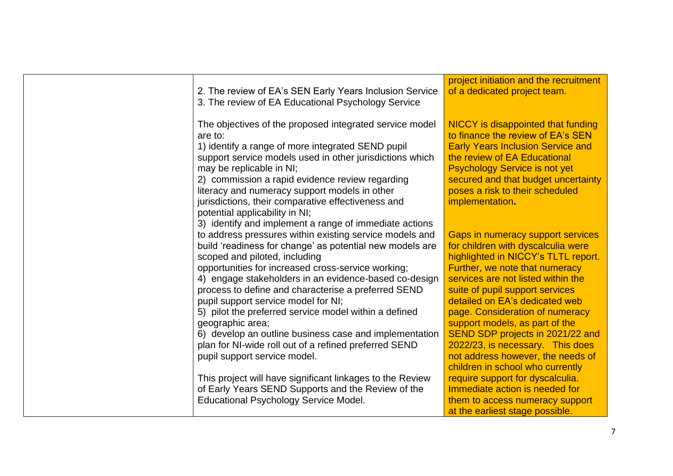| 2. The review of EA's SEN Early Years Inclusion Service<br>3. The review of EA Educational Psychology Service                                                                                                                                                                                                                                                                                                                                                                                                                                                                                                                                                 | project initiation and the recruitment<br>of a dedicated project team.                                                                                                                                                                                                                                                                                                                                   |
|---------------------------------------------------------------------------------------------------------------------------------------------------------------------------------------------------------------------------------------------------------------------------------------------------------------------------------------------------------------------------------------------------------------------------------------------------------------------------------------------------------------------------------------------------------------------------------------------------------------------------------------------------------------|----------------------------------------------------------------------------------------------------------------------------------------------------------------------------------------------------------------------------------------------------------------------------------------------------------------------------------------------------------------------------------------------------------|
| The objectives of the proposed integrated service model<br>are to:<br>1) identify a range of more integrated SEND pupil<br>support service models used in other jurisdictions which<br>may be replicable in NI;<br>2) commission a rapid evidence review regarding<br>literacy and numeracy support models in other<br>jurisdictions, their comparative effectiveness and                                                                                                                                                                                                                                                                                     | NICCY is disappointed that funding<br>to finance the review of EA's SEN<br><b>Early Years Inclusion Service and</b><br>the review of EA Educational<br><b>Psychology Service is not yet</b><br>secured and that budget uncertainty<br>poses a risk to their scheduled<br>implementation.                                                                                                                 |
| potential applicability in NI;<br>3) identify and implement a range of immediate actions<br>to address pressures within existing service models and<br>build 'readiness for change' as potential new models are<br>scoped and piloted, including<br>opportunities for increased cross-service working;<br>4) engage stakeholders in an evidence-based co-design<br>process to define and characterise a preferred SEND<br>pupil support service model for NI;<br>5) pilot the preferred service model within a defined<br>geographic area;<br>6) develop an outline business case and implementation<br>plan for NI-wide roll out of a refined preferred SEND | Gaps in numeracy support services<br>for children with dyscalculia were<br>highlighted in NICCY's TLTL report.<br>Further, we note that numeracy<br>services are not listed within the<br>suite of pupil support services<br>detailed on EA's dedicated web<br>page. Consideration of numeracy<br>support models, as part of the<br>SEND SDP projects in 2021/22 and<br>2022/23, is necessary. This does |
| pupil support service model.<br>This project will have significant linkages to the Review<br>of Early Years SEND Supports and the Review of the<br><b>Educational Psychology Service Model.</b>                                                                                                                                                                                                                                                                                                                                                                                                                                                               | not address however, the needs of<br>children in school who currently<br>require support for dyscalculia.<br>Immediate action is needed for<br>them to access numeracy support<br>at the earliest stage possible.                                                                                                                                                                                        |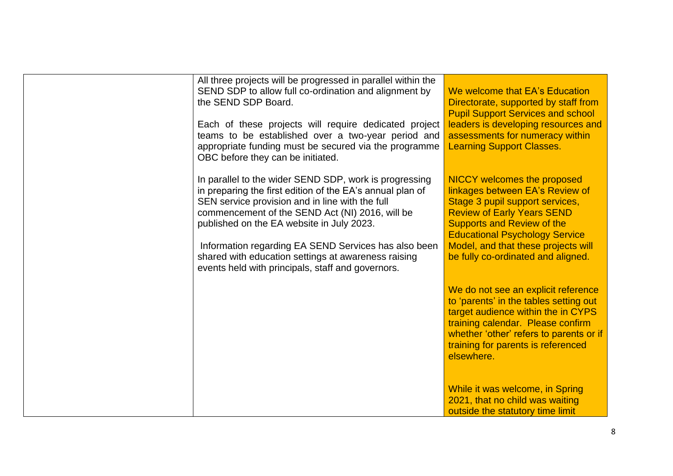| the SEND SDP Board. | All three projects will be progressed in parallel within the<br>SEND SDP to allow full co-ordination and alignment by<br>Each of these projects will require dedicated project<br>teams to be established over a two-year period and<br>appropriate funding must be secured via the programme<br>OBC before they can be initiated.                                                                                                         | We welcome that EA's Education<br>Directorate, supported by staff from<br><b>Pupil Support Services and school</b><br>leaders is developing resources and<br>assessments for numeracy within<br><b>Learning Support Classes.</b>                                                                         |
|---------------------|--------------------------------------------------------------------------------------------------------------------------------------------------------------------------------------------------------------------------------------------------------------------------------------------------------------------------------------------------------------------------------------------------------------------------------------------|----------------------------------------------------------------------------------------------------------------------------------------------------------------------------------------------------------------------------------------------------------------------------------------------------------|
|                     | In parallel to the wider SEND SDP, work is progressing<br>in preparing the first edition of the EA's annual plan of<br>SEN service provision and in line with the full<br>commencement of the SEND Act (NI) 2016, will be<br>published on the EA website in July 2023.<br>Information regarding EA SEND Services has also been<br>shared with education settings at awareness raising<br>events held with principals, staff and governors. | <b>NICCY</b> welcomes the proposed<br>linkages between EA's Review of<br>Stage 3 pupil support services,<br><b>Review of Early Years SEND</b><br><b>Supports and Review of the</b><br><b>Educational Psychology Service</b><br>Model, and that these projects will<br>be fully co-ordinated and aligned. |
|                     |                                                                                                                                                                                                                                                                                                                                                                                                                                            | We do not see an explicit reference<br>to 'parents' in the tables setting out<br>target audience within the in CYPS<br>training calendar. Please confirm<br>whether 'other' refers to parents or if<br>training for parents is referenced<br>elsewhere.                                                  |
|                     |                                                                                                                                                                                                                                                                                                                                                                                                                                            | While it was welcome, in Spring<br>2021, that no child was waiting<br>outside the statutory time limit                                                                                                                                                                                                   |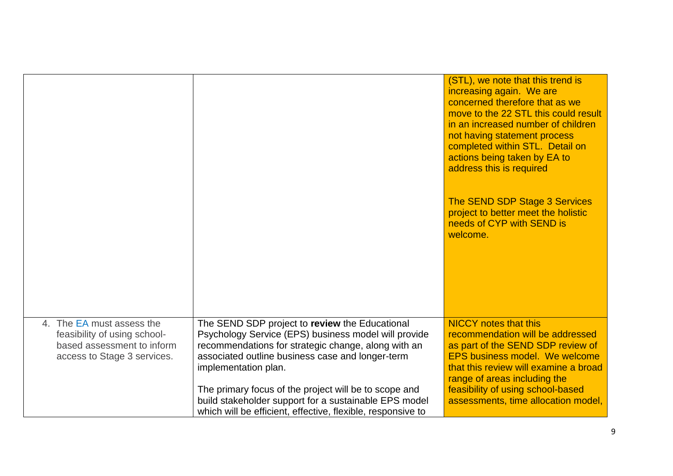|                                                                                                                        |                                                                                                                                                                                                                                                                                                                                                                                                                            | (STL), we note that this trend is<br>increasing again. We are<br>concerned therefore that as we<br>move to the 22 STL this could result<br>in an increased number of children<br>not having statement process<br>completed within STL. Detail on<br>actions being taken by EA to<br>address this is required |
|------------------------------------------------------------------------------------------------------------------------|----------------------------------------------------------------------------------------------------------------------------------------------------------------------------------------------------------------------------------------------------------------------------------------------------------------------------------------------------------------------------------------------------------------------------|--------------------------------------------------------------------------------------------------------------------------------------------------------------------------------------------------------------------------------------------------------------------------------------------------------------|
|                                                                                                                        |                                                                                                                                                                                                                                                                                                                                                                                                                            | The SEND SDP Stage 3 Services<br>project to better meet the holistic<br>needs of CYP with SEND is<br>welcome.                                                                                                                                                                                                |
| 4. The EA must assess the<br>feasibility of using school-<br>based assessment to inform<br>access to Stage 3 services. | The SEND SDP project to review the Educational<br>Psychology Service (EPS) business model will provide<br>recommendations for strategic change, along with an<br>associated outline business case and longer-term<br>implementation plan.<br>The primary focus of the project will be to scope and<br>build stakeholder support for a sustainable EPS model<br>which will be efficient, effective, flexible, responsive to | <b>NICCY</b> notes that this<br>recommendation will be addressed<br>as part of the SEND SDP review of<br><b>EPS business model. We welcome</b><br>that this review will examine a broad<br>range of areas including the<br>feasibility of using school-based<br>assessments, time allocation model,          |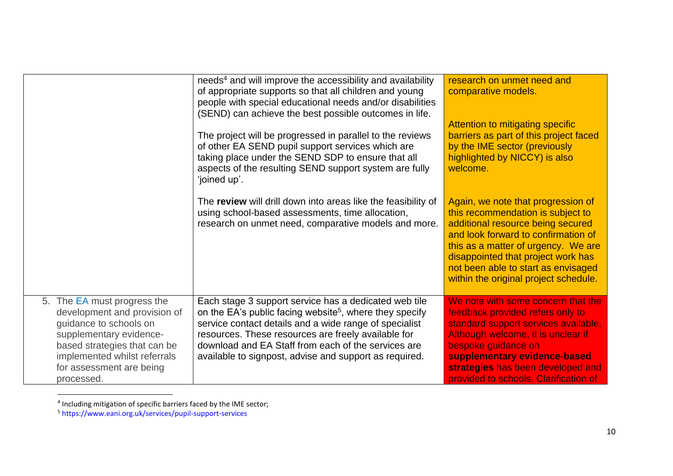|                                                                                                                                                                                                                            | needs <sup>4</sup> and will improve the accessibility and availability<br>of appropriate supports so that all children and young<br>people with special educational needs and/or disabilities<br>(SEND) can achieve the best possible outcomes in life.<br>The project will be progressed in parallel to the reviews<br>of other EA SEND pupil support services which are<br>taking place under the SEND SDP to ensure that all<br>aspects of the resulting SEND support system are fully<br>'joined up'. | research on unmet need and<br>comparative models.<br>Attention to mitigating specific<br>barriers as part of this project faced<br>by the IME sector (previously<br>highlighted by NICCY) is also<br>welcome.                                                                                                    |
|----------------------------------------------------------------------------------------------------------------------------------------------------------------------------------------------------------------------------|-----------------------------------------------------------------------------------------------------------------------------------------------------------------------------------------------------------------------------------------------------------------------------------------------------------------------------------------------------------------------------------------------------------------------------------------------------------------------------------------------------------|------------------------------------------------------------------------------------------------------------------------------------------------------------------------------------------------------------------------------------------------------------------------------------------------------------------|
|                                                                                                                                                                                                                            | The review will drill down into areas like the feasibility of<br>using school-based assessments, time allocation,<br>research on unmet need, comparative models and more.                                                                                                                                                                                                                                                                                                                                 | Again, we note that progression of<br>this recommendation is subject to<br>additional resource being secured<br>and look forward to confirmation of<br>this as a matter of urgency. We are<br>disappointed that project work has<br>not been able to start as envisaged<br>within the original project schedule. |
| 5. The EA must progress the<br>development and provision of<br>guidance to schools on<br>supplementary evidence-<br>based strategies that can be<br>implemented whilst referrals<br>for assessment are being<br>processed. | Each stage 3 support service has a dedicated web tile<br>on the EA's public facing website <sup>5</sup> , where they specify<br>service contact details and a wide range of specialist<br>resources. These resources are freely available for<br>download and EA Staff from each of the services are<br>available to signpost, advise and support as required.                                                                                                                                            | We note with some concern that the<br>feedback provided refers only to<br>standard support services available.<br>Although welcome, it is unclear if<br>bespoke guidance on<br>supplementary evidence-based<br>strategies has been developed and<br>provided to schools. Clarification of                        |

<sup>&</sup>lt;sup>4</sup> Including mitigation of specific barriers faced by the IME sector;

<sup>5</sup> https://www.eani.org.uk/services/pupil-support-services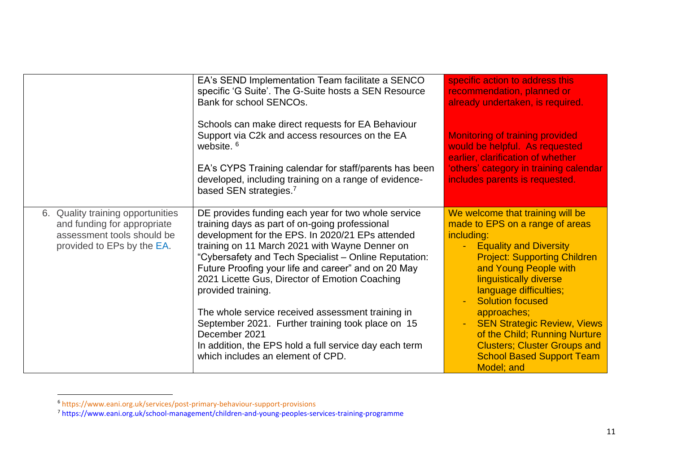|                                                                                                                              | EA's SEND Implementation Team facilitate a SENCO<br>specific 'G Suite'. The G-Suite hosts a SEN Resource<br>Bank for school SENCOs.                                                                                                                                                                                                                                                                                                                                                                                                                                                                                           | specific action to address this<br>recommendation, planned or<br>already undertaken, is required.                                                                                                                                                                                                                                                                                                                                                                         |
|------------------------------------------------------------------------------------------------------------------------------|-------------------------------------------------------------------------------------------------------------------------------------------------------------------------------------------------------------------------------------------------------------------------------------------------------------------------------------------------------------------------------------------------------------------------------------------------------------------------------------------------------------------------------------------------------------------------------------------------------------------------------|---------------------------------------------------------------------------------------------------------------------------------------------------------------------------------------------------------------------------------------------------------------------------------------------------------------------------------------------------------------------------------------------------------------------------------------------------------------------------|
|                                                                                                                              | Schools can make direct requests for EA Behaviour<br>Support via C2k and access resources on the EA<br>website. <sup>6</sup><br>EA's CYPS Training calendar for staff/parents has been<br>developed, including training on a range of evidence-<br>based SEN strategies. <sup>7</sup>                                                                                                                                                                                                                                                                                                                                         | <b>Monitoring of training provided</b><br>would be helpful. As requested<br>earlier, clarification of whether<br>'others' category in training calendar<br>includes parents is requested.                                                                                                                                                                                                                                                                                 |
| 6. Quality training opportunities<br>and funding for appropriate<br>assessment tools should be<br>provided to EPs by the EA. | DE provides funding each year for two whole service<br>training days as part of on-going professional<br>development for the EPS. In 2020/21 EPs attended<br>training on 11 March 2021 with Wayne Denner on<br>"Cybersafety and Tech Specialist - Online Reputation:<br>Future Proofing your life and career" and on 20 May<br>2021 Licette Gus, Director of Emotion Coaching<br>provided training.<br>The whole service received assessment training in<br>September 2021. Further training took place on 15<br>December 2021<br>In addition, the EPS hold a full service day each term<br>which includes an element of CPD. | We welcome that training will be<br>made to EPS on a range of areas<br>including:<br><b>Equality and Diversity</b><br>$\blacksquare$<br><b>Project: Supporting Children</b><br>and Young People with<br><b>linguistically diverse</b><br>language difficulties;<br><b>Solution focused</b><br>approaches;<br><b>SEN Strategic Review, Views</b><br>of the Child; Running Nurture<br><b>Clusters; Cluster Groups and</b><br><b>School Based Support Team</b><br>Model; and |

<sup>6</sup> https://www.eani.org.uk/services/post-primary-behaviour-support-provisions

<sup>&</sup>lt;sup>7</sup> https://www.eani.org.uk/school-management/children-and-young-peoples-services-training-programme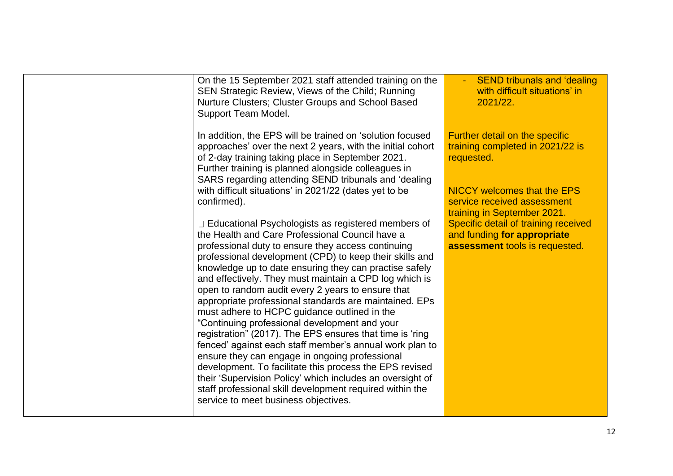| On the 15 September 2021 staff attended training on the<br>SEN Strategic Review, Views of the Child; Running<br>Nurture Clusters; Cluster Groups and School Based<br>Support Team Model.                                                                                   | <b>SEND tribunals and 'dealing</b><br>with difficult situations' in<br>2021/22.                       |
|----------------------------------------------------------------------------------------------------------------------------------------------------------------------------------------------------------------------------------------------------------------------------|-------------------------------------------------------------------------------------------------------|
| In addition, the EPS will be trained on 'solution focused<br>approaches' over the next 2 years, with the initial cohort<br>of 2-day training taking place in September 2021.<br>Further training is planned alongside colleagues in                                        | Further detail on the specific<br>training completed in 2021/22 is<br>requested.                      |
| SARS regarding attending SEND tribunals and 'dealing<br>with difficult situations' in 2021/22 (dates yet to be<br>confirmed).                                                                                                                                              | <b>NICCY welcomes that the EPS</b><br>service received assessment<br>training in September 2021.      |
| $\Box$ Educational Psychologists as registered members of<br>the Health and Care Professional Council have a<br>professional duty to ensure they access continuing<br>professional development (CPD) to keep their skills and                                              | Specific detail of training received<br>and funding for appropriate<br>assessment tools is requested. |
| knowledge up to date ensuring they can practise safely<br>and effectively. They must maintain a CPD log which is<br>open to random audit every 2 years to ensure that<br>appropriate professional standards are maintained. EPs                                            |                                                                                                       |
| must adhere to HCPC guidance outlined in the<br>"Continuing professional development and your<br>registration" (2017). The EPS ensures that time is 'ring<br>fenced' against each staff member's annual work plan to                                                       |                                                                                                       |
| ensure they can engage in ongoing professional<br>development. To facilitate this process the EPS revised<br>their 'Supervision Policy' which includes an oversight of<br>staff professional skill development required within the<br>service to meet business objectives. |                                                                                                       |
|                                                                                                                                                                                                                                                                            |                                                                                                       |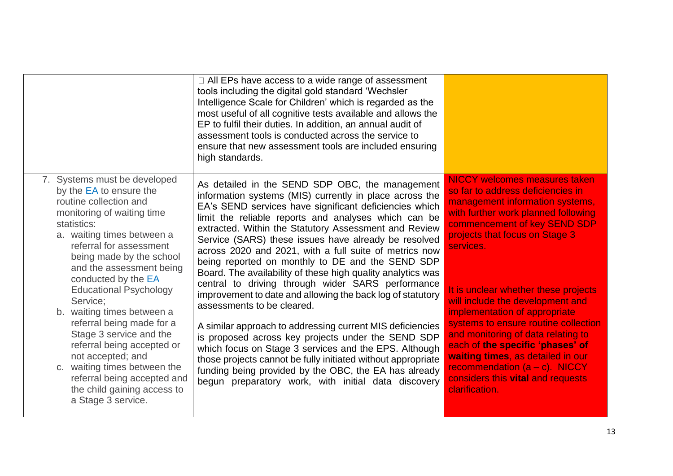|                                                                                                                                                                                                                                                                                                                                                                                                                                                                                                                                                                                  | $\Box$ All EPs have access to a wide range of assessment<br>tools including the digital gold standard 'Wechsler<br>Intelligence Scale for Children' which is regarded as the<br>most useful of all cognitive tests available and allows the<br>EP to fulfil their duties. In addition, an annual audit of<br>assessment tools is conducted across the service to<br>ensure that new assessment tools are included ensuring<br>high standards.                                                                                                                                                                                                                                                                                                                                                                                                                                                                                                                                                                                           |                                                                                                                                                                                                                                                                                                                                                                                                                                                                                                                                                                                                |
|----------------------------------------------------------------------------------------------------------------------------------------------------------------------------------------------------------------------------------------------------------------------------------------------------------------------------------------------------------------------------------------------------------------------------------------------------------------------------------------------------------------------------------------------------------------------------------|-----------------------------------------------------------------------------------------------------------------------------------------------------------------------------------------------------------------------------------------------------------------------------------------------------------------------------------------------------------------------------------------------------------------------------------------------------------------------------------------------------------------------------------------------------------------------------------------------------------------------------------------------------------------------------------------------------------------------------------------------------------------------------------------------------------------------------------------------------------------------------------------------------------------------------------------------------------------------------------------------------------------------------------------|------------------------------------------------------------------------------------------------------------------------------------------------------------------------------------------------------------------------------------------------------------------------------------------------------------------------------------------------------------------------------------------------------------------------------------------------------------------------------------------------------------------------------------------------------------------------------------------------|
| 7. Systems must be developed<br>by the EA to ensure the<br>routine collection and<br>monitoring of waiting time<br>statistics:<br>a. waiting times between a<br>referral for assessment<br>being made by the school<br>and the assessment being<br>conducted by the EA<br><b>Educational Psychology</b><br>Service:<br>b. waiting times between a<br>referral being made for a<br>Stage 3 service and the<br>referral being accepted or<br>not accepted; and<br>c. waiting times between the<br>referral being accepted and<br>the child gaining access to<br>a Stage 3 service. | As detailed in the SEND SDP OBC, the management<br>information systems (MIS) currently in place across the<br>EA's SEND services have significant deficiencies which<br>limit the reliable reports and analyses which can be<br>extracted. Within the Statutory Assessment and Review<br>Service (SARS) these issues have already be resolved<br>across 2020 and 2021, with a full suite of metrics now<br>being reported on monthly to DE and the SEND SDP<br>Board. The availability of these high quality analytics was<br>central to driving through wider SARS performance<br>improvement to date and allowing the back log of statutory<br>assessments to be cleared.<br>A similar approach to addressing current MIS deficiencies<br>is proposed across key projects under the SEND SDP<br>which focus on Stage 3 services and the EPS. Although<br>those projects cannot be fully initiated without appropriate<br>funding being provided by the OBC, the EA has already<br>begun preparatory work, with initial data discovery | <b>NICCY welcomes measures taken</b><br>so far to address deficiencies in<br>management information systems,<br>with further work planned following<br>commencement of key SEND SDP<br>projects that focus on Stage 3<br>services.<br>It is unclear whether these projects<br>will include the development and<br>implementation of appropriate<br>systems to ensure routine collection<br>and monitoring of data relating to<br>each of the specific 'phases' of<br>waiting times, as detailed in our<br>recommendation (a - c). NICCY<br>considers this vital and requests<br>clarification. |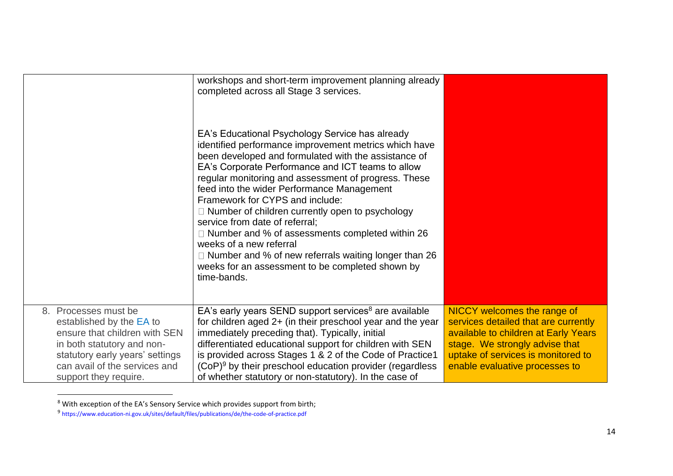|                                                                                                                                                                                                              | workshops and short-term improvement planning already<br>completed across all Stage 3 services.<br>EA's Educational Psychology Service has already<br>identified performance improvement metrics which have<br>been developed and formulated with the assistance of<br>EA's Corporate Performance and ICT teams to allow<br>regular monitoring and assessment of progress. These<br>feed into the wider Performance Management<br>Framework for CYPS and include:<br>$\Box$ Number of children currently open to psychology<br>service from date of referral:<br>$\Box$ Number and % of assessments completed within 26<br>weeks of a new referral<br>□ Number and % of new referrals waiting longer than 26<br>weeks for an assessment to be completed shown by<br>time-bands. |                                                                                                                                                                                                                       |
|--------------------------------------------------------------------------------------------------------------------------------------------------------------------------------------------------------------|---------------------------------------------------------------------------------------------------------------------------------------------------------------------------------------------------------------------------------------------------------------------------------------------------------------------------------------------------------------------------------------------------------------------------------------------------------------------------------------------------------------------------------------------------------------------------------------------------------------------------------------------------------------------------------------------------------------------------------------------------------------------------------|-----------------------------------------------------------------------------------------------------------------------------------------------------------------------------------------------------------------------|
| 8. Processes must be<br>established by the EA to<br>ensure that children with SEN<br>in both statutory and non-<br>statutory early years' settings<br>can avail of the services and<br>support they require. | $EA$ 's early years SEND support services <sup>8</sup> are available<br>for children aged 2+ (in their preschool year and the year<br>immediately preceding that). Typically, initial<br>differentiated educational support for children with SEN<br>is provided across Stages 1 & 2 of the Code of Practice1<br>$(CoP)^9$ by their preschool education provider (regardless<br>of whether statutory or non-statutory). In the case of                                                                                                                                                                                                                                                                                                                                          | NICCY welcomes the range of<br>services detailed that are currently<br>available to children at Early Years<br>stage. We strongly advise that<br>uptake of services is monitored to<br>enable evaluative processes to |

<sup>8</sup> With exception of the EA's Sensory Service which provides support from birth;

<sup>&</sup>lt;sup>9</sup> https://www.education-ni.gov.uk/sites/default/files/publications/de/the-code-of-practice.pdf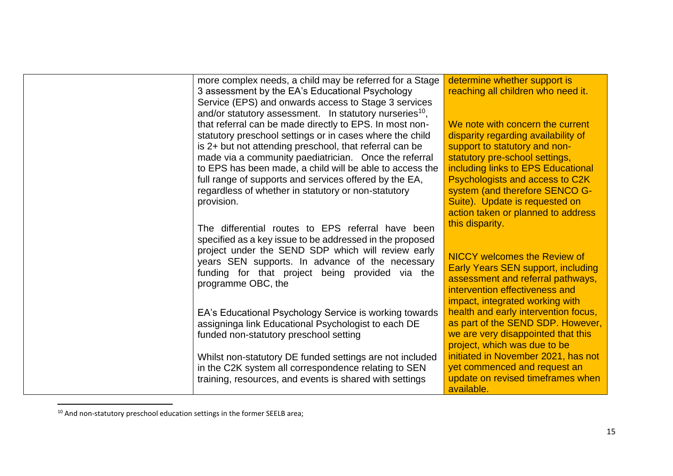| more complex needs, a child may be referred for a Stage                                                        | determine whether support is              |
|----------------------------------------------------------------------------------------------------------------|-------------------------------------------|
| 3 assessment by the EA's Educational Psychology                                                                | reaching all children who need it.        |
| Service (EPS) and onwards access to Stage 3 services                                                           |                                           |
| and/or statutory assessment. In statutory nurseries <sup>10</sup> ,                                            |                                           |
| that referral can be made directly to EPS. In most non-                                                        | We note with concern the current          |
| statutory preschool settings or in cases where the child                                                       | disparity regarding availability of       |
| is 2+ but not attending preschool, that referral can be                                                        | support to statutory and non-             |
| made via a community paediatrician. Once the referral                                                          | statutory pre-school settings,            |
| to EPS has been made, a child will be able to access the                                                       | including links to EPS Educational        |
| full range of supports and services offered by the EA,                                                         | Psychologists and access to C2K           |
| regardless of whether in statutory or non-statutory                                                            | system (and therefore SENCO G-            |
| provision.                                                                                                     | Suite). Update is requested on            |
|                                                                                                                | action taken or planned to address        |
| The differential routes to EPS referral have been                                                              | this disparity.                           |
|                                                                                                                |                                           |
| specified as a key issue to be addressed in the proposed<br>project under the SEND SDP which will review early |                                           |
| years SEN supports. In advance of the necessary                                                                | <b>NICCY welcomes the Review of</b>       |
| funding for that project being provided via the                                                                | <b>Early Years SEN support, including</b> |
|                                                                                                                | assessment and referral pathways,         |
| programme OBC, the                                                                                             | intervention effectiveness and            |
|                                                                                                                | impact, integrated working with           |
| EA's Educational Psychology Service is working towards                                                         | health and early intervention focus,      |
| assigninga link Educational Psychologist to each DE                                                            | as part of the SEND SDP. However,         |
| funded non-statutory preschool setting                                                                         | we are very disappointed that this        |
|                                                                                                                | project, which was due to be              |
| Whilst non-statutory DE funded settings are not included                                                       | initiated in November 2021, has not       |
| in the C2K system all correspondence relating to SEN                                                           | yet commenced and request an              |
| training, resources, and events is shared with settings                                                        | update on revised timeframes when         |
|                                                                                                                | available.                                |

<sup>&</sup>lt;sup>10</sup> And non-statutory preschool education settings in the former SEELB area;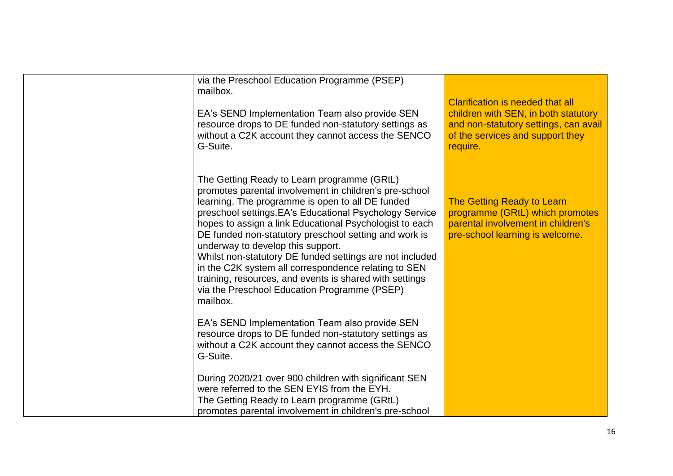| via the Preschool Education Programme (PSEP)<br>mailbox.<br>EA's SEND Implementation Team also provide SEN<br>resource drops to DE funded non-statutory settings as<br>without a C2K account they cannot access the SENCO<br>G-Suite.                                                                                                                                                                                                                                                                                                                                                                                    | <b>Clarification is needed that all</b><br>children with SEN, in both statutory<br>and non-statutory settings, can avail<br>of the services and support they<br>require. |
|--------------------------------------------------------------------------------------------------------------------------------------------------------------------------------------------------------------------------------------------------------------------------------------------------------------------------------------------------------------------------------------------------------------------------------------------------------------------------------------------------------------------------------------------------------------------------------------------------------------------------|--------------------------------------------------------------------------------------------------------------------------------------------------------------------------|
| The Getting Ready to Learn programme (GRtL)<br>promotes parental involvement in children's pre-school<br>learning. The programme is open to all DE funded<br>preschool settings. EA's Educational Psychology Service<br>hopes to assign a link Educational Psychologist to each<br>DE funded non-statutory preschool setting and work is<br>underway to develop this support.<br>Whilst non-statutory DE funded settings are not included<br>in the C2K system all correspondence relating to SEN<br>training, resources, and events is shared with settings<br>via the Preschool Education Programme (PSEP)<br>mailbox. | The Getting Ready to Learn<br>programme (GRtL) which promotes<br>parental involvement in children's<br>pre-school learning is welcome.                                   |
| EA's SEND Implementation Team also provide SEN<br>resource drops to DE funded non-statutory settings as<br>without a C2K account they cannot access the SENCO<br>G-Suite.                                                                                                                                                                                                                                                                                                                                                                                                                                                |                                                                                                                                                                          |
| During 2020/21 over 900 children with significant SEN<br>were referred to the SEN EYIS from the EYH.<br>The Getting Ready to Learn programme (GRtL)<br>promotes parental involvement in children's pre-school                                                                                                                                                                                                                                                                                                                                                                                                            |                                                                                                                                                                          |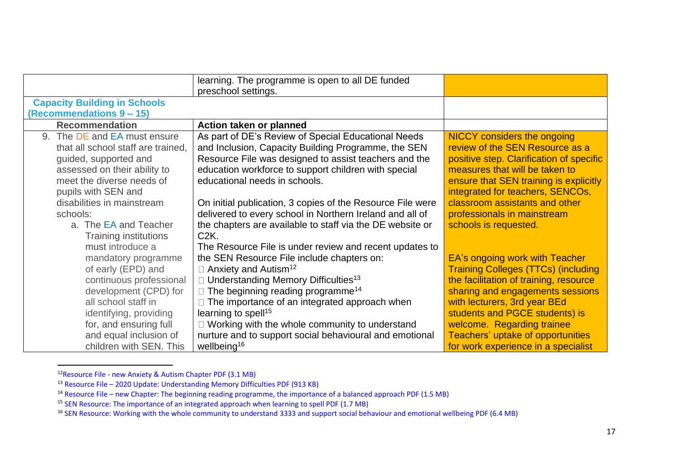|                                     | learning. The programme is open to all DE funded<br>preschool settings. |                                            |
|-------------------------------------|-------------------------------------------------------------------------|--------------------------------------------|
| <b>Capacity Building in Schools</b> |                                                                         |                                            |
| (Recommendations 9 - 15)            |                                                                         |                                            |
| <b>Recommendation</b>               | Action taken or planned                                                 |                                            |
| 9. The DE and EA must ensure        | As part of DE's Review of Special Educational Needs                     | <b>NICCY</b> considers the ongoing         |
| that all school staff are trained,  | and Inclusion, Capacity Building Programme, the SEN                     | review of the SEN Resource as a            |
| guided, supported and               | Resource File was designed to assist teachers and the                   | positive step. Clarification of specific   |
| assessed on their ability to        | education workforce to support children with special                    | measures that will be taken to             |
| meet the diverse needs of           | educational needs in schools.                                           | ensure that SEN training is explicitly     |
| pupils with SEN and                 |                                                                         | integrated for teachers, SENCOs,           |
| disabilities in mainstream          | On initial publication, 3 copies of the Resource File were              | classroom assistants and other             |
| schools:                            | delivered to every school in Northern Ireland and all of                | professionals in mainstream                |
| a. The EA and Teacher               | the chapters are available to staff via the DE website or               | schools is requested.                      |
| <b>Training institutions</b>        | C2K.                                                                    |                                            |
| must introduce a                    | The Resource File is under review and recent updates to                 |                                            |
| mandatory programme                 | the SEN Resource File include chapters on:                              | EA's ongoing work with Teacher             |
| of early (EPD) and                  | $\Box$ Anxiety and Autism <sup>12</sup>                                 | <b>Training Colleges (TTCs) (including</b> |
| continuous professional             | $\Box$ Understanding Memory Difficulties <sup>13</sup>                  | the facilitation of training, resource     |
| development (CPD) for               | $\Box$ The beginning reading programme <sup>14</sup>                    | sharing and engagements sessions           |
| all school staff in                 | The importance of an integrated approach when                           | with lecturers, 3rd year BEd               |
| identifying, providing              | learning to spell <sup>15</sup>                                         | students and PGCE students) is             |
| for, and ensuring full              | $\Box$ Working with the whole community to understand                   | welcome. Regarding trainee                 |
| and equal inclusion of              | nurture and to support social behavioural and emotional                 | Teachers' uptake of opportunities          |
| children with SEN. This             | wellbeing <sup>16</sup>                                                 | for work experience in a specialist        |

<sup>&</sup>lt;sup>12</sup>Resource File - new Anxiety & Autism Chapter PDF (3.1 MB)

<sup>&</sup>lt;sup>13</sup> Resource File – 2020 Update: Understanding Memory Difficulties PDF (913 KB)

<sup>&</sup>lt;sup>14</sup> Resource File – new Chapter: The beginning reading programme, the importance of a balanced approach PDF (1.5 MB)

<sup>&</sup>lt;sup>15</sup> SEN Resource: The importance of an integrated approach when learning to spell PDF (1.7 MB)

<sup>&</sup>lt;sup>16</sup> SEN Resource: Working with the whole community to understand 3333 and support social behaviour and emotional wellbeing PDF (6.4 MB)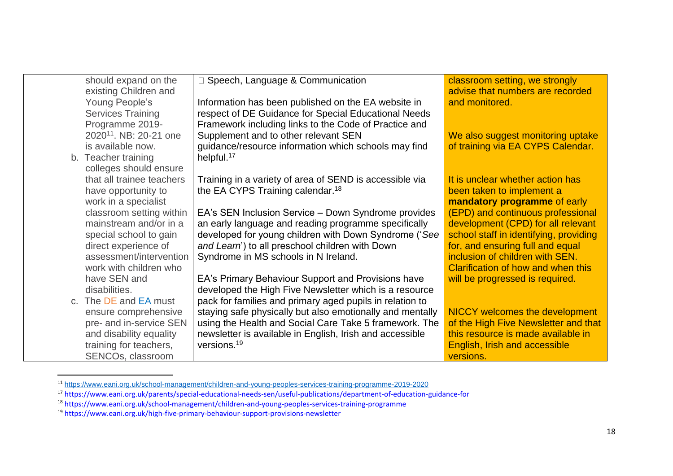| should expand on the               | □ Speech, Language & Communication                        | classroom setting, we strongly         |
|------------------------------------|-----------------------------------------------------------|----------------------------------------|
| existing Children and              |                                                           | advise that numbers are recorded       |
| Young People's                     | Information has been published on the EA website in       | and monitored.                         |
| <b>Services Training</b>           | respect of DE Guidance for Special Educational Needs      |                                        |
| Programme 2019-                    | Framework including links to the Code of Practice and     |                                        |
| 2020 <sup>11</sup> . NB: 20-21 one | Supplement and to other relevant SEN                      | We also suggest monitoring uptake      |
| is available now.                  | guidance/resource information which schools may find      | of training via EA CYPS Calendar.      |
| b. Teacher training                | helpful. <sup>17</sup>                                    |                                        |
| colleges should ensure             |                                                           |                                        |
| that all trainee teachers          | Training in a variety of area of SEND is accessible via   | It is unclear whether action has       |
| have opportunity to                | the EA CYPS Training calendar. <sup>18</sup>              | been taken to implement a              |
| work in a specialist               |                                                           | mandatory programme of early           |
| classroom setting within           | EA's SEN Inclusion Service - Down Syndrome provides       | (EPD) and continuous professional      |
| mainstream and/or in a             | an early language and reading programme specifically      | development (CPD) for all relevant     |
| special school to gain             | developed for young children with Down Syndrome ('See     | school staff in identifying, providing |
| direct experience of               | and Learn') to all preschool children with Down           | for, and ensuring full and equal       |
| assessment/intervention            | Syndrome in MS schools in N Ireland.                      | inclusion of children with SEN.        |
| work with children who             |                                                           | Clarification of how and when this     |
|                                    |                                                           |                                        |
| have SEN and                       | EA's Primary Behaviour Support and Provisions have        | will be progressed is required.        |
| disabilities.                      | developed the High Five Newsletter which is a resource    |                                        |
| c. The DE and EA must              | pack for families and primary aged pupils in relation to  |                                        |
| ensure comprehensive               | staying safe physically but also emotionally and mentally | <b>NICCY welcomes the development</b>  |
| pre- and in-service SEN            | using the Health and Social Care Take 5 framework. The    | of the High Five Newsletter and that   |
| and disability equality            | newsletter is available in English, Irish and accessible  | this resource is made available in     |
| training for teachers,             | versions. <sup>19</sup>                                   | English, Irish and accessible          |
| SENCOs, classroom                  |                                                           | versions.                              |

<sup>11</sup> <https://www.eani.org.uk/school-management/children-and-young-peoples-services-training-programme-2019-2020>

<sup>17</sup> https://www.eani.org.uk/parents/special-educational-needs-sen/useful-publications/department-of-education-guidance-for

<sup>18</sup> https://www.eani.org.uk/school-management/children-and-young-peoples-services-training-programme

<sup>19</sup> https://www.eani.org.uk/high-five-primary-behaviour-support-provisions-newsletter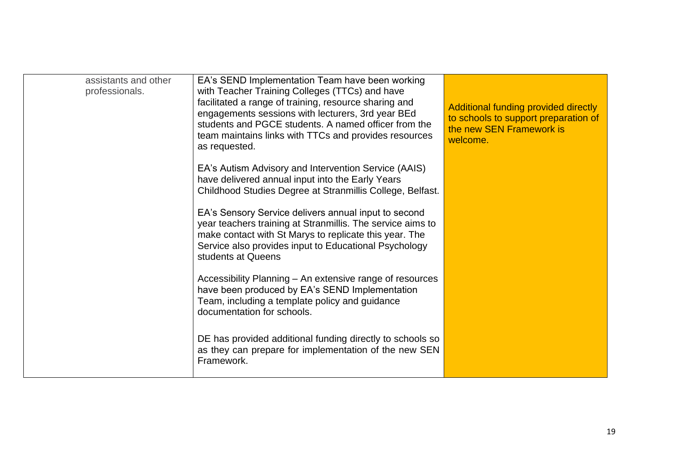| assistants and other<br>professionals. | EA's SEND Implementation Team have been working<br>with Teacher Training Colleges (TTCs) and have<br>facilitated a range of training, resource sharing and<br>engagements sessions with lecturers, 3rd year BEd<br>students and PGCE students. A named officer from the<br>team maintains links with TTCs and provides resources<br>as requested. | Additional funding provided directly<br>to schools to support preparation of<br>the new SEN Framework is<br>welcome. |
|----------------------------------------|---------------------------------------------------------------------------------------------------------------------------------------------------------------------------------------------------------------------------------------------------------------------------------------------------------------------------------------------------|----------------------------------------------------------------------------------------------------------------------|
|                                        | EA's Autism Advisory and Intervention Service (AAIS)<br>have delivered annual input into the Early Years<br>Childhood Studies Degree at Stranmillis College, Belfast.                                                                                                                                                                             |                                                                                                                      |
|                                        | EA's Sensory Service delivers annual input to second<br>year teachers training at Stranmillis. The service aims to<br>make contact with St Marys to replicate this year. The<br>Service also provides input to Educational Psychology<br>students at Queens                                                                                       |                                                                                                                      |
|                                        | Accessibility Planning - An extensive range of resources<br>have been produced by EA's SEND Implementation<br>Team, including a template policy and guidance<br>documentation for schools.                                                                                                                                                        |                                                                                                                      |
|                                        | DE has provided additional funding directly to schools so<br>as they can prepare for implementation of the new SEN<br>Framework.                                                                                                                                                                                                                  |                                                                                                                      |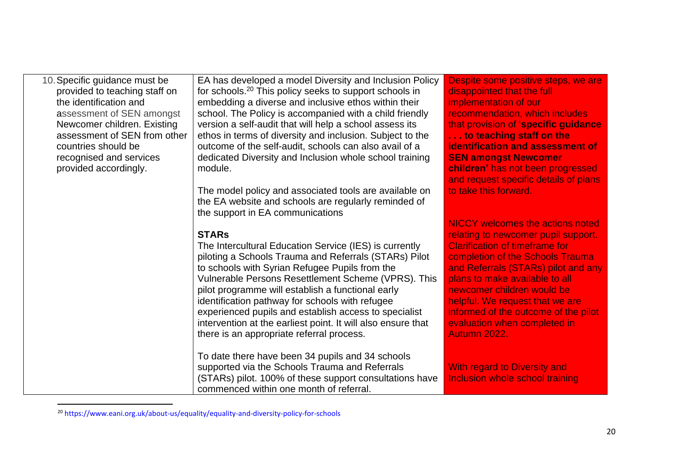| 10. Specific guidance must be | EA has developed a model Diversity and Inclusion Policy            | Despite some positive steps, we are     |
|-------------------------------|--------------------------------------------------------------------|-----------------------------------------|
| provided to teaching staff on | for schools. <sup>20</sup> This policy seeks to support schools in | disappointed that the full              |
| the identification and        | embedding a diverse and inclusive ethos within their               | implementation of our                   |
| assessment of SEN amongst     | school. The Policy is accompanied with a child friendly            | recommendation, which includes          |
| Newcomer children. Existing   | version a self-audit that will help a school assess its            | that provision of 'specific guidance    |
| assessment of SEN from other  | ethos in terms of diversity and inclusion. Subject to the          | to teaching staff on the                |
| countries should be           | outcome of the self-audit, schools can also avail of a             | <b>identification and assessment of</b> |
| recognised and services       | dedicated Diversity and Inclusion whole school training            | <b>SEN amongst Newcomer</b>             |
| provided accordingly.         | module.                                                            | children' has not been progressed       |
|                               |                                                                    | and request specific details of plans   |
|                               | The model policy and associated tools are available on             | to take this forward.                   |
|                               | the EA website and schools are regularly reminded of               |                                         |
|                               | the support in EA communications                                   |                                         |
|                               |                                                                    | <b>NICCY</b> welcomes the actions noted |
|                               | <b>STARs</b>                                                       | relating to newcomer pupil support.     |
|                               | The Intercultural Education Service (IES) is currently             | <b>Clarification of timeframe for</b>   |
|                               | piloting a Schools Trauma and Referrals (STARs) Pilot              | completion of the Schools Trauma        |
|                               | to schools with Syrian Refugee Pupils from the                     | and Referrals (STARs) pilot and any     |
|                               | Vulnerable Persons Resettlement Scheme (VPRS). This                | plans to make available to all          |
|                               | pilot programme will establish a functional early                  | newcomer children would be              |
|                               | identification pathway for schools with refugee                    | helpful. We request that we are         |
|                               | experienced pupils and establish access to specialist              | informed of the outcome of the pilot    |
|                               | intervention at the earliest point. It will also ensure that       | evaluation when completed in            |
|                               | there is an appropriate referral process.                          | Autumn 2022.                            |
|                               |                                                                    |                                         |
|                               | To date there have been 34 pupils and 34 schools                   |                                         |
|                               | supported via the Schools Trauma and Referrals                     | <b>With regard to Diversity and</b>     |
|                               | (STARs) pilot. 100% of these support consultations have            | Inclusion whole school training         |
|                               | commenced within one month of referral.                            |                                         |

<sup>20</sup> https://www.eani.org.uk/about-us/equality/equality-and-diversity-policy-for-schools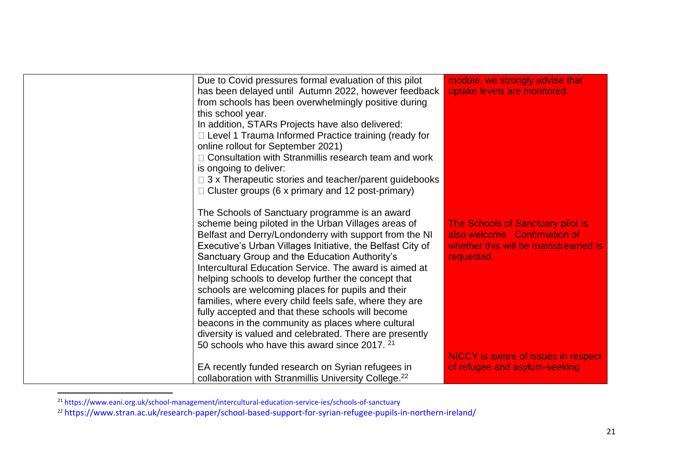| Due to Covid pressures formal evaluation of this pilot<br>has been delayed until Autumn 2022, however feedback<br>from schools has been overwhelmingly positive during<br>this school year.<br>In addition, STARs Projects have also delivered:<br>□ Level 1 Trauma Informed Practice training (ready for<br>online rollout for September 2021)<br>□ Consultation with Stranmillis research team and work<br>is ongoing to deliver:<br>$\Box$ 3 x Therapeutic stories and teacher/parent guidebooks<br>$\Box$ Cluster groups (6 x primary and 12 post-primary)                                                                                                                                                                                  | module, we strongly advise that<br>uptake levels are monitored.                                                          |
|-------------------------------------------------------------------------------------------------------------------------------------------------------------------------------------------------------------------------------------------------------------------------------------------------------------------------------------------------------------------------------------------------------------------------------------------------------------------------------------------------------------------------------------------------------------------------------------------------------------------------------------------------------------------------------------------------------------------------------------------------|--------------------------------------------------------------------------------------------------------------------------|
| The Schools of Sanctuary programme is an award<br>scheme being piloted in the Urban Villages areas of<br>Belfast and Derry/Londonderry with support from the NI<br>Executive's Urban Villages Initiative, the Belfast City of<br>Sanctuary Group and the Education Authority's<br>Intercultural Education Service. The award is aimed at<br>helping schools to develop further the concept that<br>schools are welcoming places for pupils and their<br>families, where every child feels safe, where they are<br>fully accepted and that these schools will become<br>beacons in the community as places where cultural<br>diversity is valued and celebrated. There are presently<br>50 schools who have this award since 2017. <sup>21</sup> | The Schools of Sanctuary pilot is<br>also welcome. Confirmation of<br>whether this will be mainstreamed is<br>requested. |
| EA recently funded research on Syrian refugees in<br>collaboration with Stranmillis University College. <sup>22</sup>                                                                                                                                                                                                                                                                                                                                                                                                                                                                                                                                                                                                                           | <b>NICCY</b> is aware of issues in respect<br>of refugee and asylum-seeking                                              |

<sup>&</sup>lt;sup>21</sup> https://www.eani.org.uk/school-management/intercultural-education-service-ies/schools-of-sanctuary

<sup>22</sup> https://www.stran.ac.uk/research-paper/school-based-support-for-syrian-refugee-pupils-in-northern-ireland/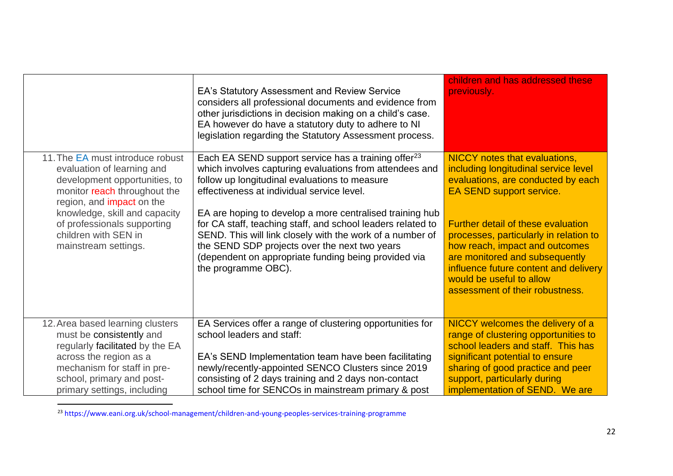|                                                                                                                                                                     | EA's Statutory Assessment and Review Service<br>considers all professional documents and evidence from<br>other jurisdictions in decision making on a child's case.<br>EA however do have a statutory duty to adhere to NI<br>legislation regarding the Statutory Assessment process.                                | children and has addressed these<br>previously.                                                                                                                                                                                                                 |
|---------------------------------------------------------------------------------------------------------------------------------------------------------------------|----------------------------------------------------------------------------------------------------------------------------------------------------------------------------------------------------------------------------------------------------------------------------------------------------------------------|-----------------------------------------------------------------------------------------------------------------------------------------------------------------------------------------------------------------------------------------------------------------|
| 11. The EA must introduce robust<br>evaluation of learning and<br>development opportunities, to<br>monitor reach throughout the<br>region, and <i>impact</i> on the | Each EA SEND support service has a training offer <sup>23</sup><br>which involves capturing evaluations from attendees and<br>follow up longitudinal evaluations to measure<br>effectiveness at individual service level.                                                                                            | <b>NICCY</b> notes that evaluations,<br>including longitudinal service level<br>evaluations, are conducted by each<br>EA SEND support service.                                                                                                                  |
| knowledge, skill and capacity<br>of professionals supporting<br>children with SEN in<br>mainstream settings.                                                        | EA are hoping to develop a more centralised training hub<br>for CA staff, teaching staff, and school leaders related to<br>SEND. This will link closely with the work of a number of<br>the SEND SDP projects over the next two years<br>(dependent on appropriate funding being provided via<br>the programme OBC). | <b>Further detail of these evaluation</b><br>processes, particularly in relation to<br>how reach, impact and outcomes<br>are monitored and subsequently<br>influence future content and delivery<br>would be useful to allow<br>assessment of their robustness. |
| 12. Area based learning clusters<br>must be consistently and<br>regularly facilitated by the EA                                                                     | EA Services offer a range of clustering opportunities for<br>school leaders and staff:                                                                                                                                                                                                                               | NICCY welcomes the delivery of a<br>range of clustering opportunities to<br>school leaders and staff. This has                                                                                                                                                  |
| across the region as a<br>mechanism for staff in pre-                                                                                                               | EA's SEND Implementation team have been facilitating<br>newly/recently-appointed SENCO Clusters since 2019                                                                                                                                                                                                           | significant potential to ensure<br>sharing of good practice and peer                                                                                                                                                                                            |
| school, primary and post-<br>primary settings, including                                                                                                            | consisting of 2 days training and 2 days non-contact<br>school time for SENCOs in mainstream primary & post                                                                                                                                                                                                          | support, particularly during<br>implementation of SEND. We are                                                                                                                                                                                                  |

<sup>23</sup> https://www.eani.org.uk/school-management/children-and-young-peoples-services-training-programme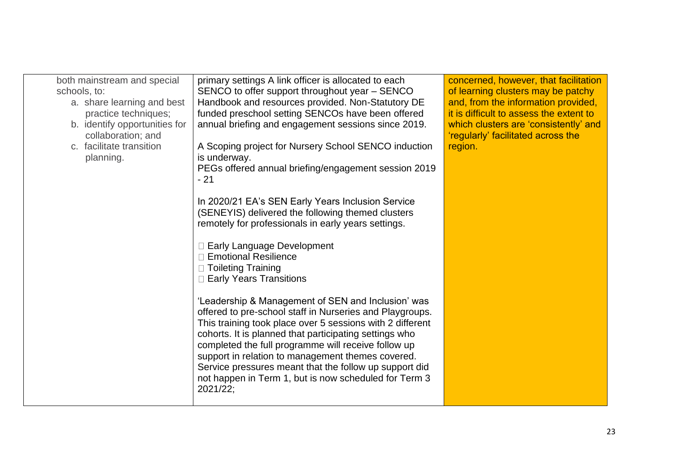| both mainstream and special<br>schools, to:<br>a. share learning and best<br>practice techniques;<br>b. identify opportunities for<br>collaboration; and<br>c. facilitate transition<br>planning. | primary settings A link officer is allocated to each<br>SENCO to offer support throughout year – SENCO<br>Handbook and resources provided. Non-Statutory DE<br>funded preschool setting SENCOs have been offered<br>annual briefing and engagement sessions since 2019.<br>A Scoping project for Nursery School SENCO induction<br>is underway.<br>PEGs offered annual briefing/engagement session 2019<br>- 21<br>In 2020/21 EA's SEN Early Years Inclusion Service<br>(SENEYIS) delivered the following themed clusters<br>remotely for professionals in early years settings.                     | concerned, however, that facilitation<br>of learning clusters may be patchy<br>and, from the information provided,<br>it is difficult to assess the extent to<br>which clusters are 'consistently' and<br>'regularly' facilitated across the<br>region. |
|---------------------------------------------------------------------------------------------------------------------------------------------------------------------------------------------------|------------------------------------------------------------------------------------------------------------------------------------------------------------------------------------------------------------------------------------------------------------------------------------------------------------------------------------------------------------------------------------------------------------------------------------------------------------------------------------------------------------------------------------------------------------------------------------------------------|---------------------------------------------------------------------------------------------------------------------------------------------------------------------------------------------------------------------------------------------------------|
|                                                                                                                                                                                                   | □ Early Language Development<br>□ Emotional Resilience<br>$\Box$ Toileting Training<br>□ Early Years Transitions<br>'Leadership & Management of SEN and Inclusion' was<br>offered to pre-school staff in Nurseries and Playgroups.<br>This training took place over 5 sessions with 2 different<br>cohorts. It is planned that participating settings who<br>completed the full programme will receive follow up<br>support in relation to management themes covered.<br>Service pressures meant that the follow up support did<br>not happen in Term 1, but is now scheduled for Term 3<br>2021/22; |                                                                                                                                                                                                                                                         |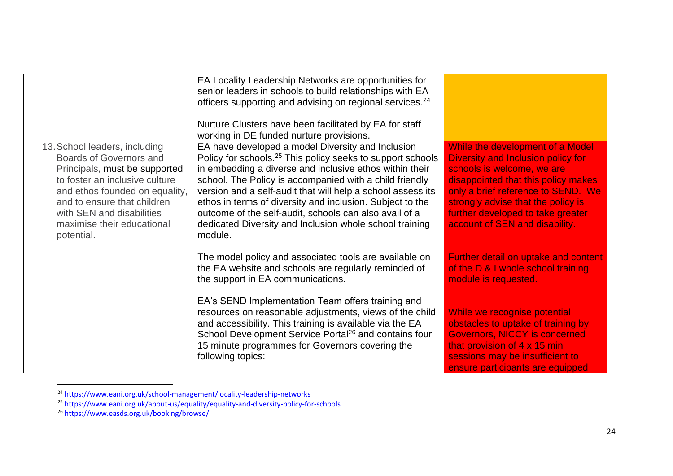|                                                                                                                                                                                                                                                                              | EA Locality Leadership Networks are opportunities for<br>senior leaders in schools to build relationships with EA<br>officers supporting and advising on regional services. <sup>24</sup><br>Nurture Clusters have been facilitated by EA for staff<br>working in DE funded nurture provisions.                                                                                                                                                                                                               |                                                                                                                                                                                                                                                                                                |
|------------------------------------------------------------------------------------------------------------------------------------------------------------------------------------------------------------------------------------------------------------------------------|---------------------------------------------------------------------------------------------------------------------------------------------------------------------------------------------------------------------------------------------------------------------------------------------------------------------------------------------------------------------------------------------------------------------------------------------------------------------------------------------------------------|------------------------------------------------------------------------------------------------------------------------------------------------------------------------------------------------------------------------------------------------------------------------------------------------|
| 13. School leaders, including<br><b>Boards of Governors and</b><br>Principals, must be supported<br>to foster an inclusive culture<br>and ethos founded on equality,<br>and to ensure that children<br>with SEN and disabilities<br>maximise their educational<br>potential. | EA have developed a model Diversity and Inclusion<br>Policy for schools. <sup>25</sup> This policy seeks to support schools<br>in embedding a diverse and inclusive ethos within their<br>school. The Policy is accompanied with a child friendly<br>version and a self-audit that will help a school assess its<br>ethos in terms of diversity and inclusion. Subject to the<br>outcome of the self-audit, schools can also avail of a<br>dedicated Diversity and Inclusion whole school training<br>module. | While the development of a Model<br>Diversity and Inclusion policy for<br>schools is welcome, we are<br>disappointed that this policy makes<br>only a brief reference to SEND. We<br>strongly advise that the policy is<br>further developed to take greater<br>account of SEN and disability. |
|                                                                                                                                                                                                                                                                              | The model policy and associated tools are available on<br>the EA website and schools are regularly reminded of<br>the support in EA communications.                                                                                                                                                                                                                                                                                                                                                           | Further detail on uptake and content<br>of the D & I whole school training<br>module is requested.                                                                                                                                                                                             |
|                                                                                                                                                                                                                                                                              | EA's SEND Implementation Team offers training and<br>resources on reasonable adjustments, views of the child<br>and accessibility. This training is available via the EA<br>School Development Service Portal <sup>26</sup> and contains four<br>15 minute programmes for Governors covering the<br>following topics:                                                                                                                                                                                         | While we recognise potential<br>obstacles to uptake of training by<br><b>Governors, NICCY is concerned</b><br>that provision of 4 x 15 min<br>sessions may be insufficient to<br>ensure participants are equipped                                                                              |

<sup>&</sup>lt;sup>24</sup> https://www.eani.org.uk/school-management/locality-leadership-networks

<sup>&</sup>lt;sup>25</sup> https://www.eani.org.uk/about-us/equality/equality-and-diversity-policy-for-schools

<sup>26</sup> https://www.easds.org.uk/booking/browse/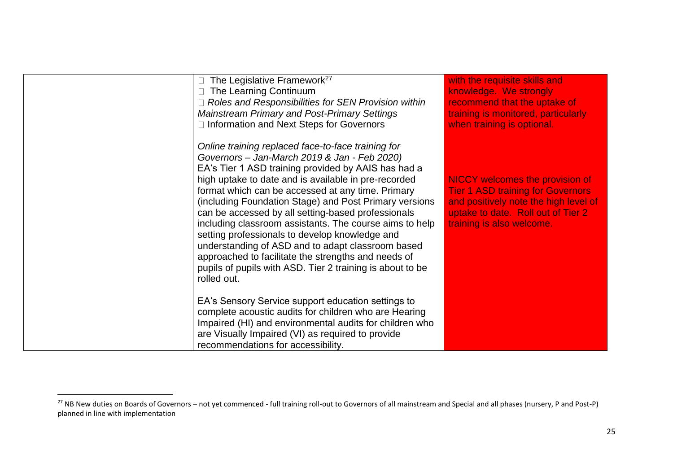| The Legislative Framework <sup>27</sup><br>The Learning Continuum<br>$\Box$ Roles and Responsibilities for SEN Provision within<br><b>Mainstream Primary and Post-Primary Settings</b><br>□ Information and Next Steps for Governors                                                                                                                                                                                                                                                                                                                                                                                                                                                        | with the requisite skills and<br>knowledge. We strongly<br>recommend that the uptake of<br>training is monitored, particularly<br>when training is optional.                                   |
|---------------------------------------------------------------------------------------------------------------------------------------------------------------------------------------------------------------------------------------------------------------------------------------------------------------------------------------------------------------------------------------------------------------------------------------------------------------------------------------------------------------------------------------------------------------------------------------------------------------------------------------------------------------------------------------------|------------------------------------------------------------------------------------------------------------------------------------------------------------------------------------------------|
| Online training replaced face-to-face training for<br>Governors - Jan-March 2019 & Jan - Feb 2020)<br>EA's Tier 1 ASD training provided by AAIS has had a<br>high uptake to date and is available in pre-recorded<br>format which can be accessed at any time. Primary<br>(including Foundation Stage) and Post Primary versions<br>can be accessed by all setting-based professionals<br>including classroom assistants. The course aims to help<br>setting professionals to develop knowledge and<br>understanding of ASD and to adapt classroom based<br>approached to facilitate the strengths and needs of<br>pupils of pupils with ASD. Tier 2 training is about to be<br>rolled out. | <b>NICCY welcomes the provision of</b><br><b>Tier 1 ASD training for Governors</b><br>and positively note the high level of<br>uptake to date. Roll out of Tier 2<br>training is also welcome. |
| EA's Sensory Service support education settings to<br>complete acoustic audits for children who are Hearing<br>Impaired (HI) and environmental audits for children who<br>are Visually Impaired (VI) as required to provide<br>recommendations for accessibility.                                                                                                                                                                                                                                                                                                                                                                                                                           |                                                                                                                                                                                                |

<sup>&</sup>lt;sup>27</sup> NB New duties on Boards of Governors – not yet commenced - full training roll-out to Governors of all mainstream and Special and all phases (nursery, P and Post-P) planned in line with implementation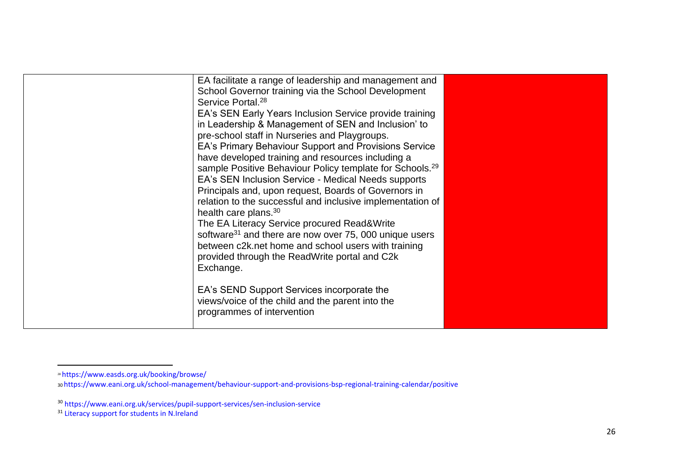<sup>28</sup> https://www.easds.org.uk/booking/browse/

<sup>30</sup>https://www.eani.org.uk/school-management/behaviour-support-and-provisions-bsp-regional-training-calendar/positive

<sup>&</sup>lt;sup>30</sup> https://www.eani.org.uk/services/pupil-support-services/sen-inclusion-service

<sup>&</sup>lt;sup>31</sup> Literacy support for students in N.Ireland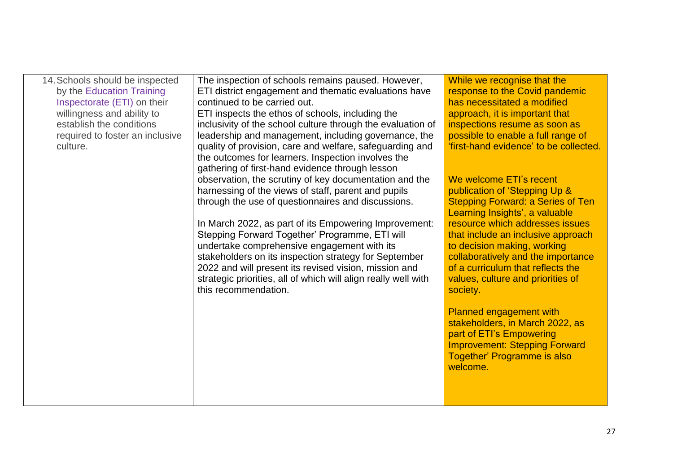| 14. Schools should be inspected | The inspection of schools remains paused. However,             | While we recognise that the              |
|---------------------------------|----------------------------------------------------------------|------------------------------------------|
| by the Education Training       | ETI district engagement and thematic evaluations have          | response to the Covid pandemic           |
| Inspectorate (ETI) on their     | continued to be carried out.                                   | has necessitated a modified              |
| willingness and ability to      | ETI inspects the ethos of schools, including the               | approach, it is important that           |
| establish the conditions        | inclusivity of the school culture through the evaluation of    | inspections resume as soon as            |
| required to foster an inclusive | leadership and management, including governance, the           | possible to enable a full range of       |
| culture.                        | quality of provision, care and welfare, safeguarding and       | 'first-hand evidence' to be collected.   |
|                                 | the outcomes for learners. Inspection involves the             |                                          |
|                                 | gathering of first-hand evidence through lesson                |                                          |
|                                 | observation, the scrutiny of key documentation and the         | We welcome ETI's recent                  |
|                                 | harnessing of the views of staff, parent and pupils            | publication of 'Stepping Up &            |
|                                 | through the use of questionnaires and discussions.             | <b>Stepping Forward: a Series of Ten</b> |
|                                 |                                                                | Learning Insights', a valuable           |
|                                 | In March 2022, as part of its Empowering Improvement:          | resource which addresses issues          |
|                                 | Stepping Forward Together' Programme, ETI will                 | that include an inclusive approach       |
|                                 | undertake comprehensive engagement with its                    | to decision making, working              |
|                                 | stakeholders on its inspection strategy for September          | collaboratively and the importance       |
|                                 | 2022 and will present its revised vision, mission and          | of a curriculum that reflects the        |
|                                 | strategic priorities, all of which will align really well with | values, culture and priorities of        |
|                                 | this recommendation.                                           | society.                                 |
|                                 |                                                                |                                          |
|                                 |                                                                | <b>Planned engagement with</b>           |
|                                 |                                                                | stakeholders, in March 2022, as          |
|                                 |                                                                | part of ETI's Empowering                 |
|                                 |                                                                | <b>Improvement: Stepping Forward</b>     |
|                                 |                                                                | Together' Programme is also              |
|                                 |                                                                | welcome.                                 |
|                                 |                                                                |                                          |
|                                 |                                                                |                                          |
|                                 |                                                                |                                          |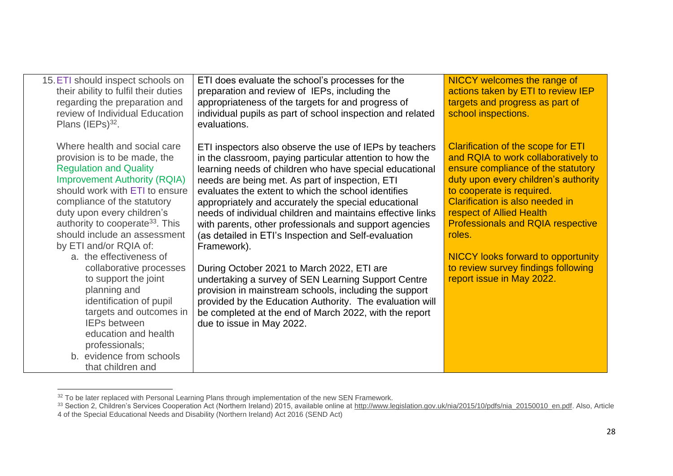| 15. ETI should inspect schools on<br>their ability to fulfil their duties<br>regarding the preparation and<br>review of Individual Education<br>Plans (IEPs) <sup>32</sup> .                                                                                                                                                                                                                                                                                                                                                                                                                                       | ETI does evaluate the school's processes for the<br>preparation and review of IEPs, including the<br>appropriateness of the targets for and progress of<br>individual pupils as part of school inspection and related<br>evaluations.                                                                                                                                                                                                                                                                                                                                                                                                                                                                                                                                                                                                                             | NICCY welcomes the range of<br>actions taken by ETI to review IEP<br>targets and progress as part of<br>school inspections.                                                                                                                                                                                                                                                                                                       |
|--------------------------------------------------------------------------------------------------------------------------------------------------------------------------------------------------------------------------------------------------------------------------------------------------------------------------------------------------------------------------------------------------------------------------------------------------------------------------------------------------------------------------------------------------------------------------------------------------------------------|-------------------------------------------------------------------------------------------------------------------------------------------------------------------------------------------------------------------------------------------------------------------------------------------------------------------------------------------------------------------------------------------------------------------------------------------------------------------------------------------------------------------------------------------------------------------------------------------------------------------------------------------------------------------------------------------------------------------------------------------------------------------------------------------------------------------------------------------------------------------|-----------------------------------------------------------------------------------------------------------------------------------------------------------------------------------------------------------------------------------------------------------------------------------------------------------------------------------------------------------------------------------------------------------------------------------|
| Where health and social care<br>provision is to be made, the<br><b>Regulation and Quality</b><br><b>Improvement Authority (RQIA)</b><br>should work with ETI to ensure<br>compliance of the statutory<br>duty upon every children's<br>authority to cooperate <sup>33</sup> . This<br>should include an assessment<br>by ETI and/or RQIA of:<br>a. the effectiveness of<br>collaborative processes<br>to support the joint<br>planning and<br>identification of pupil<br>targets and outcomes in<br><b>IEPs between</b><br>education and health<br>professionals;<br>b. evidence from schools<br>that children and | ETI inspectors also observe the use of IEPs by teachers<br>in the classroom, paying particular attention to how the<br>learning needs of children who have special educational<br>needs are being met. As part of inspection, ETI<br>evaluates the extent to which the school identifies<br>appropriately and accurately the special educational<br>needs of individual children and maintains effective links<br>with parents, other professionals and support agencies<br>(as detailed in ETI's Inspection and Self-evaluation<br>Framework).<br>During October 2021 to March 2022, ETI are<br>undertaking a survey of SEN Learning Support Centre<br>provision in mainstream schools, including the support<br>provided by the Education Authority. The evaluation will<br>be completed at the end of March 2022, with the report<br>due to issue in May 2022. | <b>Clarification of the scope for ETI</b><br>and RQIA to work collaboratively to<br>ensure compliance of the statutory<br>duty upon every children's authority<br>to cooperate is required.<br>Clarification is also needed in<br>respect of Allied Health<br><b>Professionals and RQIA respective</b><br>roles.<br><b>NICCY looks forward to opportunity</b><br>to review survey findings following<br>report issue in May 2022. |

 $32$  To be later replaced with Personal Learning Plans through implementation of the new SEN Framework.

<sup>&</sup>lt;sup>33</sup> Section 2, Children's Services Cooperation Act (Northern Ireland) 2015, available online at <u>http://www.legislation.gov.uk/nia/2015/10/pdfs/nia\_20150010\_en.pdf</u>. Also, Article

<sup>4</sup> of the Special Educational Needs and Disability (Northern Ireland) Act 2016 (SEND Act)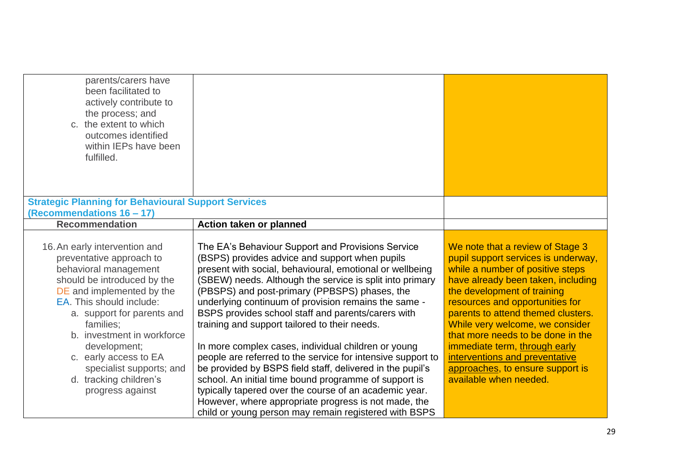| parents/carers have<br>been facilitated to<br>actively contribute to<br>the process; and<br>c. the extent to which<br>outcomes identified<br>within IEPs have been<br>fulfilled.                                                                                                                                                                                       |                                                                                                                                                                                                                                                                                                                                                                                                                                                                                                                                                                                                                                                                                                                                                                                                                                                                    |                                                                                                                                                                                                                                                                                                                                                                                                                                                                    |
|------------------------------------------------------------------------------------------------------------------------------------------------------------------------------------------------------------------------------------------------------------------------------------------------------------------------------------------------------------------------|--------------------------------------------------------------------------------------------------------------------------------------------------------------------------------------------------------------------------------------------------------------------------------------------------------------------------------------------------------------------------------------------------------------------------------------------------------------------------------------------------------------------------------------------------------------------------------------------------------------------------------------------------------------------------------------------------------------------------------------------------------------------------------------------------------------------------------------------------------------------|--------------------------------------------------------------------------------------------------------------------------------------------------------------------------------------------------------------------------------------------------------------------------------------------------------------------------------------------------------------------------------------------------------------------------------------------------------------------|
| <b>Strategic Planning for Behavioural Support Services</b>                                                                                                                                                                                                                                                                                                             |                                                                                                                                                                                                                                                                                                                                                                                                                                                                                                                                                                                                                                                                                                                                                                                                                                                                    |                                                                                                                                                                                                                                                                                                                                                                                                                                                                    |
| (Recommendations 16 - 17)                                                                                                                                                                                                                                                                                                                                              |                                                                                                                                                                                                                                                                                                                                                                                                                                                                                                                                                                                                                                                                                                                                                                                                                                                                    |                                                                                                                                                                                                                                                                                                                                                                                                                                                                    |
| <b>Recommendation</b>                                                                                                                                                                                                                                                                                                                                                  | Action taken or planned                                                                                                                                                                                                                                                                                                                                                                                                                                                                                                                                                                                                                                                                                                                                                                                                                                            |                                                                                                                                                                                                                                                                                                                                                                                                                                                                    |
| 16. An early intervention and<br>preventative approach to<br>behavioral management<br>should be introduced by the<br>DE and implemented by the<br>EA. This should include:<br>a. support for parents and<br>families;<br>b. investment in workforce<br>development;<br>c. early access to EA<br>specialist supports; and<br>d. tracking children's<br>progress against | The EA's Behaviour Support and Provisions Service<br>(BSPS) provides advice and support when pupils<br>present with social, behavioural, emotional or wellbeing<br>(SBEW) needs. Although the service is split into primary<br>(PBSPS) and post-primary (PPBSPS) phases, the<br>underlying continuum of provision remains the same -<br>BSPS provides school staff and parents/carers with<br>training and support tailored to their needs.<br>In more complex cases, individual children or young<br>people are referred to the service for intensive support to<br>be provided by BSPS field staff, delivered in the pupil's<br>school. An initial time bound programme of support is<br>typically tapered over the course of an academic year.<br>However, where appropriate progress is not made, the<br>child or young person may remain registered with BSPS | We note that a review of Stage 3<br>pupil support services is underway,<br>while a number of positive steps<br>have already been taken, including<br>the development of training<br>resources and opportunities for<br>parents to attend themed clusters.<br>While very welcome, we consider<br>that more needs to be done in the<br>immediate term, through early<br>interventions and preventative<br>approaches, to ensure support is<br>available when needed. |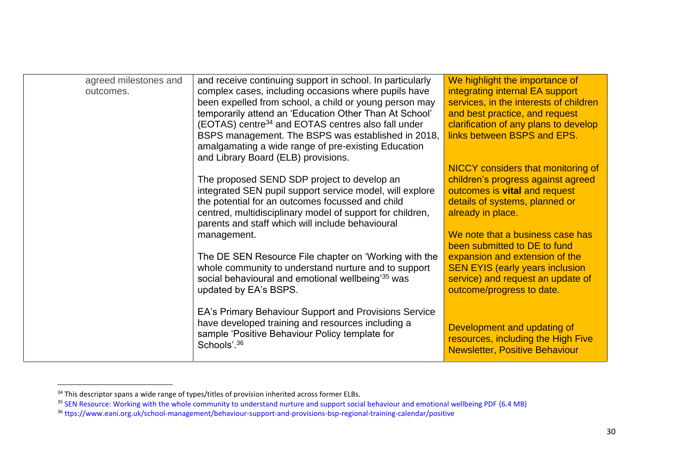| agreed milestones and | and receive continuing support in school. In particularly      | We highlight the importance of            |
|-----------------------|----------------------------------------------------------------|-------------------------------------------|
| outcomes.             | complex cases, including occasions where pupils have           | integrating internal EA support           |
|                       | been expelled from school, a child or young person may         | services, in the interests of children    |
|                       | temporarily attend an 'Education Other Than At School'         | and best practice, and request            |
|                       | (EOTAS) centre <sup>34</sup> and EOTAS centres also fall under | clarification of any plans to develop     |
|                       | BSPS management. The BSPS was established in 2018,             | links between BSPS and EPS.               |
|                       | amalgamating a wide range of pre-existing Education            |                                           |
|                       | and Library Board (ELB) provisions.                            |                                           |
|                       |                                                                | <b>NICCY</b> considers that monitoring of |
|                       | The proposed SEND SDP project to develop an                    | children's progress against agreed        |
|                       | integrated SEN pupil support service model, will explore       | outcomes is vital and request             |
|                       | the potential for an outcomes focussed and child               | details of systems, planned or            |
|                       | centred, multidisciplinary model of support for children,      | already in place.                         |
|                       | parents and staff which will include behavioural               |                                           |
|                       | management.                                                    | We note that a business case has          |
|                       |                                                                | been submitted to DE to fund              |
|                       | The DE SEN Resource File chapter on 'Working with the          | expansion and extension of the            |
|                       | whole community to understand nurture and to support           | <b>SEN EYIS (early years inclusion)</b>   |
|                       | social behavioural and emotional wellbeing <sup>'35</sup> was  | service) and request an update of         |
|                       | updated by EA's BSPS.                                          | outcome/progress to date.                 |
|                       |                                                                |                                           |
|                       |                                                                |                                           |
|                       | EA's Primary Behaviour Support and Provisions Service          |                                           |
|                       | have developed training and resources including a              | Development and updating of               |
|                       | sample 'Positive Behaviour Policy template for                 | resources, including the High Five        |
|                       | Schools'. <sup>36</sup>                                        | <b>Newsletter, Positive Behaviour</b>     |
|                       |                                                                |                                           |

<sup>&</sup>lt;sup>34</sup> This descriptor spans a wide range of types/titles of provision inherited across former ELBs.

<sup>&</sup>lt;sup>35</sup> SEN Resource: Working with the whole community to understand nurture and support social behaviour and emotional wellbeing PDF (6.4 MB)

<sup>36</sup> ttps://www.eani.org.uk/school-management/behaviour-support-and-provisions-bsp-regional-training-calendar/positive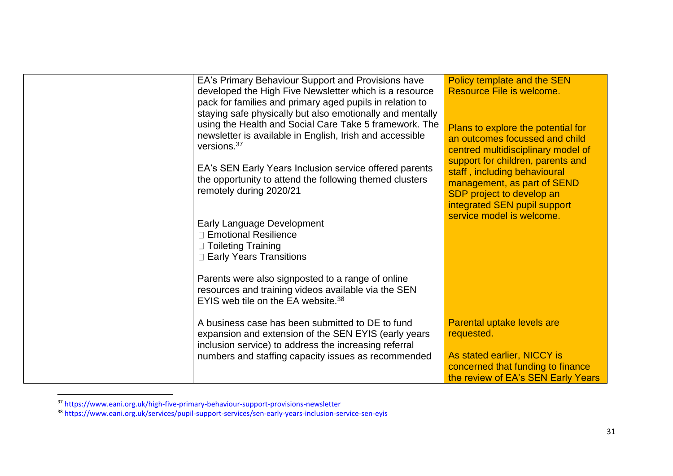| EA's Primary Behaviour Support and Provisions have<br>developed the High Five Newsletter which is a resource<br>pack for families and primary aged pupils in relation to<br>staying safe physically but also emotionally and mentally<br>using the Health and Social Care Take 5 framework. The<br>newsletter is available in English, Irish and accessible<br>versions. <sup>37</sup><br>EA's SEN Early Years Inclusion service offered parents<br>the opportunity to attend the following themed clusters<br>remotely during 2020/21<br>Early Language Development<br>□ Emotional Resilience<br>□ Toileting Training<br><b>Early Years Transitions</b><br>Parents were also signposted to a range of online<br>resources and training videos available via the SEN<br>EYIS web tile on the EA website. <sup>38</sup> | Policy template and the SEN<br>Resource File is welcome.<br>Plans to explore the potential for<br>an outcomes focussed and child<br>centred multidisciplinary model of<br>support for children, parents and<br>staff, including behavioural<br>management, as part of SEND<br>SDP project to develop an<br>integrated SEN pupil support<br>service model is welcome. |
|------------------------------------------------------------------------------------------------------------------------------------------------------------------------------------------------------------------------------------------------------------------------------------------------------------------------------------------------------------------------------------------------------------------------------------------------------------------------------------------------------------------------------------------------------------------------------------------------------------------------------------------------------------------------------------------------------------------------------------------------------------------------------------------------------------------------|----------------------------------------------------------------------------------------------------------------------------------------------------------------------------------------------------------------------------------------------------------------------------------------------------------------------------------------------------------------------|
| A business case has been submitted to DE to fund<br>expansion and extension of the SEN EYIS (early years<br>inclusion service) to address the increasing referral<br>numbers and staffing capacity issues as recommended                                                                                                                                                                                                                                                                                                                                                                                                                                                                                                                                                                                               | Parental uptake levels are<br>requested.<br>As stated earlier, NICCY is<br>concerned that funding to finance<br>the review of EA's SEN Early Years                                                                                                                                                                                                                   |

<sup>&</sup>lt;sup>37</sup> https://www.eani.org.uk/high-five-primary-behaviour-support-provisions-newsletter

<sup>&</sup>lt;sup>38</sup> https://www.eani.org.uk/services/pupil-support-services/sen-early-years-inclusion-service-sen-eyis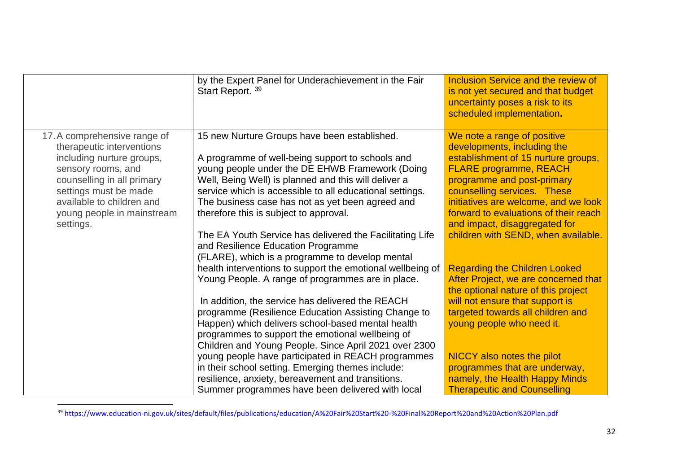|                                                                                                                                                                                                                                             | by the Expert Panel for Underachievement in the Fair<br>Start Report. 39                                                                                                                                                                                                                                                                                                                                                                                                              | Inclusion Service and the review of<br>is not yet secured and that budget<br>uncertainty poses a risk to its<br>scheduled implementation.                                                                                                                                                                                                                |
|---------------------------------------------------------------------------------------------------------------------------------------------------------------------------------------------------------------------------------------------|---------------------------------------------------------------------------------------------------------------------------------------------------------------------------------------------------------------------------------------------------------------------------------------------------------------------------------------------------------------------------------------------------------------------------------------------------------------------------------------|----------------------------------------------------------------------------------------------------------------------------------------------------------------------------------------------------------------------------------------------------------------------------------------------------------------------------------------------------------|
| 17. A comprehensive range of<br>therapeutic interventions<br>including nurture groups,<br>sensory rooms, and<br>counselling in all primary<br>settings must be made<br>available to children and<br>young people in mainstream<br>settings. | 15 new Nurture Groups have been established.<br>A programme of well-being support to schools and<br>young people under the DE EHWB Framework (Doing<br>Well, Being Well) is planned and this will deliver a<br>service which is accessible to all educational settings.<br>The business case has not as yet been agreed and<br>therefore this is subject to approval.<br>The EA Youth Service has delivered the Facilitating Life                                                     | We note a range of positive<br>developments, including the<br>establishment of 15 nurture groups,<br><b>FLARE programme, REACH</b><br>programme and post-primary<br>counselling services. These<br>initiatives are welcome, and we look<br>forward to evaluations of their reach<br>and impact, disaggregated for<br>children with SEND, when available. |
|                                                                                                                                                                                                                                             | and Resilience Education Programme<br>(FLARE), which is a programme to develop mental<br>health interventions to support the emotional wellbeing of<br>Young People. A range of programmes are in place.<br>In addition, the service has delivered the REACH<br>programme (Resilience Education Assisting Change to<br>Happen) which delivers school-based mental health<br>programmes to support the emotional wellbeing of<br>Children and Young People. Since April 2021 over 2300 | <b>Regarding the Children Looked</b><br>After Project, we are concerned that<br>the optional nature of this project<br>will not ensure that support is<br>targeted towards all children and<br>young people who need it.                                                                                                                                 |
|                                                                                                                                                                                                                                             | young people have participated in REACH programmes<br>in their school setting. Emerging themes include:<br>resilience, anxiety, bereavement and transitions.<br>Summer programmes have been delivered with local                                                                                                                                                                                                                                                                      | NICCY also notes the pilot<br>programmes that are underway,<br>namely, the Health Happy Minds<br><b>Therapeutic and Counselling</b>                                                                                                                                                                                                                      |

<sup>39</sup> https://www.education-ni.gov.uk/sites/default/files/publications/education/A%20Fair%20Start%20-%20Final%20Report%20and%20Action%20Plan.pdf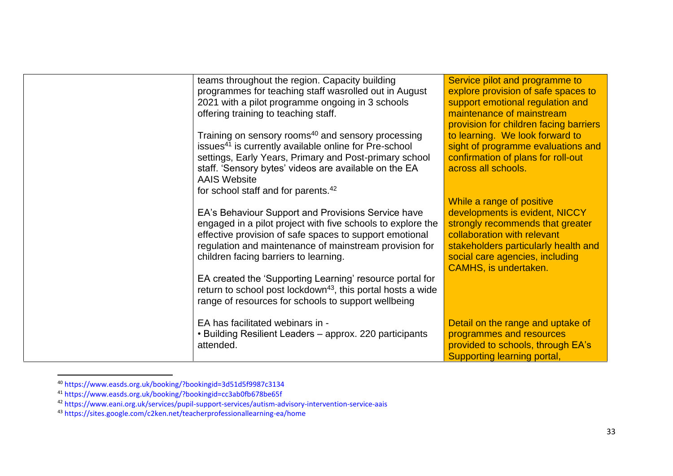| teams throughout the region. Capacity building<br>programmes for teaching staff wasrolled out in August<br>2021 with a pilot programme ongoing in 3 schools<br>offering training to teaching staff.<br>Training on sensory rooms <sup>40</sup> and sensory processing<br>issues <sup>41</sup> is currently available online for Pre-school<br>settings, Early Years, Primary and Post-primary school<br>staff. 'Sensory bytes' videos are available on the EA<br><b>AAIS Website</b><br>for school staff and for parents. <sup>42</sup><br>EA's Behaviour Support and Provisions Service have<br>engaged in a pilot project with five schools to explore the<br>effective provision of safe spaces to support emotional<br>regulation and maintenance of mainstream provision for<br>children facing barriers to learning. | Service pilot and programme to<br>explore provision of safe spaces to<br>support emotional regulation and<br>maintenance of mainstream<br>provision for children facing barriers<br>to learning. We look forward to<br>sight of programme evaluations and<br>confirmation of plans for roll-out<br>across all schools.<br>While a range of positive<br>developments is evident, NICCY<br>strongly recommends that greater<br>collaboration with relevant<br>stakeholders particularly health and<br>social care agencies, including<br><b>CAMHS, is undertaken.</b> |
|----------------------------------------------------------------------------------------------------------------------------------------------------------------------------------------------------------------------------------------------------------------------------------------------------------------------------------------------------------------------------------------------------------------------------------------------------------------------------------------------------------------------------------------------------------------------------------------------------------------------------------------------------------------------------------------------------------------------------------------------------------------------------------------------------------------------------|---------------------------------------------------------------------------------------------------------------------------------------------------------------------------------------------------------------------------------------------------------------------------------------------------------------------------------------------------------------------------------------------------------------------------------------------------------------------------------------------------------------------------------------------------------------------|
| EA created the 'Supporting Learning' resource portal for<br>return to school post lockdown <sup>43</sup> , this portal hosts a wide<br>range of resources for schools to support wellbeing                                                                                                                                                                                                                                                                                                                                                                                                                                                                                                                                                                                                                                 |                                                                                                                                                                                                                                                                                                                                                                                                                                                                                                                                                                     |
| EA has facilitated webinars in -<br>• Building Resilient Leaders – approx. 220 participants<br>attended.                                                                                                                                                                                                                                                                                                                                                                                                                                                                                                                                                                                                                                                                                                                   | Detail on the range and uptake of<br>programmes and resources<br>provided to schools, through EA's<br>Supporting learning portal,                                                                                                                                                                                                                                                                                                                                                                                                                                   |

<sup>40</sup> https://www.easds.org.uk/booking/?bookingid=3d51d5f9987c3134

<sup>41</sup> https://www.easds.org.uk/booking/?bookingid=cc3ab0fb678be65f

<sup>&</sup>lt;sup>42</sup> https://www.eani.org.uk/services/pupil-support-services/autism-advisory-intervention-service-aais

<sup>43</sup> https://sites.google.com/c2ken.net/teacherprofessionallearning-ea/home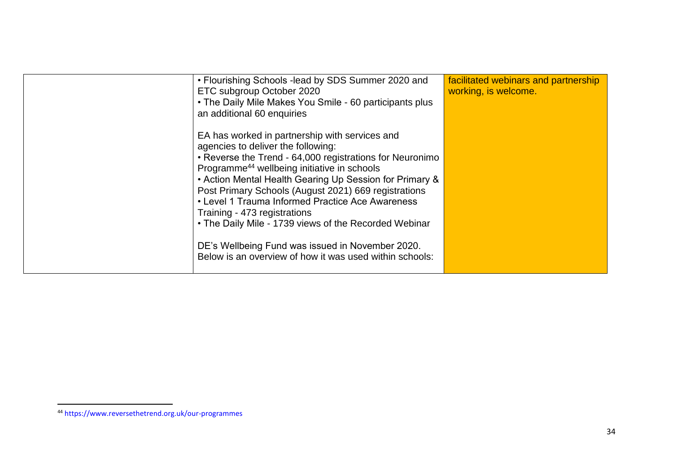| • Flourishing Schools -lead by SDS Summer 2020 and       | facilitated webinars and partnership |
|----------------------------------------------------------|--------------------------------------|
| ETC subgroup October 2020                                | working, is welcome.                 |
| • The Daily Mile Makes You Smile - 60 participants plus  |                                      |
| an additional 60 enquiries                               |                                      |
|                                                          |                                      |
| EA has worked in partnership with services and           |                                      |
| agencies to deliver the following:                       |                                      |
| • Reverse the Trend - 64,000 registrations for Neuronimo |                                      |
| Programme <sup>44</sup> wellbeing initiative in schools  |                                      |
| • Action Mental Health Gearing Up Session for Primary &  |                                      |
| Post Primary Schools (August 2021) 669 registrations     |                                      |
| • Level 1 Trauma Informed Practice Ace Awareness         |                                      |
| Training - 473 registrations                             |                                      |
| • The Daily Mile - 1739 views of the Recorded Webinar    |                                      |
|                                                          |                                      |
| DE's Wellbeing Fund was issued in November 2020.         |                                      |
| Below is an overview of how it was used within schools:  |                                      |
|                                                          |                                      |
|                                                          |                                      |

<sup>44</sup> https://www.reversethetrend.org.uk/our-programmes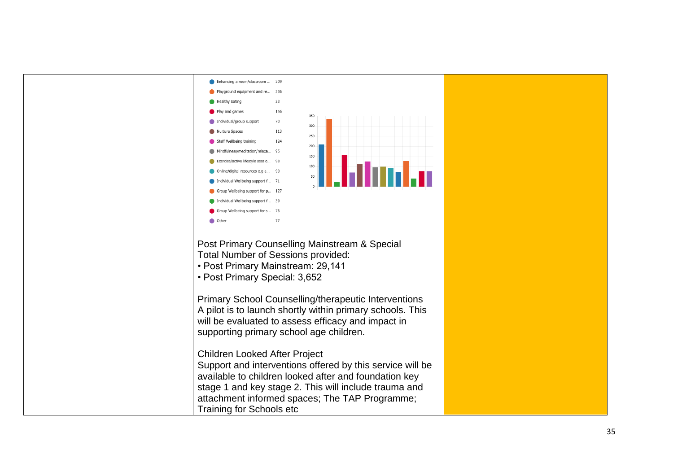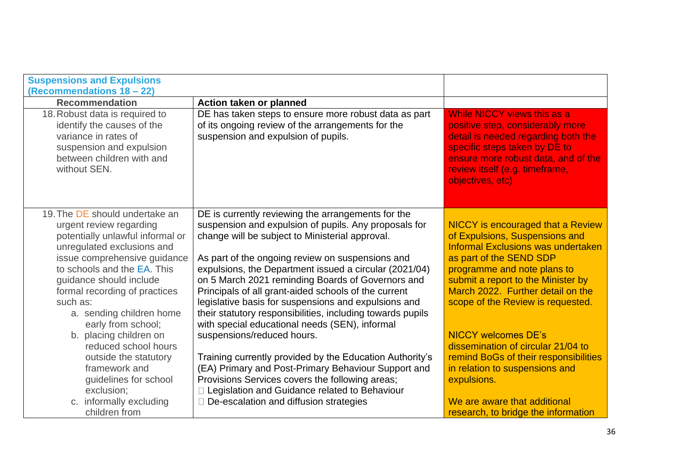| <b>Suspensions and Expulsions</b><br>(Recommendations 18 - 22)                                                                                                                                                                                                                                                       |                                                                                                                                                                                                                                                                                                                                                                                                                                                                                                                                                                   |                                                                                                                                                                                                                                                                                                   |
|----------------------------------------------------------------------------------------------------------------------------------------------------------------------------------------------------------------------------------------------------------------------------------------------------------------------|-------------------------------------------------------------------------------------------------------------------------------------------------------------------------------------------------------------------------------------------------------------------------------------------------------------------------------------------------------------------------------------------------------------------------------------------------------------------------------------------------------------------------------------------------------------------|---------------------------------------------------------------------------------------------------------------------------------------------------------------------------------------------------------------------------------------------------------------------------------------------------|
| <b>Recommendation</b>                                                                                                                                                                                                                                                                                                | Action taken or planned                                                                                                                                                                                                                                                                                                                                                                                                                                                                                                                                           |                                                                                                                                                                                                                                                                                                   |
| 18. Robust data is required to<br>identify the causes of the<br>variance in rates of<br>suspension and expulsion<br>between children with and<br>without SEN.                                                                                                                                                        | DE has taken steps to ensure more robust data as part<br>of its ongoing review of the arrangements for the<br>suspension and expulsion of pupils.                                                                                                                                                                                                                                                                                                                                                                                                                 | While NICCY views this as a<br>positive step, considerably more<br>detail is needed regarding both the<br>specific steps taken by DE to<br>ensure more robust data, and of the<br>review itself (e.g. timeframe,<br>objectives, etc)                                                              |
| 19. The DE should undertake an<br>urgent review regarding<br>potentially unlawful informal or<br>unregulated exclusions and<br>issue comprehensive guidance<br>to schools and the EA. This<br>guidance should include<br>formal recording of practices<br>such as:<br>a. sending children home<br>early from school; | DE is currently reviewing the arrangements for the<br>suspension and expulsion of pupils. Any proposals for<br>change will be subject to Ministerial approval.<br>As part of the ongoing review on suspensions and<br>expulsions, the Department issued a circular (2021/04)<br>on 5 March 2021 reminding Boards of Governors and<br>Principals of all grant-aided schools of the current<br>legislative basis for suspensions and expulsions and<br>their statutory responsibilities, including towards pupils<br>with special educational needs (SEN), informal | <b>NICCY</b> is encouraged that a Review<br>of Expulsions, Suspensions and<br><b>Informal Exclusions was undertaken</b><br>as part of the SEND SDP<br>programme and note plans to<br>submit a report to the Minister by<br>March 2022. Further detail on the<br>scope of the Review is requested. |
| b. placing children on<br>reduced school hours<br>outside the statutory<br>framework and<br>guidelines for school<br>exclusion;<br>c. informally excluding<br>children from                                                                                                                                          | suspensions/reduced hours.<br>Training currently provided by the Education Authority's<br>(EA) Primary and Post-Primary Behaviour Support and<br>Provisions Services covers the following areas;<br>Legislation and Guidance related to Behaviour<br>□ De-escalation and diffusion strategies                                                                                                                                                                                                                                                                     | <b>NICCY welcomes DE's</b><br>dissemination of circular 21/04 to<br>remind BoGs of their responsibilities<br>in relation to suspensions and<br>expulsions.<br>We are aware that additional<br>research, to bridge the information                                                                 |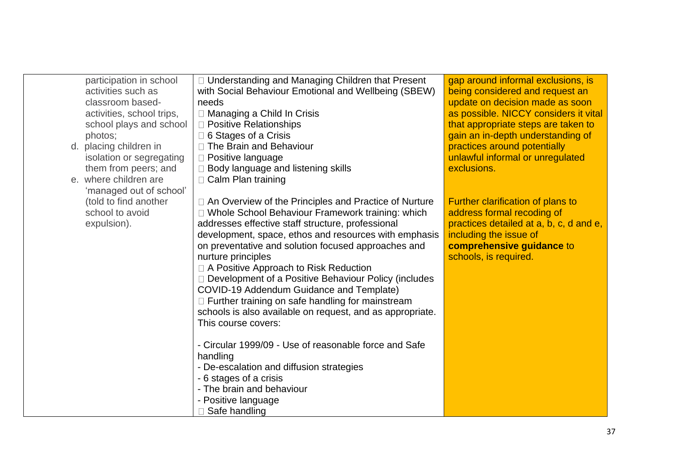| participation in school   | □ Understanding and Managing Children that Present        | gap around informal exclusions, is      |
|---------------------------|-----------------------------------------------------------|-----------------------------------------|
| activities such as        | with Social Behaviour Emotional and Wellbeing (SBEW)      | being considered and request an         |
| classroom based-          | needs                                                     | update on decision made as soon         |
| activities, school trips, | □ Managing a Child In Crisis                              | as possible. NICCY considers it vital   |
| school plays and school   | $\Box$ Positive Relationships                             | that appropriate steps are taken to     |
| photos;                   | □ 6 Stages of a Crisis                                    | gain an in-depth understanding of       |
| d. placing children in    | □ The Brain and Behaviour                                 | practices around potentially            |
| isolation or segregating  | D Positive language                                       | unlawful informal or unregulated        |
| them from peers; and      | □ Body language and listening skills                      | exclusions.                             |
| e. where children are     | □ Calm Plan training                                      |                                         |
| 'managed out of school'   |                                                           |                                         |
| (told to find another     | □ An Overview of the Principles and Practice of Nurture   | Further clarification of plans to       |
| school to avoid           | □ Whole School Behaviour Framework training: which        | address formal recoding of              |
| expulsion).               | addresses effective staff structure, professional         | practices detailed at a, b, c, d and e, |
|                           | development, space, ethos and resources with emphasis     | including the issue of                  |
|                           | on preventative and solution focused approaches and       | comprehensive guidance to               |
|                           | nurture principles                                        | schools, is required.                   |
|                           | □ A Positive Approach to Risk Reduction                   |                                         |
|                           | □ Development of a Positive Behaviour Policy (includes    |                                         |
|                           | COVID-19 Addendum Guidance and Template)                  |                                         |
|                           | □ Further training on safe handling for mainstream        |                                         |
|                           | schools is also available on request, and as appropriate. |                                         |
|                           | This course covers:                                       |                                         |
|                           |                                                           |                                         |
|                           | - Circular 1999/09 - Use of reasonable force and Safe     |                                         |
|                           | handling                                                  |                                         |
|                           | - De-escalation and diffusion strategies                  |                                         |
|                           | - 6 stages of a crisis                                    |                                         |
|                           | - The brain and behaviour                                 |                                         |
|                           | - Positive language                                       |                                         |
|                           | Safe handling                                             |                                         |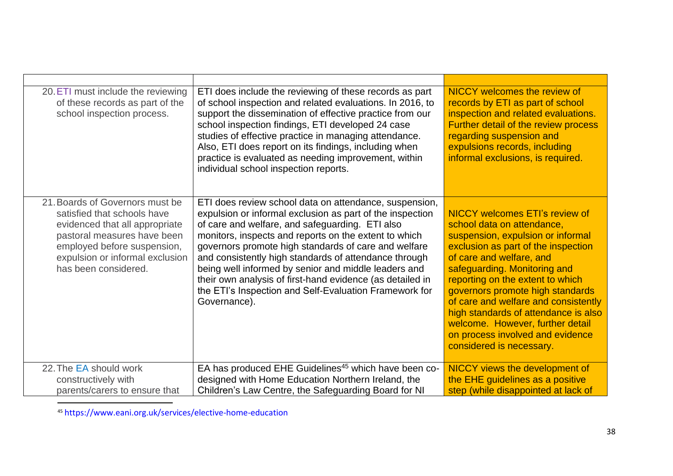| 20. ETI must include the reviewing<br>of these records as part of the<br>school inspection process.                                                                                                                       | ETI does include the reviewing of these records as part<br>of school inspection and related evaluations. In 2016, to<br>support the dissemination of effective practice from our<br>school inspection findings, ETI developed 24 case<br>studies of effective practice in managing attendance.<br>Also, ETI does report on its findings, including when<br>practice is evaluated as needing improvement, within<br>individual school inspection reports.                                                                                        | <b>NICCY</b> welcomes the review of<br>records by ETI as part of school<br>inspection and related evaluations.<br>Further detail of the review process<br>regarding suspension and<br>expulsions records, including<br>informal exclusions, is required.                                                                                                                                                                                                         |
|---------------------------------------------------------------------------------------------------------------------------------------------------------------------------------------------------------------------------|-------------------------------------------------------------------------------------------------------------------------------------------------------------------------------------------------------------------------------------------------------------------------------------------------------------------------------------------------------------------------------------------------------------------------------------------------------------------------------------------------------------------------------------------------|------------------------------------------------------------------------------------------------------------------------------------------------------------------------------------------------------------------------------------------------------------------------------------------------------------------------------------------------------------------------------------------------------------------------------------------------------------------|
| 21. Boards of Governors must be<br>satisfied that schools have<br>evidenced that all appropriate<br>pastoral measures have been<br>employed before suspension,<br>expulsion or informal exclusion<br>has been considered. | ETI does review school data on attendance, suspension,<br>expulsion or informal exclusion as part of the inspection<br>of care and welfare, and safeguarding. ETI also<br>monitors, inspects and reports on the extent to which<br>governors promote high standards of care and welfare<br>and consistently high standards of attendance through<br>being well informed by senior and middle leaders and<br>their own analysis of first-hand evidence (as detailed in<br>the ETI's Inspection and Self-Evaluation Framework for<br>Governance). | NICCY welcomes ETI's review of<br>school data on attendance,<br>suspension, expulsion or informal<br>exclusion as part of the inspection<br>of care and welfare, and<br>safeguarding. Monitoring and<br>reporting on the extent to which<br>governors promote high standards<br>of care and welfare and consistently<br>high standards of attendance is also<br>welcome. However, further detail<br>on process involved and evidence<br>considered is necessary. |
| 22. The EA should work                                                                                                                                                                                                    | EA has produced EHE Guidelines <sup>45</sup> which have been co-                                                                                                                                                                                                                                                                                                                                                                                                                                                                                | <b>NICCY views the development of</b>                                                                                                                                                                                                                                                                                                                                                                                                                            |
| constructively with                                                                                                                                                                                                       | designed with Home Education Northern Ireland, the                                                                                                                                                                                                                                                                                                                                                                                                                                                                                              | the EHE guidelines as a positive                                                                                                                                                                                                                                                                                                                                                                                                                                 |
| parents/carers to ensure that                                                                                                                                                                                             | Children's Law Centre, the Safeguarding Board for NI                                                                                                                                                                                                                                                                                                                                                                                                                                                                                            | step (while disappointed at lack of                                                                                                                                                                                                                                                                                                                                                                                                                              |

<sup>45</sup> https://www.eani.org.uk/services/elective-home-education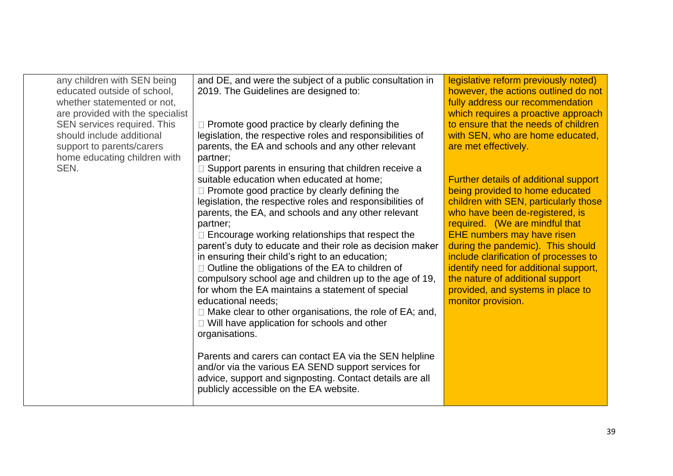| any children with SEN being<br>educated outside of school,<br>whether statemented or not,<br>are provided with the specialist | and DE, and were the subject of a public consultation in<br>2019. The Guidelines are designed to:           | legislative reform previously noted)<br>however, the actions outlined do not<br>fully address our recommendation<br>which requires a proactive approach |
|-------------------------------------------------------------------------------------------------------------------------------|-------------------------------------------------------------------------------------------------------------|---------------------------------------------------------------------------------------------------------------------------------------------------------|
| SEN services required. This                                                                                                   | $\Box$ Promote good practice by clearly defining the                                                        | to ensure that the needs of children                                                                                                                    |
| should include additional                                                                                                     | legislation, the respective roles and responsibilities of                                                   | with SEN, who are home educated,                                                                                                                        |
| support to parents/carers                                                                                                     | parents, the EA and schools and any other relevant                                                          | are met effectively.                                                                                                                                    |
| home educating children with                                                                                                  | partner;                                                                                                    |                                                                                                                                                         |
| SEN.                                                                                                                          | $\Box$ Support parents in ensuring that children receive a                                                  |                                                                                                                                                         |
|                                                                                                                               | suitable education when educated at home;                                                                   | Further details of additional support                                                                                                                   |
|                                                                                                                               | $\Box$ Promote good practice by clearly defining the                                                        | being provided to home educated                                                                                                                         |
|                                                                                                                               | legislation, the respective roles and responsibilities of                                                   | children with SEN, particularly those                                                                                                                   |
|                                                                                                                               | parents, the EA, and schools and any other relevant                                                         | who have been de-registered, is                                                                                                                         |
|                                                                                                                               | partner;                                                                                                    | required. (We are mindful that                                                                                                                          |
|                                                                                                                               | $\Box$ Encourage working relationships that respect the                                                     | EHE numbers may have risen                                                                                                                              |
|                                                                                                                               | parent's duty to educate and their role as decision maker                                                   | during the pandemic). This should                                                                                                                       |
|                                                                                                                               | in ensuring their child's right to an education;                                                            | include clarification of processes to                                                                                                                   |
|                                                                                                                               | $\Box$ Outline the obligations of the EA to children of                                                     | identify need for additional support,                                                                                                                   |
|                                                                                                                               | compulsory school age and children up to the age of 19,<br>for whom the EA maintains a statement of special | the nature of additional support<br>provided, and systems in place to                                                                                   |
|                                                                                                                               | educational needs;                                                                                          | monitor provision.                                                                                                                                      |
|                                                                                                                               | $\Box$ Make clear to other organisations, the role of EA; and,                                              |                                                                                                                                                         |
|                                                                                                                               | $\Box$ Will have application for schools and other                                                          |                                                                                                                                                         |
|                                                                                                                               | organisations.                                                                                              |                                                                                                                                                         |
|                                                                                                                               |                                                                                                             |                                                                                                                                                         |
|                                                                                                                               | Parents and carers can contact EA via the SEN helpline                                                      |                                                                                                                                                         |
|                                                                                                                               | and/or via the various EA SEND support services for                                                         |                                                                                                                                                         |
|                                                                                                                               | advice, support and signposting. Contact details are all                                                    |                                                                                                                                                         |
|                                                                                                                               | publicly accessible on the EA website.                                                                      |                                                                                                                                                         |
|                                                                                                                               |                                                                                                             |                                                                                                                                                         |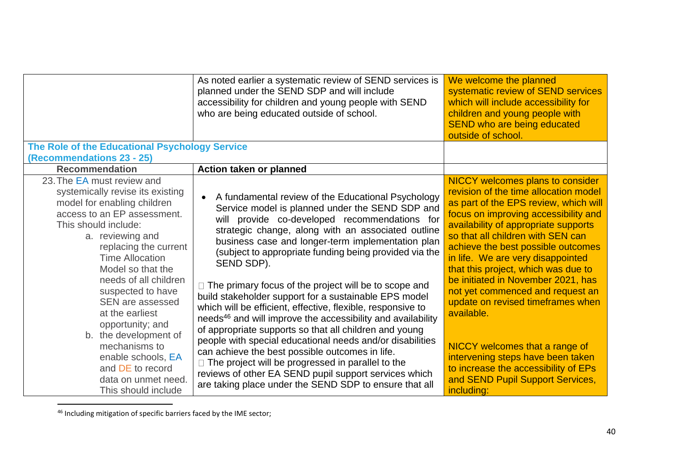|                                                                                                                                                                                                                                                                                                                                                                                                                                                                                                    | As noted earlier a systematic review of SEND services is<br>planned under the SEND SDP and will include<br>accessibility for children and young people with SEND<br>who are being educated outside of school.                                                                                                                                                                                                                                                                                                                                                                                                                                                                                                                                                                                                                                                                                                                                                    | We welcome the planned<br>systematic review of SEND services<br>which will include accessibility for<br>children and young people with<br>SEND who are being educated<br>outside of school.                                                                                                                                                                                                                                                                                                                                                                                                                                                                    |
|----------------------------------------------------------------------------------------------------------------------------------------------------------------------------------------------------------------------------------------------------------------------------------------------------------------------------------------------------------------------------------------------------------------------------------------------------------------------------------------------------|------------------------------------------------------------------------------------------------------------------------------------------------------------------------------------------------------------------------------------------------------------------------------------------------------------------------------------------------------------------------------------------------------------------------------------------------------------------------------------------------------------------------------------------------------------------------------------------------------------------------------------------------------------------------------------------------------------------------------------------------------------------------------------------------------------------------------------------------------------------------------------------------------------------------------------------------------------------|----------------------------------------------------------------------------------------------------------------------------------------------------------------------------------------------------------------------------------------------------------------------------------------------------------------------------------------------------------------------------------------------------------------------------------------------------------------------------------------------------------------------------------------------------------------------------------------------------------------------------------------------------------------|
| The Role of the Educational Psychology Service<br>(Recommendations 23 - 25)                                                                                                                                                                                                                                                                                                                                                                                                                        |                                                                                                                                                                                                                                                                                                                                                                                                                                                                                                                                                                                                                                                                                                                                                                                                                                                                                                                                                                  |                                                                                                                                                                                                                                                                                                                                                                                                                                                                                                                                                                                                                                                                |
| <b>Recommendation</b>                                                                                                                                                                                                                                                                                                                                                                                                                                                                              | Action taken or planned                                                                                                                                                                                                                                                                                                                                                                                                                                                                                                                                                                                                                                                                                                                                                                                                                                                                                                                                          |                                                                                                                                                                                                                                                                                                                                                                                                                                                                                                                                                                                                                                                                |
| 23. The EA must review and<br>systemically revise its existing<br>model for enabling children<br>access to an EP assessment.<br>This should include:<br>a. reviewing and<br>replacing the current<br><b>Time Allocation</b><br>Model so that the<br>needs of all children<br>suspected to have<br><b>SEN are assessed</b><br>at the earliest<br>opportunity; and<br>b. the development of<br>mechanisms to<br>enable schools, EA<br>and DE to record<br>data on unmet need.<br>This should include | A fundamental review of the Educational Psychology<br>Service model is planned under the SEND SDP and<br>will provide co-developed recommendations for<br>strategic change, along with an associated outline<br>business case and longer-term implementation plan<br>(subject to appropriate funding being provided via the<br>SEND SDP).<br>$\Box$ The primary focus of the project will be to scope and<br>build stakeholder support for a sustainable EPS model<br>which will be efficient, effective, flexible, responsive to<br>needs <sup>46</sup> and will improve the accessibility and availability<br>of appropriate supports so that all children and young<br>people with special educational needs and/or disabilities<br>can achieve the best possible outcomes in life.<br>□ The project will be progressed in parallel to the<br>reviews of other EA SEND pupil support services which<br>are taking place under the SEND SDP to ensure that all | <b>NICCY welcomes plans to consider</b><br>revision of the time allocation model<br>as part of the EPS review, which will<br>focus on improving accessibility and<br>availability of appropriate supports<br>so that all children with SEN can<br>achieve the best possible outcomes<br>in life. We are very disappointed<br>that this project, which was due to<br>be initiated in November 2021, has<br>not yet commenced and request an<br>update on revised timeframes when<br>available.<br>NICCY welcomes that a range of<br>intervening steps have been taken<br>to increase the accessibility of EPs<br>and SEND Pupil Support Services,<br>including: |

<sup>46</sup> Including mitigation of specific barriers faced by the IME sector;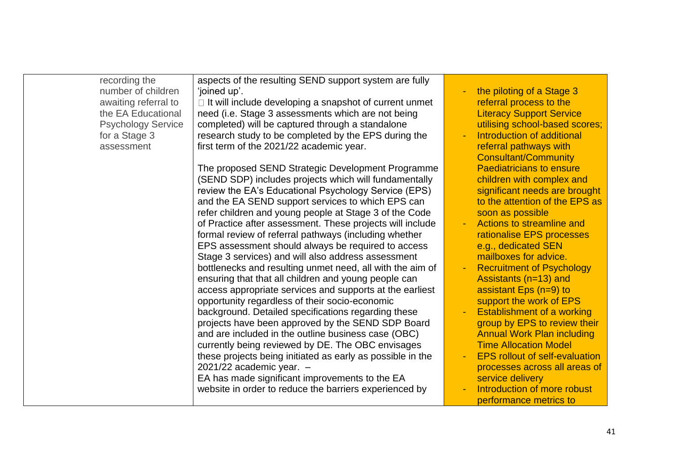| recording the<br>number of children<br>awaiting referral to<br>the EA Educational<br><b>Psychology Service</b><br>for a Stage 3<br>assessment | aspects of the resulting SEND support system are fully<br>'joined up'.<br>$\Box$ It will include developing a snapshot of current unmet<br>need (i.e. Stage 3 assessments which are not being<br>completed) will be captured through a standalone<br>research study to be completed by the EPS during the<br>first term of the 2021/22 academic year.<br>The proposed SEND Strategic Development Programme<br>(SEND SDP) includes projects which will fundamentally<br>review the EA's Educational Psychology Service (EPS)<br>and the EA SEND support services to which EPS can<br>refer children and young people at Stage 3 of the Code<br>of Practice after assessment. These projects will include<br>formal review of referral pathways (including whether<br>EPS assessment should always be required to access<br>Stage 3 services) and will also address assessment<br>bottlenecks and resulting unmet need, all with the aim of<br>ensuring that that all children and young people can<br>access appropriate services and supports at the earliest<br>opportunity regardless of their socio-economic<br>background. Detailed specifications regarding these<br>projects have been approved by the SEND SDP Board<br>and are included in the outline business case (OBC)<br>currently being reviewed by DE. The OBC envisages<br>these projects being initiated as early as possible in the<br>$2021/22$ academic year. $-$<br>EA has made significant improvements to the EA<br>website in order to reduce the barriers experienced by | the piloting of a Stage 3<br>referral process to the<br><b>Literacy Support Service</b><br>utilising school-based scores;<br>Introduction of additional<br>referral pathways with<br><b>Consultant/Community</b><br><b>Paediatricians to ensure</b><br>children with complex and<br>significant needs are brought<br>to the attention of the EPS as<br>soon as possible<br>Actions to streamline and<br>$\sim$<br>rationalise EPS processes<br>e.g., dedicated SEN<br>mailboxes for advice.<br><b>Recruitment of Psychology</b><br>$\sim$<br>Assistants (n=13) and<br>assistant Eps $(n=9)$ to<br>support the work of EPS<br><b>Establishment of a working</b><br>group by EPS to review their<br><b>Annual Work Plan including</b><br><b>Time Allocation Model</b><br><b>EPS rollout of self-evaluation</b><br>processes across all areas of<br>service delivery<br>Introduction of more robust<br>performance metrics to |
|-----------------------------------------------------------------------------------------------------------------------------------------------|---------------------------------------------------------------------------------------------------------------------------------------------------------------------------------------------------------------------------------------------------------------------------------------------------------------------------------------------------------------------------------------------------------------------------------------------------------------------------------------------------------------------------------------------------------------------------------------------------------------------------------------------------------------------------------------------------------------------------------------------------------------------------------------------------------------------------------------------------------------------------------------------------------------------------------------------------------------------------------------------------------------------------------------------------------------------------------------------------------------------------------------------------------------------------------------------------------------------------------------------------------------------------------------------------------------------------------------------------------------------------------------------------------------------------------------------------------------------------------------------------------------------------------------------------|----------------------------------------------------------------------------------------------------------------------------------------------------------------------------------------------------------------------------------------------------------------------------------------------------------------------------------------------------------------------------------------------------------------------------------------------------------------------------------------------------------------------------------------------------------------------------------------------------------------------------------------------------------------------------------------------------------------------------------------------------------------------------------------------------------------------------------------------------------------------------------------------------------------------------|
|-----------------------------------------------------------------------------------------------------------------------------------------------|---------------------------------------------------------------------------------------------------------------------------------------------------------------------------------------------------------------------------------------------------------------------------------------------------------------------------------------------------------------------------------------------------------------------------------------------------------------------------------------------------------------------------------------------------------------------------------------------------------------------------------------------------------------------------------------------------------------------------------------------------------------------------------------------------------------------------------------------------------------------------------------------------------------------------------------------------------------------------------------------------------------------------------------------------------------------------------------------------------------------------------------------------------------------------------------------------------------------------------------------------------------------------------------------------------------------------------------------------------------------------------------------------------------------------------------------------------------------------------------------------------------------------------------------------|----------------------------------------------------------------------------------------------------------------------------------------------------------------------------------------------------------------------------------------------------------------------------------------------------------------------------------------------------------------------------------------------------------------------------------------------------------------------------------------------------------------------------------------------------------------------------------------------------------------------------------------------------------------------------------------------------------------------------------------------------------------------------------------------------------------------------------------------------------------------------------------------------------------------------|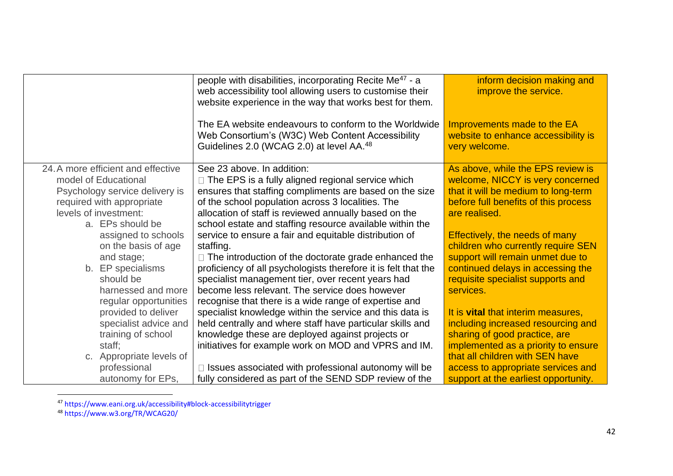|                                                        | people with disabilities, incorporating Recite Me <sup>47</sup> - a<br>web accessibility tool allowing users to customise their<br>website experience in the way that works best for them. | inform decision making and<br>improve the service.                                  |
|--------------------------------------------------------|--------------------------------------------------------------------------------------------------------------------------------------------------------------------------------------------|-------------------------------------------------------------------------------------|
|                                                        | The EA website endeavours to conform to the Worldwide<br>Web Consortium's (W3C) Web Content Accessibility<br>Guidelines 2.0 (WCAG 2.0) at level AA. <sup>48</sup>                          | Improvements made to the EA<br>website to enhance accessibility is<br>very welcome. |
| 24. A more efficient and effective                     | See 23 above. In addition:                                                                                                                                                                 | As above, while the EPS review is                                                   |
| model of Educational<br>Psychology service delivery is | □ The EPS is a fully aligned regional service which<br>ensures that staffing compliments are based on the size                                                                             | welcome, NICCY is very concerned<br>that it will be medium to long-term             |
| required with appropriate                              | of the school population across 3 localities. The                                                                                                                                          | before full benefits of this process                                                |
| levels of investment:                                  | allocation of staff is reviewed annually based on the                                                                                                                                      | are realised.                                                                       |
| a. EPs should be                                       | school estate and staffing resource available within the                                                                                                                                   |                                                                                     |
| assigned to schools                                    | service to ensure a fair and equitable distribution of                                                                                                                                     | Effectively, the needs of many                                                      |
| on the basis of age                                    | staffing.                                                                                                                                                                                  | children who currently require SEN                                                  |
| and stage;                                             | $\Box$ The introduction of the doctorate grade enhanced the                                                                                                                                | support will remain unmet due to                                                    |
| b. EP specialisms                                      | proficiency of all psychologists therefore it is felt that the                                                                                                                             | continued delays in accessing the                                                   |
| should be                                              | specialist management tier, over recent years had                                                                                                                                          | requisite specialist supports and                                                   |
| harnessed and more                                     | become less relevant. The service does however                                                                                                                                             | services.                                                                           |
| regular opportunities<br>provided to deliver           | recognise that there is a wide range of expertise and<br>specialist knowledge within the service and this data is                                                                          | It is vital that interim measures,                                                  |
| specialist advice and                                  | held centrally and where staff have particular skills and                                                                                                                                  | including increased resourcing and                                                  |
| training of school                                     | knowledge these are deployed against projects or                                                                                                                                           | sharing of good practice, are                                                       |
| staff;                                                 | initiatives for example work on MOD and VPRS and IM.                                                                                                                                       | implemented as a priority to ensure                                                 |
| c. Appropriate levels of                               |                                                                                                                                                                                            | that all children with SEN have                                                     |
| professional                                           | Issues associated with professional autonomy will be                                                                                                                                       | access to appropriate services and                                                  |
| autonomy for EPs,                                      | fully considered as part of the SEND SDP review of the                                                                                                                                     | support at the earliest opportunity.                                                |

<sup>&</sup>lt;sup>47</sup> https://www.eani.org.uk/accessibility#block-accessibilitytrigger

<sup>48</sup> https://www.w3.org/TR/WCAG20/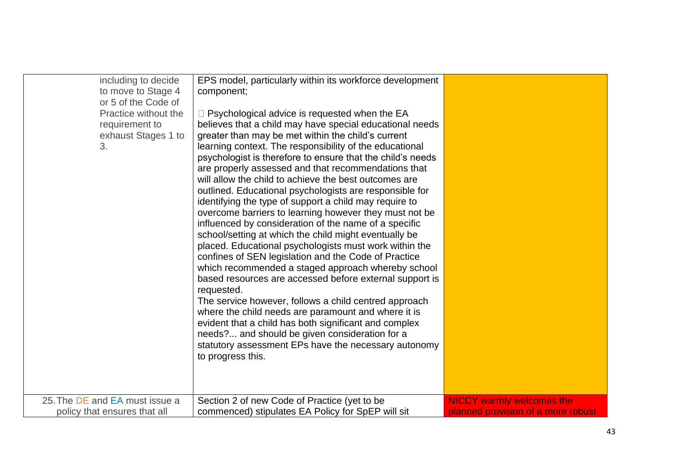| including to decide<br>to move to Stage 4<br>or 5 of the Code of<br>Practice without the<br>requirement to<br>exhaust Stages 1 to<br>3.<br>25. The DE and EA must issue a | EPS model, particularly within its workforce development<br>component;<br>$\Box$ Psychological advice is requested when the EA<br>believes that a child may have special educational needs<br>greater than may be met within the child's current<br>learning context. The responsibility of the educational<br>psychologist is therefore to ensure that the child's needs<br>are properly assessed and that recommendations that<br>will allow the child to achieve the best outcomes are<br>outlined. Educational psychologists are responsible for<br>identifying the type of support a child may require to<br>overcome barriers to learning however they must not be<br>influenced by consideration of the name of a specific<br>school/setting at which the child might eventually be<br>placed. Educational psychologists must work within the<br>confines of SEN legislation and the Code of Practice<br>which recommended a staged approach whereby school<br>based resources are accessed before external support is<br>requested.<br>The service however, follows a child centred approach<br>where the child needs are paramount and where it is<br>evident that a child has both significant and complex<br>needs? and should be given consideration for a<br>statutory assessment EPs have the necessary autonomy<br>to progress this. | <b>NICCY warmly welcomes the</b>   |
|---------------------------------------------------------------------------------------------------------------------------------------------------------------------------|-----------------------------------------------------------------------------------------------------------------------------------------------------------------------------------------------------------------------------------------------------------------------------------------------------------------------------------------------------------------------------------------------------------------------------------------------------------------------------------------------------------------------------------------------------------------------------------------------------------------------------------------------------------------------------------------------------------------------------------------------------------------------------------------------------------------------------------------------------------------------------------------------------------------------------------------------------------------------------------------------------------------------------------------------------------------------------------------------------------------------------------------------------------------------------------------------------------------------------------------------------------------------------------------------------------------------------------------------------|------------------------------------|
| policy that ensures that all                                                                                                                                              | Section 2 of new Code of Practice (yet to be<br>commenced) stipulates EA Policy for SpEP will sit                                                                                                                                                                                                                                                                                                                                                                                                                                                                                                                                                                                                                                                                                                                                                                                                                                                                                                                                                                                                                                                                                                                                                                                                                                                   | planned provision of a more robust |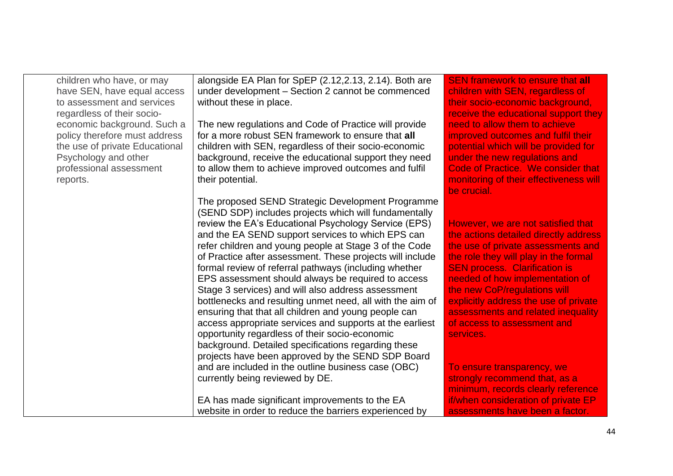| children who have, or may<br>have SEN, have equal access<br>to assessment and services<br>regardless of their socio-<br>economic background. Such a<br>policy therefore must address<br>the use of private Educational<br>Psychology and other<br>professional assessment<br>reports. | alongside EA Plan for SpEP (2.12,2.13, 2.14). Both are<br>under development - Section 2 cannot be commenced<br>without these in place.<br>The new regulations and Code of Practice will provide<br>for a more robust SEN framework to ensure that all<br>children with SEN, regardless of their socio-economic<br>background, receive the educational support they need<br>to allow them to achieve improved outcomes and fulfil<br>their potential.                                                                                                                                                                                                                                                                                                                                                                                                                                                                                                         | <b>SEN framework to ensure that all</b><br>children with SEN, regardless of<br>their socio-economic background,<br>receive the educational support they<br>need to allow them to achieve<br>improved outcomes and fulfil their<br>potential which will be provided for<br>under the new regulations and<br><b>Code of Practice. We consider that</b><br>monitoring of their effectiveness will                                                                                                                       |
|---------------------------------------------------------------------------------------------------------------------------------------------------------------------------------------------------------------------------------------------------------------------------------------|--------------------------------------------------------------------------------------------------------------------------------------------------------------------------------------------------------------------------------------------------------------------------------------------------------------------------------------------------------------------------------------------------------------------------------------------------------------------------------------------------------------------------------------------------------------------------------------------------------------------------------------------------------------------------------------------------------------------------------------------------------------------------------------------------------------------------------------------------------------------------------------------------------------------------------------------------------------|----------------------------------------------------------------------------------------------------------------------------------------------------------------------------------------------------------------------------------------------------------------------------------------------------------------------------------------------------------------------------------------------------------------------------------------------------------------------------------------------------------------------|
|                                                                                                                                                                                                                                                                                       | The proposed SEND Strategic Development Programme<br>(SEND SDP) includes projects which will fundamentally<br>review the EA's Educational Psychology Service (EPS)<br>and the EA SEND support services to which EPS can<br>refer children and young people at Stage 3 of the Code<br>of Practice after assessment. These projects will include<br>formal review of referral pathways (including whether<br>EPS assessment should always be required to access<br>Stage 3 services) and will also address assessment<br>bottlenecks and resulting unmet need, all with the aim of<br>ensuring that that all children and young people can<br>access appropriate services and supports at the earliest<br>opportunity regardless of their socio-economic<br>background. Detailed specifications regarding these<br>projects have been approved by the SEND SDP Board<br>and are included in the outline business case (OBC)<br>currently being reviewed by DE. | be crucial.<br>However, we are not satisfied that<br>the actions detailed directly address<br>the use of private assessments and<br>the role they will play in the formal<br><b>SEN process. Clarification is</b><br>needed of how implementation of<br>the new CoP/regulations will<br>explicitly address the use of private<br>assessments and related inequality<br>of access to assessment and<br>services.<br>To ensure transparency, we<br>strongly recommend that, as a<br>minimum, records clearly reference |
|                                                                                                                                                                                                                                                                                       | EA has made significant improvements to the EA<br>website in order to reduce the barriers experienced by                                                                                                                                                                                                                                                                                                                                                                                                                                                                                                                                                                                                                                                                                                                                                                                                                                                     | if/when consideration of private EP<br>assessments have been a factor.                                                                                                                                                                                                                                                                                                                                                                                                                                               |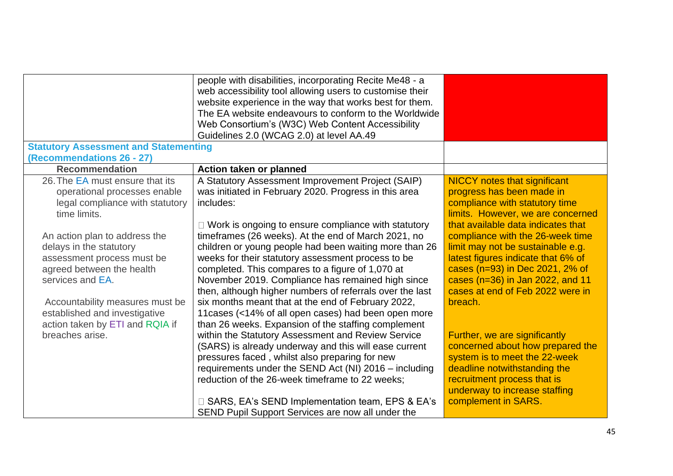|                                              | people with disabilities, incorporating Recite Me48 - a    |                                     |
|----------------------------------------------|------------------------------------------------------------|-------------------------------------|
|                                              | web accessibility tool allowing users to customise their   |                                     |
|                                              | website experience in the way that works best for them.    |                                     |
|                                              | The EA website endeavours to conform to the Worldwide      |                                     |
|                                              | Web Consortium's (W3C) Web Content Accessibility           |                                     |
|                                              | Guidelines 2.0 (WCAG 2.0) at level AA.49                   |                                     |
| <b>Statutory Assessment and Statementing</b> |                                                            |                                     |
| (Recommendations 26 - 27)                    |                                                            |                                     |
| <b>Recommendation</b>                        | Action taken or planned                                    |                                     |
| 26. The EA must ensure that its              | A Statutory Assessment Improvement Project (SAIP)          | <b>NICCY</b> notes that significant |
| operational processes enable                 | was initiated in February 2020. Progress in this area      | progress has been made in           |
| legal compliance with statutory              | includes:                                                  | compliance with statutory time      |
| time limits.                                 |                                                            | limits. However, we are concerned   |
|                                              | $\Box$ Work is ongoing to ensure compliance with statutory | that available data indicates that  |
| An action plan to address the                | timeframes (26 weeks). At the end of March 2021, no        | compliance with the 26-week time    |
| delays in the statutory                      | children or young people had been waiting more than 26     | limit may not be sustainable e.g.   |
| assessment process must be                   | weeks for their statutory assessment process to be         | latest figures indicate that 6% of  |
| agreed between the health                    | completed. This compares to a figure of 1,070 at           | cases (n=93) in Dec 2021, 2% of     |
| services and EA.                             | November 2019. Compliance has remained high since          | cases (n=36) in Jan 2022, and 11    |
|                                              | then, although higher numbers of referrals over the last   | cases at end of Feb 2022 were in    |
| Accountability measures must be              | six months meant that at the end of February 2022,         | breach.                             |
| established and investigative                | 11 cases (<14% of all open cases) had been open more       |                                     |
| action taken by ETI and RQIA if              | than 26 weeks. Expansion of the staffing complement        |                                     |
| breaches arise.                              | within the Statutory Assessment and Review Service         | Further, we are significantly       |
|                                              | (SARS) is already underway and this will ease current      | concerned about how prepared the    |
|                                              | pressures faced, whilst also preparing for new             | system is to meet the 22-week       |
|                                              | requirements under the SEND Act (NI) 2016 - including      | deadline notwithstanding the        |
|                                              | reduction of the 26-week timeframe to 22 weeks;            | recruitment process that is         |
|                                              |                                                            | underway to increase staffing       |
|                                              | □ SARS, EA's SEND Implementation team, EPS & EA's          | complement in SARS.                 |
|                                              | SEND Pupil Support Services are now all under the          |                                     |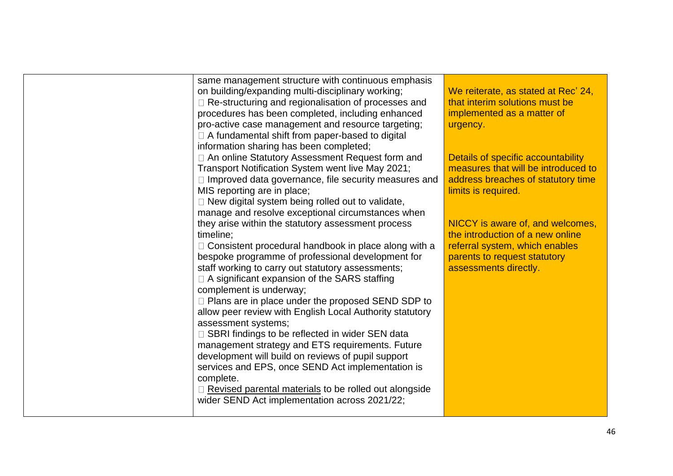| same management structure with continuous emphasis           |                                     |
|--------------------------------------------------------------|-------------------------------------|
| on building/expanding multi-disciplinary working;            | We reiterate, as stated at Rec' 24, |
| □ Re-structuring and regionalisation of processes and        | that interim solutions must be      |
| procedures has been completed, including enhanced            | implemented as a matter of          |
| pro-active case management and resource targeting;           | urgency.                            |
| $\Box$ A fundamental shift from paper-based to digital       |                                     |
| information sharing has been completed;                      |                                     |
| □ An online Statutory Assessment Request form and            | Details of specific accountability  |
| Transport Notification System went live May 2021;            | measures that will be introduced to |
| $\Box$ Improved data governance, file security measures and  | address breaches of statutory time  |
| MIS reporting are in place;                                  | limits is required.                 |
| $\Box$ New digital system being rolled out to validate,      |                                     |
| manage and resolve exceptional circumstances when            |                                     |
| they arise within the statutory assessment process           | NICCY is aware of, and welcomes,    |
| timeline;                                                    | the introduction of a new online    |
| □ Consistent procedural handbook in place along with a       | referral system, which enables      |
| bespoke programme of professional development for            | parents to request statutory        |
| staff working to carry out statutory assessments;            | assessments directly.               |
| $\Box$ A significant expansion of the SARS staffing          |                                     |
| complement is underway;                                      |                                     |
| $\Box$ Plans are in place under the proposed SEND SDP to     |                                     |
| allow peer review with English Local Authority statutory     |                                     |
| assessment systems;                                          |                                     |
| □ SBRI findings to be reflected in wider SEN data            |                                     |
| management strategy and ETS requirements. Future             |                                     |
| development will build on reviews of pupil support           |                                     |
| services and EPS, once SEND Act implementation is            |                                     |
| complete.                                                    |                                     |
| $\Box$ Revised parental materials to be rolled out alongside |                                     |
| wider SEND Act implementation across 2021/22;                |                                     |
|                                                              |                                     |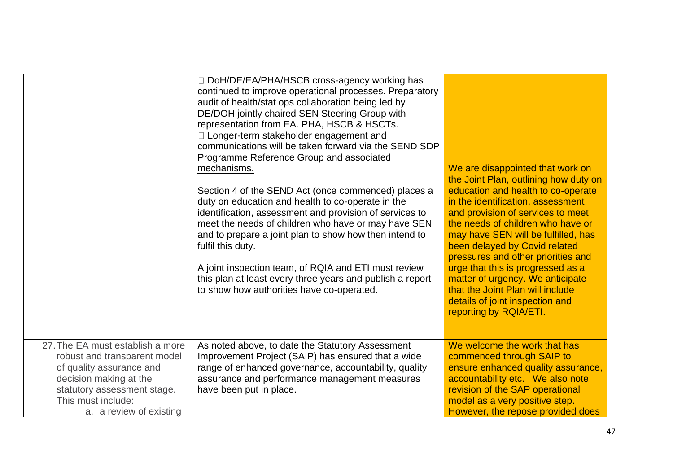|                                                                                                                                                                                                        | DoH/DE/EA/PHA/HSCB cross-agency working has<br>continued to improve operational processes. Preparatory<br>audit of health/stat ops collaboration being led by<br>DE/DOH jointly chaired SEN Steering Group with<br>representation from EA. PHA, HSCB & HSCTs.<br>□ Longer-term stakeholder engagement and<br>communications will be taken forward via the SEND SDP<br>Programme Reference Group and associated<br>mechanisms.<br>Section 4 of the SEND Act (once commenced) places a<br>duty on education and health to co-operate in the<br>identification, assessment and provision of services to<br>meet the needs of children who have or may have SEN<br>and to prepare a joint plan to show how then intend to<br>fulfil this duty.<br>A joint inspection team, of RQIA and ETI must review<br>this plan at least every three years and publish a report<br>to show how authorities have co-operated. | We are disappointed that work on<br>the Joint Plan, outlining how duty on<br>education and health to co-operate<br>in the identification, assessment<br>and provision of services to meet<br>the needs of children who have or<br>may have SEN will be fulfilled, has<br>been delayed by Covid related<br>pressures and other priorities and<br>urge that this is progressed as a<br>matter of urgency. We anticipate<br>that the Joint Plan will include<br>details of joint inspection and<br>reporting by RQIA/ETI. |
|--------------------------------------------------------------------------------------------------------------------------------------------------------------------------------------------------------|--------------------------------------------------------------------------------------------------------------------------------------------------------------------------------------------------------------------------------------------------------------------------------------------------------------------------------------------------------------------------------------------------------------------------------------------------------------------------------------------------------------------------------------------------------------------------------------------------------------------------------------------------------------------------------------------------------------------------------------------------------------------------------------------------------------------------------------------------------------------------------------------------------------|------------------------------------------------------------------------------------------------------------------------------------------------------------------------------------------------------------------------------------------------------------------------------------------------------------------------------------------------------------------------------------------------------------------------------------------------------------------------------------------------------------------------|
| 27. The EA must establish a more<br>robust and transparent model<br>of quality assurance and<br>decision making at the<br>statutory assessment stage.<br>This must include:<br>a. a review of existing | As noted above, to date the Statutory Assessment<br>Improvement Project (SAIP) has ensured that a wide<br>range of enhanced governance, accountability, quality<br>assurance and performance management measures<br>have been put in place.                                                                                                                                                                                                                                                                                                                                                                                                                                                                                                                                                                                                                                                                  | We welcome the work that has<br>commenced through SAIP to<br>ensure enhanced quality assurance,<br>accountability etc. We also note<br>revision of the SAP operational<br>model as a very positive step.<br>However, the repose provided does                                                                                                                                                                                                                                                                          |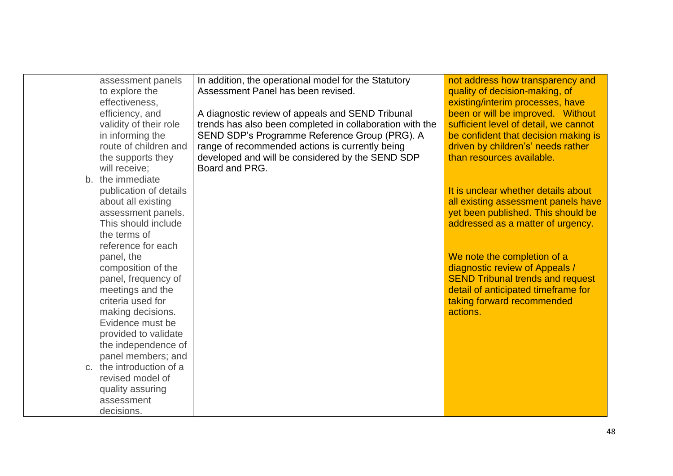| assessment panels                            | In addition, the operational model for the Statutory     | not address how transparency and                                           |
|----------------------------------------------|----------------------------------------------------------|----------------------------------------------------------------------------|
| to explore the<br>effectiveness,             | Assessment Panel has been revised.                       | quality of decision-making, of<br>existing/interim processes, have         |
| efficiency, and                              | A diagnostic review of appeals and SEND Tribunal         | been or will be improved. Without                                          |
| validity of their role                       | trends has also been completed in collaboration with the | sufficient level of detail, we cannot                                      |
| in informing the                             | SEND SDP's Programme Reference Group (PRG). A            | be confident that decision making is                                       |
| route of children and                        | range of recommended actions is currently being          | driven by children's' needs rather                                         |
| the supports they                            | developed and will be considered by the SEND SDP         | than resources available.                                                  |
| will receive;                                | Board and PRG.                                           |                                                                            |
| b. the immediate                             |                                                          |                                                                            |
| publication of details<br>about all existing |                                                          | It is unclear whether details about<br>all existing assessment panels have |
| assessment panels.                           |                                                          | yet been published. This should be                                         |
| This should include                          |                                                          | addressed as a matter of urgency.                                          |
| the terms of                                 |                                                          |                                                                            |
| reference for each                           |                                                          |                                                                            |
| panel, the                                   |                                                          | We note the completion of a                                                |
| composition of the                           |                                                          | diagnostic review of Appeals /                                             |
| panel, frequency of                          |                                                          | <b>SEND Tribunal trends and request</b>                                    |
| meetings and the                             |                                                          | detail of anticipated timeframe for                                        |
| criteria used for                            |                                                          | taking forward recommended<br>actions.                                     |
| making decisions.<br>Evidence must be        |                                                          |                                                                            |
| provided to validate                         |                                                          |                                                                            |
| the independence of                          |                                                          |                                                                            |
| panel members; and                           |                                                          |                                                                            |
| c. the introduction of a                     |                                                          |                                                                            |
| revised model of                             |                                                          |                                                                            |
| quality assuring                             |                                                          |                                                                            |
| assessment                                   |                                                          |                                                                            |
| decisions.                                   |                                                          |                                                                            |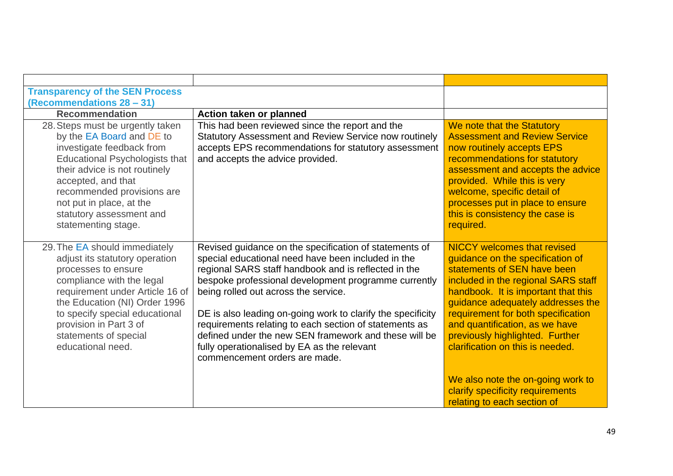| Action taken or planned                                                                                                                                                                                                                                                                                                                                                                                                                                                                                                                |                                                                                                                                                                                                                                                                                                                                                                                                                                                  |
|----------------------------------------------------------------------------------------------------------------------------------------------------------------------------------------------------------------------------------------------------------------------------------------------------------------------------------------------------------------------------------------------------------------------------------------------------------------------------------------------------------------------------------------|--------------------------------------------------------------------------------------------------------------------------------------------------------------------------------------------------------------------------------------------------------------------------------------------------------------------------------------------------------------------------------------------------------------------------------------------------|
| This had been reviewed since the report and the<br>Statutory Assessment and Review Service now routinely<br>accepts EPS recommendations for statutory assessment<br>and accepts the advice provided.                                                                                                                                                                                                                                                                                                                                   | We note that the Statutory<br><b>Assessment and Review Service</b><br>now routinely accepts EPS<br>recommendations for statutory<br>assessment and accepts the advice<br>provided. While this is very<br>welcome, specific detail of<br>processes put in place to ensure<br>this is consistency the case is<br>required.                                                                                                                         |
| Revised guidance on the specification of statements of<br>special educational need have been included in the<br>regional SARS staff handbook and is reflected in the<br>bespoke professional development programme currently<br>being rolled out across the service.<br>DE is also leading on-going work to clarify the specificity<br>requirements relating to each section of statements as<br>defined under the new SEN framework and these will be<br>fully operationalised by EA as the relevant<br>commencement orders are made. | <b>NICCY</b> welcomes that revised<br>guidance on the specification of<br>statements of SEN have been<br>included in the regional SARS staff<br>handbook. It is important that this<br>guidance adequately addresses the<br>requirement for both specification<br>and quantification, as we have<br>previously highlighted. Further<br>clarification on this is needed.<br>We also note the on-going work to<br>clarify specificity requirements |
|                                                                                                                                                                                                                                                                                                                                                                                                                                                                                                                                        |                                                                                                                                                                                                                                                                                                                                                                                                                                                  |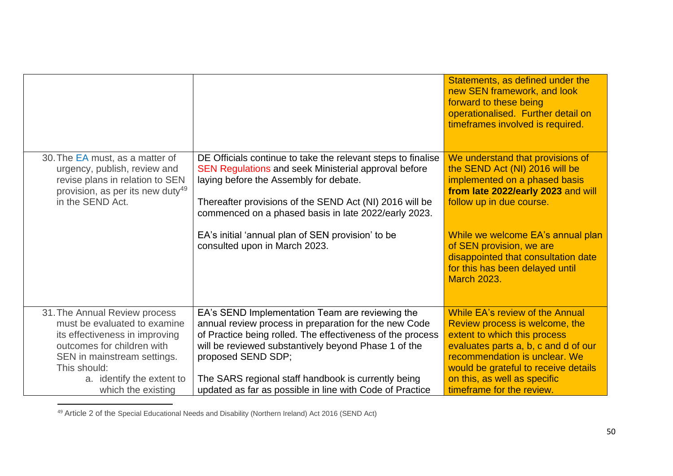|                                                                                                                                                                                                           |                                                                                                                                                                                                                                                                                                             | Statements, as defined under the<br>new SEN framework, and look<br>forward to these being<br>operationalised. Further detail on<br>timeframes involved is required.                                                                                |
|-----------------------------------------------------------------------------------------------------------------------------------------------------------------------------------------------------------|-------------------------------------------------------------------------------------------------------------------------------------------------------------------------------------------------------------------------------------------------------------------------------------------------------------|----------------------------------------------------------------------------------------------------------------------------------------------------------------------------------------------------------------------------------------------------|
| 30. The EA must, as a matter of<br>urgency, publish, review and<br>revise plans in relation to SEN<br>provision, as per its new duty <sup>49</sup><br>in the SEND Act.                                    | DE Officials continue to take the relevant steps to finalise<br><b>SEN Regulations and seek Ministerial approval before</b><br>laying before the Assembly for debate.<br>Thereafter provisions of the SEND Act (NI) 2016 will be<br>commenced on a phased basis in late 2022/early 2023.                    | We understand that provisions of<br>the SEND Act (NI) 2016 will be<br>implemented on a phased basis<br>from late 2022/early 2023 and will<br>follow up in due course.                                                                              |
|                                                                                                                                                                                                           | EA's initial 'annual plan of SEN provision' to be<br>consulted upon in March 2023.                                                                                                                                                                                                                          | While we welcome EA's annual plan<br>of SEN provision, we are<br>disappointed that consultation date<br>for this has been delayed until<br><b>March 2023.</b>                                                                                      |
| 31. The Annual Review process<br>must be evaluated to examine<br>its effectiveness in improving<br>outcomes for children with<br>SEN in mainstream settings.<br>This should:<br>a. identify the extent to | EA's SEND Implementation Team are reviewing the<br>annual review process in preparation for the new Code<br>of Practice being rolled. The effectiveness of the process<br>will be reviewed substantively beyond Phase 1 of the<br>proposed SEND SDP;<br>The SARS regional staff handbook is currently being | While EA's review of the Annual<br>Review process is welcome, the<br>extent to which this process<br>evaluates parts a, b, c and d of our<br>recommendation is unclear. We<br>would be grateful to receive details<br>on this, as well as specific |
| which the existing                                                                                                                                                                                        | updated as far as possible in line with Code of Practice                                                                                                                                                                                                                                                    | timeframe for the review.                                                                                                                                                                                                                          |

<sup>49</sup> Article 2 of the Special Educational Needs and Disability (Northern Ireland) Act 2016 (SEND Act)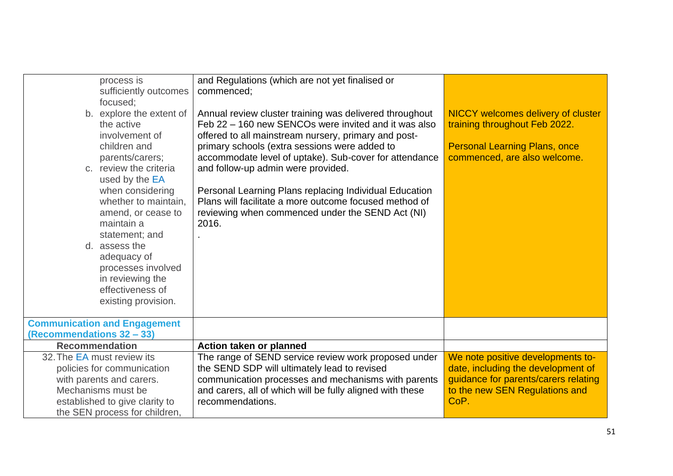| process is<br>sufficiently outcomes                                                                                                                                           | and Regulations (which are not yet finalised or<br>commenced:                                                                                                                                                                                                                                                            |                                                                                                                                                           |
|-------------------------------------------------------------------------------------------------------------------------------------------------------------------------------|--------------------------------------------------------------------------------------------------------------------------------------------------------------------------------------------------------------------------------------------------------------------------------------------------------------------------|-----------------------------------------------------------------------------------------------------------------------------------------------------------|
| focused;<br>b. explore the extent of<br>the active<br>involvement of<br>children and<br>parents/carers;<br>c. review the criteria                                             | Annual review cluster training was delivered throughout<br>Feb 22 - 160 new SENCOs were invited and it was also<br>offered to all mainstream nursery, primary and post-<br>primary schools (extra sessions were added to<br>accommodate level of uptake). Sub-cover for attendance<br>and follow-up admin were provided. | <b>NICCY welcomes delivery of cluster</b><br>training throughout Feb 2022.<br><b>Personal Learning Plans, once</b><br>commenced, are also welcome.        |
| used by the EA<br>when considering<br>whether to maintain,<br>amend, or cease to<br>maintain a<br>statement; and<br>d. assess the<br>adequacy of                              | Personal Learning Plans replacing Individual Education<br>Plans will facilitate a more outcome focused method of<br>reviewing when commenced under the SEND Act (NI)<br>2016.                                                                                                                                            |                                                                                                                                                           |
| processes involved<br>in reviewing the<br>effectiveness of<br>existing provision.                                                                                             |                                                                                                                                                                                                                                                                                                                          |                                                                                                                                                           |
| <b>Communication and Engagement</b><br>(Recommendations 32 - 33)                                                                                                              |                                                                                                                                                                                                                                                                                                                          |                                                                                                                                                           |
| <b>Recommendation</b>                                                                                                                                                         | Action taken or planned                                                                                                                                                                                                                                                                                                  |                                                                                                                                                           |
| 32. The EA must review its<br>policies for communication<br>with parents and carers.<br>Mechanisms must be<br>established to give clarity to<br>the SEN process for children, | The range of SEND service review work proposed under<br>the SEND SDP will ultimately lead to revised<br>communication processes and mechanisms with parents<br>and carers, all of which will be fully aligned with these<br>recommendations.                                                                             | We note positive developments to-<br>date, including the development of<br>guidance for parents/carers relating<br>to the new SEN Regulations and<br>CoP. |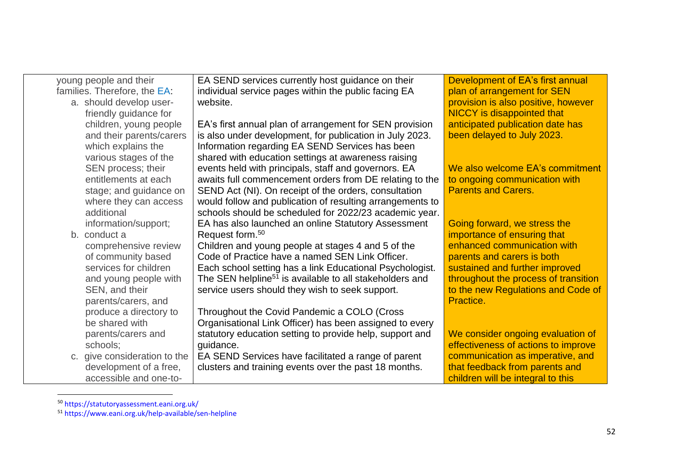| young people and their       | EA SEND services currently host guidance on their                   | Development of EA's first annual     |
|------------------------------|---------------------------------------------------------------------|--------------------------------------|
| families. Therefore, the EA: | individual service pages within the public facing EA                | plan of arrangement for SEN          |
| a. should develop user-      | website.                                                            | provision is also positive, however  |
| friendly guidance for        |                                                                     | <b>NICCY</b> is disappointed that    |
| children, young people       | EA's first annual plan of arrangement for SEN provision             | anticipated publication date has     |
| and their parents/carers     | is also under development, for publication in July 2023.            | been delayed to July 2023.           |
| which explains the           | Information regarding EA SEND Services has been                     |                                      |
| various stages of the        | shared with education settings at awareness raising                 |                                      |
| SEN process; their           | events held with principals, staff and governors. EA                | We also welcome EA's commitment      |
| entitlements at each         | awaits full commencement orders from DE relating to the             | to ongoing communication with        |
| stage; and guidance on       | SEND Act (NI). On receipt of the orders, consultation               | <b>Parents and Carers.</b>           |
| where they can access        | would follow and publication of resulting arrangements to           |                                      |
| additional                   | schools should be scheduled for 2022/23 academic year.              |                                      |
| information/support;         | EA has also launched an online Statutory Assessment                 | Going forward, we stress the         |
| b. conduct a                 | Request form. <sup>50</sup>                                         | importance of ensuring that          |
| comprehensive review         | Children and young people at stages 4 and 5 of the                  | enhanced communication with          |
| of community based           | Code of Practice have a named SEN Link Officer.                     | parents and carers is both           |
| services for children        | Each school setting has a link Educational Psychologist.            | sustained and further improved       |
| and young people with        | The SEN helpline <sup>51</sup> is available to all stakeholders and | throughout the process of transition |
| SEN, and their               | service users should they wish to seek support.                     | to the new Regulations and Code of   |
| parents/carers, and          |                                                                     | Practice.                            |
| produce a directory to       | Throughout the Covid Pandemic a COLO (Cross                         |                                      |
| be shared with               | Organisational Link Officer) has been assigned to every             |                                      |
| parents/carers and           | statutory education setting to provide help, support and            | We consider ongoing evaluation of    |
| schools;                     | guidance.                                                           | effectiveness of actions to improve  |
| c. give consideration to the | EA SEND Services have facilitated a range of parent                 | communication as imperative, and     |
| development of a free,       | clusters and training events over the past 18 months.               | that feedback from parents and       |
| accessible and one-to-       |                                                                     | children will be integral to this    |

<sup>50</sup> https://statutoryassessment.eani.org.uk/

<sup>51</sup> https://www.eani.org.uk/help-available/sen-helpline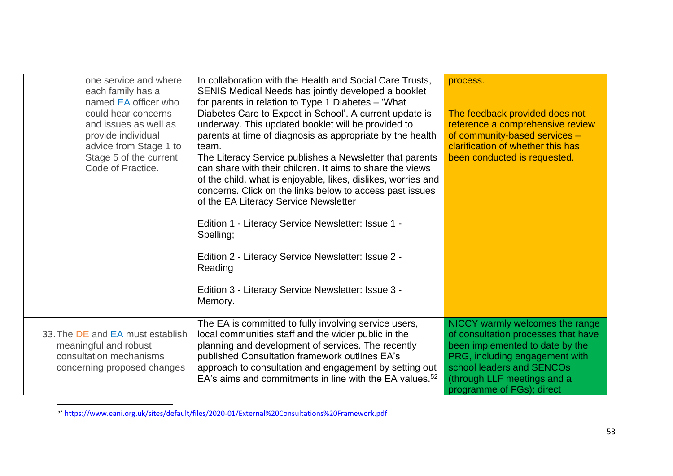| one service and where<br>each family has a<br>named EA officer who<br>could hear concerns<br>and issues as well as<br>provide individual<br>advice from Stage 1 to<br>Stage 5 of the current<br>Code of Practice. | In collaboration with the Health and Social Care Trusts,<br>SENIS Medical Needs has jointly developed a booklet<br>for parents in relation to Type 1 Diabetes - 'What<br>Diabetes Care to Expect in School'. A current update is<br>underway. This updated booklet will be provided to<br>parents at time of diagnosis as appropriate by the health<br>team.<br>The Literacy Service publishes a Newsletter that parents<br>can share with their children. It aims to share the views<br>of the child, what is enjoyable, likes, dislikes, worries and<br>concerns. Click on the links below to access past issues<br>of the EA Literacy Service Newsletter<br>Edition 1 - Literacy Service Newsletter: Issue 1 -<br>Spelling;<br>Edition 2 - Literacy Service Newsletter: Issue 2 -<br>Reading<br>Edition 3 - Literacy Service Newsletter: Issue 3 -<br>Memory. | process.<br>The feedback provided does not<br>reference a comprehensive review<br>of community-based services -<br>clarification of whether this has<br>been conducted is requested.                                                 |
|-------------------------------------------------------------------------------------------------------------------------------------------------------------------------------------------------------------------|------------------------------------------------------------------------------------------------------------------------------------------------------------------------------------------------------------------------------------------------------------------------------------------------------------------------------------------------------------------------------------------------------------------------------------------------------------------------------------------------------------------------------------------------------------------------------------------------------------------------------------------------------------------------------------------------------------------------------------------------------------------------------------------------------------------------------------------------------------------|--------------------------------------------------------------------------------------------------------------------------------------------------------------------------------------------------------------------------------------|
| 33. The DE and EA must establish<br>meaningful and robust<br>consultation mechanisms<br>concerning proposed changes                                                                                               | The EA is committed to fully involving service users,<br>local communities staff and the wider public in the<br>planning and development of services. The recently<br>published Consultation framework outlines EA's<br>approach to consultation and engagement by setting out<br>EA's aims and commitments in line with the EA values. <sup>52</sup>                                                                                                                                                                                                                                                                                                                                                                                                                                                                                                            | NICCY warmly welcomes the range<br>of consultation processes that have<br>been implemented to date by the<br>PRG, including engagement with<br>school leaders and SENCOs<br>(through LLF meetings and a<br>programme of FGs); direct |

<sup>52</sup> https://www.eani.org.uk/sites/default/files/2020-01/External%20Consultations%20Framework.pdf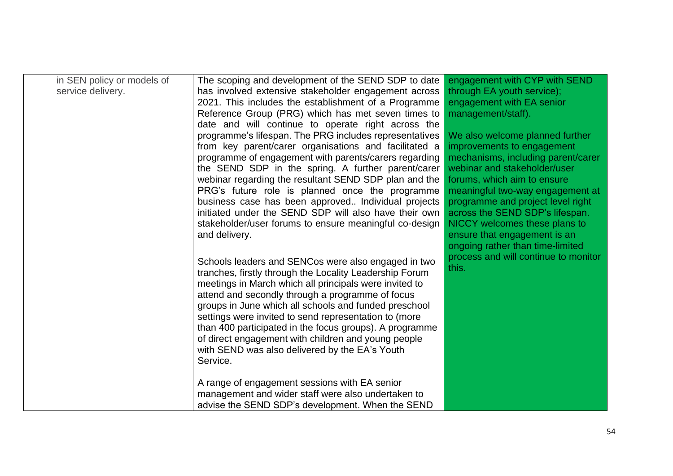| in SEN policy or models of | The scoping and development of the SEND SDP to date     | engagement with CYP with SEND        |
|----------------------------|---------------------------------------------------------|--------------------------------------|
| service delivery.          | has involved extensive stakeholder engagement across    | through EA youth service);           |
|                            | 2021. This includes the establishment of a Programme    | engagement with EA senior            |
|                            | Reference Group (PRG) which has met seven times to      | management/staff).                   |
|                            | date and will continue to operate right across the      |                                      |
|                            | programme's lifespan. The PRG includes representatives  | We also welcome planned further      |
|                            | from key parent/carer organisations and facilitated a   | improvements to engagement           |
|                            | programme of engagement with parents/carers regarding   | mechanisms, including parent/carer   |
|                            | the SEND SDP in the spring. A further parent/carer      | webinar and stakeholder/user         |
|                            | webinar regarding the resultant SEND SDP plan and the   | forums, which aim to ensure          |
|                            | PRG's future role is planned once the programme         | meaningful two-way engagement at     |
|                            | business case has been approved Individual projects     | programme and project level right    |
|                            | initiated under the SEND SDP will also have their own   | across the SEND SDP's lifespan.      |
|                            | stakeholder/user forums to ensure meaningful co-design  | NICCY welcomes these plans to        |
|                            | and delivery.                                           | ensure that engagement is an         |
|                            |                                                         | ongoing rather than time-limited     |
|                            | Schools leaders and SENCos were also engaged in two     | process and will continue to monitor |
|                            | tranches, firstly through the Locality Leadership Forum | this.                                |
|                            | meetings in March which all principals were invited to  |                                      |
|                            | attend and secondly through a programme of focus        |                                      |
|                            | groups in June which all schools and funded preschool   |                                      |
|                            | settings were invited to send representation to (more   |                                      |
|                            | than 400 participated in the focus groups). A programme |                                      |
|                            | of direct engagement with children and young people     |                                      |
|                            | with SEND was also delivered by the EA's Youth          |                                      |
|                            | Service.                                                |                                      |
|                            |                                                         |                                      |
|                            | A range of engagement sessions with EA senior           |                                      |
|                            | management and wider staff were also undertaken to      |                                      |
|                            | advise the SEND SDP's development. When the SEND        |                                      |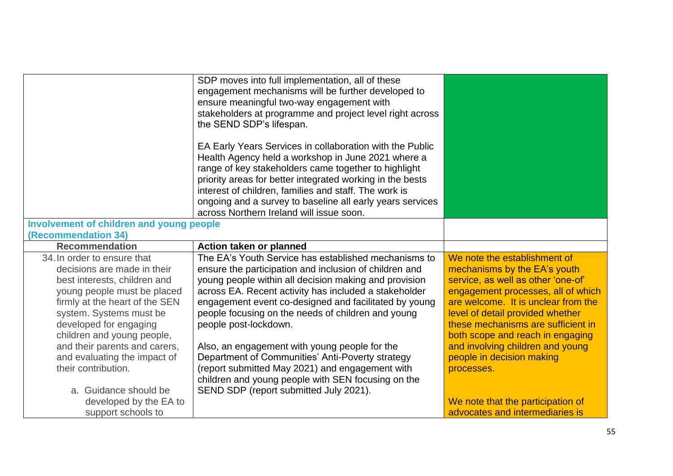|                                                                                                                                                                                                                                                                                                                                                                 | SDP moves into full implementation, all of these<br>engagement mechanisms will be further developed to<br>ensure meaningful two-way engagement with<br>stakeholders at programme and project level right across<br>the SEND SDP's lifespan.<br>EA Early Years Services in collaboration with the Public<br>Health Agency held a workshop in June 2021 where a<br>range of key stakeholders came together to highlight<br>priority areas for better integrated working in the bests<br>interest of children, families and staff. The work is<br>ongoing and a survey to baseline all early years services<br>across Northern Ireland will issue soon. |                                                                                                                                                                                                                                                                                                                                                                              |
|-----------------------------------------------------------------------------------------------------------------------------------------------------------------------------------------------------------------------------------------------------------------------------------------------------------------------------------------------------------------|------------------------------------------------------------------------------------------------------------------------------------------------------------------------------------------------------------------------------------------------------------------------------------------------------------------------------------------------------------------------------------------------------------------------------------------------------------------------------------------------------------------------------------------------------------------------------------------------------------------------------------------------------|------------------------------------------------------------------------------------------------------------------------------------------------------------------------------------------------------------------------------------------------------------------------------------------------------------------------------------------------------------------------------|
| <b>Involvement of children and young people</b>                                                                                                                                                                                                                                                                                                                 |                                                                                                                                                                                                                                                                                                                                                                                                                                                                                                                                                                                                                                                      |                                                                                                                                                                                                                                                                                                                                                                              |
| (Recommendation 34)                                                                                                                                                                                                                                                                                                                                             |                                                                                                                                                                                                                                                                                                                                                                                                                                                                                                                                                                                                                                                      |                                                                                                                                                                                                                                                                                                                                                                              |
| <b>Recommendation</b>                                                                                                                                                                                                                                                                                                                                           | <b>Action taken or planned</b>                                                                                                                                                                                                                                                                                                                                                                                                                                                                                                                                                                                                                       |                                                                                                                                                                                                                                                                                                                                                                              |
| 34. In order to ensure that<br>decisions are made in their<br>best interests, children and<br>young people must be placed<br>firmly at the heart of the SEN<br>system. Systems must be<br>developed for engaging<br>children and young people,<br>and their parents and carers,<br>and evaluating the impact of<br>their contribution.<br>a. Guidance should be | The EA's Youth Service has established mechanisms to<br>ensure the participation and inclusion of children and<br>young people within all decision making and provision<br>across EA. Recent activity has included a stakeholder<br>engagement event co-designed and facilitated by young<br>people focusing on the needs of children and young<br>people post-lockdown.<br>Also, an engagement with young people for the<br>Department of Communities' Anti-Poverty strategy<br>(report submitted May 2021) and engagement with<br>children and young people with SEN focusing on the<br>SEND SDP (report submitted July 2021).                     | We note the establishment of<br>mechanisms by the EA's youth<br>service, as well as other 'one-of'<br>engagement processes, all of which<br>are welcome. It is unclear from the<br>level of detail provided whether<br>these mechanisms are sufficient in<br>both scope and reach in engaging<br>and involving children and young<br>people in decision making<br>processes. |
| developed by the EA to<br>support schools to                                                                                                                                                                                                                                                                                                                    |                                                                                                                                                                                                                                                                                                                                                                                                                                                                                                                                                                                                                                                      | We note that the participation of<br>advocates and intermediaries is                                                                                                                                                                                                                                                                                                         |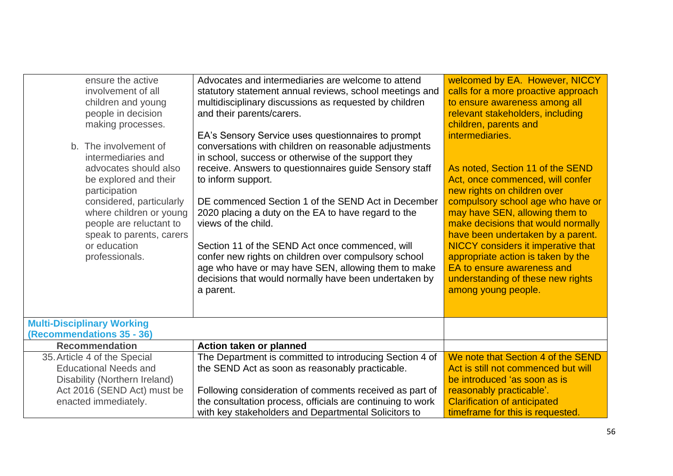| ensure the active<br>involvement of all<br>children and young<br>people in decision<br>making processes.<br>b. The involvement of<br>intermediaries and<br>advocates should also<br>be explored and their<br>participation<br>considered, particularly<br>where children or young<br>people are reluctant to<br>speak to parents, carers<br>or education<br>professionals. | Advocates and intermediaries are welcome to attend<br>statutory statement annual reviews, school meetings and<br>multidisciplinary discussions as requested by children<br>and their parents/carers.<br>EA's Sensory Service uses questionnaires to prompt<br>conversations with children on reasonable adjustments<br>in school, success or otherwise of the support they<br>receive. Answers to questionnaires guide Sensory staff<br>to inform support.<br>DE commenced Section 1 of the SEND Act in December<br>2020 placing a duty on the EA to have regard to the<br>views of the child.<br>Section 11 of the SEND Act once commenced, will<br>confer new rights on children over compulsory school<br>age who have or may have SEN, allowing them to make<br>decisions that would normally have been undertaken by<br>a parent. | welcomed by EA. However, NICCY<br>calls for a more proactive approach<br>to ensure awareness among all<br>relevant stakeholders, including<br>children, parents and<br>intermediaries.<br>As noted, Section 11 of the SEND<br>Act, once commenced, will confer<br>new rights on children over<br>compulsory school age who have or<br>may have SEN, allowing them to<br>make decisions that would normally<br>have been undertaken by a parent.<br><b>NICCY</b> considers it imperative that<br>appropriate action is taken by the<br>EA to ensure awareness and<br>understanding of these new rights<br>among young people. |
|----------------------------------------------------------------------------------------------------------------------------------------------------------------------------------------------------------------------------------------------------------------------------------------------------------------------------------------------------------------------------|----------------------------------------------------------------------------------------------------------------------------------------------------------------------------------------------------------------------------------------------------------------------------------------------------------------------------------------------------------------------------------------------------------------------------------------------------------------------------------------------------------------------------------------------------------------------------------------------------------------------------------------------------------------------------------------------------------------------------------------------------------------------------------------------------------------------------------------|------------------------------------------------------------------------------------------------------------------------------------------------------------------------------------------------------------------------------------------------------------------------------------------------------------------------------------------------------------------------------------------------------------------------------------------------------------------------------------------------------------------------------------------------------------------------------------------------------------------------------|
| <b>Multi-Disciplinary Working</b>                                                                                                                                                                                                                                                                                                                                          |                                                                                                                                                                                                                                                                                                                                                                                                                                                                                                                                                                                                                                                                                                                                                                                                                                        |                                                                                                                                                                                                                                                                                                                                                                                                                                                                                                                                                                                                                              |
| (Recommendations 35 - 36)                                                                                                                                                                                                                                                                                                                                                  |                                                                                                                                                                                                                                                                                                                                                                                                                                                                                                                                                                                                                                                                                                                                                                                                                                        |                                                                                                                                                                                                                                                                                                                                                                                                                                                                                                                                                                                                                              |
| <b>Recommendation</b>                                                                                                                                                                                                                                                                                                                                                      | Action taken or planned                                                                                                                                                                                                                                                                                                                                                                                                                                                                                                                                                                                                                                                                                                                                                                                                                |                                                                                                                                                                                                                                                                                                                                                                                                                                                                                                                                                                                                                              |
| 35. Article 4 of the Special<br><b>Educational Needs and</b><br>Disability (Northern Ireland)<br>Act 2016 (SEND Act) must be<br>enacted immediately.                                                                                                                                                                                                                       | The Department is committed to introducing Section 4 of<br>the SEND Act as soon as reasonably practicable.<br>Following consideration of comments received as part of<br>the consultation process, officials are continuing to work<br>with key stakeholders and Departmental Solicitors to                                                                                                                                                                                                                                                                                                                                                                                                                                                                                                                                            | We note that Section 4 of the SEND<br>Act is still not commenced but will<br>be introduced 'as soon as is<br>reasonably practicable'.<br><b>Clarification of anticipated</b><br>timeframe for this is requested.                                                                                                                                                                                                                                                                                                                                                                                                             |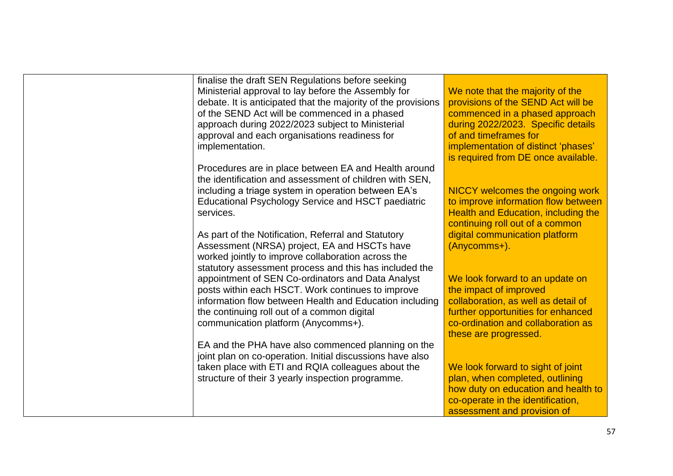| finalise the draft SEN Regulations before seeking             |                                            |
|---------------------------------------------------------------|--------------------------------------------|
| Ministerial approval to lay before the Assembly for           | We note that the majority of the           |
| debate. It is anticipated that the majority of the provisions | provisions of the SEND Act will be         |
| of the SEND Act will be commenced in a phased                 | commenced in a phased approach             |
| approach during 2022/2023 subject to Ministerial              | during 2022/2023. Specific details         |
| approval and each organisations readiness for                 | of and timeframes for                      |
| implementation.                                               | implementation of distinct 'phases'        |
|                                                               | is required from DE once available.        |
| Procedures are in place between EA and Health around          |                                            |
| the identification and assessment of children with SEN,       |                                            |
| including a triage system in operation between EA's           | NICCY welcomes the ongoing work            |
| Educational Psychology Service and HSCT paediatric            | to improve information flow between        |
| services.                                                     | <b>Health and Education, including the</b> |
|                                                               | continuing roll out of a common            |
| As part of the Notification, Referral and Statutory           | digital communication platform             |
| Assessment (NRSA) project, EA and HSCTs have                  | (Anycomms+).                               |
| worked jointly to improve collaboration across the            |                                            |
| statutory assessment process and this has included the        |                                            |
| appointment of SEN Co-ordinators and Data Analyst             | We look forward to an update on            |
| posts within each HSCT. Work continues to improve             | the impact of improved                     |
| information flow between Health and Education including       | collaboration, as well as detail of        |
| the continuing roll out of a common digital                   | further opportunities for enhanced         |
| communication platform (Anycomms+).                           | co-ordination and collaboration as         |
|                                                               | these are progressed.                      |
| EA and the PHA have also commenced planning on the            |                                            |
| joint plan on co-operation. Initial discussions have also     |                                            |
| taken place with ETI and RQIA colleagues about the            | We look forward to sight of joint          |
| structure of their 3 yearly inspection programme.             | plan, when completed, outlining            |
|                                                               | how duty on education and health to        |
|                                                               | co-operate in the identification,          |
|                                                               | assessment and provision of                |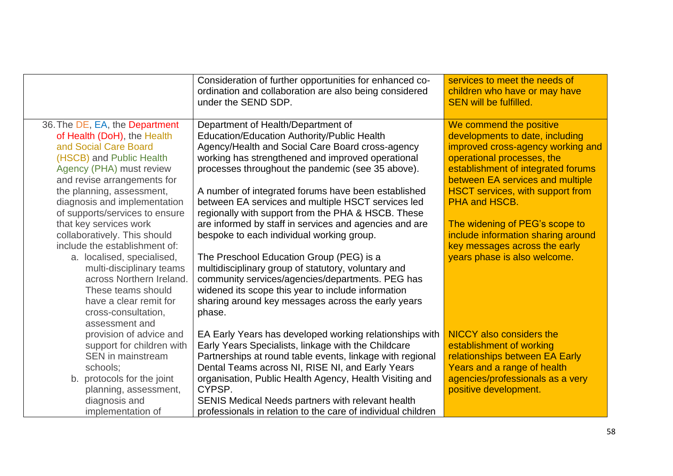|                                                                                                                                                                                                                                                                                                                                                                                                                                                                                                               | Consideration of further opportunities for enhanced co-<br>ordination and collaboration are also being considered<br>under the SEND SDP.                                                                                                                                                                                                                                                                                                                                                                                                                                                                                                                                                                                                                                                     | services to meet the needs of<br>children who have or may have<br><b>SEN will be fulfilled.</b>                                                                                                                                                                                                                                                                                                              |
|---------------------------------------------------------------------------------------------------------------------------------------------------------------------------------------------------------------------------------------------------------------------------------------------------------------------------------------------------------------------------------------------------------------------------------------------------------------------------------------------------------------|----------------------------------------------------------------------------------------------------------------------------------------------------------------------------------------------------------------------------------------------------------------------------------------------------------------------------------------------------------------------------------------------------------------------------------------------------------------------------------------------------------------------------------------------------------------------------------------------------------------------------------------------------------------------------------------------------------------------------------------------------------------------------------------------|--------------------------------------------------------------------------------------------------------------------------------------------------------------------------------------------------------------------------------------------------------------------------------------------------------------------------------------------------------------------------------------------------------------|
|                                                                                                                                                                                                                                                                                                                                                                                                                                                                                                               |                                                                                                                                                                                                                                                                                                                                                                                                                                                                                                                                                                                                                                                                                                                                                                                              |                                                                                                                                                                                                                                                                                                                                                                                                              |
| 36. The DE, EA, the Department<br>of Health (DoH), the Health<br>and Social Care Board<br>(HSCB) and Public Health<br>Agency (PHA) must review<br>and revise arrangements for<br>the planning, assessment,<br>diagnosis and implementation<br>of supports/services to ensure<br>that key services work<br>collaboratively. This should<br>include the establishment of:<br>a. localised, specialised,<br>multi-disciplinary teams<br>across Northern Ireland.<br>These teams should<br>have a clear remit for | Department of Health/Department of<br>Education/Education Authority/Public Health<br>Agency/Health and Social Care Board cross-agency<br>working has strengthened and improved operational<br>processes throughout the pandemic (see 35 above).<br>A number of integrated forums have been established<br>between EA services and multiple HSCT services led<br>regionally with support from the PHA & HSCB. These<br>are informed by staff in services and agencies and are<br>bespoke to each individual working group.<br>The Preschool Education Group (PEG) is a<br>multidisciplinary group of statutory, voluntary and<br>community services/agencies/departments. PEG has<br>widened its scope this year to include information<br>sharing around key messages across the early years | We commend the positive<br>developments to date, including<br>improved cross-agency working and<br>operational processes, the<br>establishment of integrated forums<br>between EA services and multiple<br><b>HSCT services, with support from</b><br>PHA and HSCB.<br>The widening of PEG's scope to<br>include information sharing around<br>key messages across the early<br>years phase is also welcome. |
| cross-consultation,<br>assessment and                                                                                                                                                                                                                                                                                                                                                                                                                                                                         | phase.                                                                                                                                                                                                                                                                                                                                                                                                                                                                                                                                                                                                                                                                                                                                                                                       |                                                                                                                                                                                                                                                                                                                                                                                                              |
| provision of advice and<br>support for children with<br><b>SEN</b> in mainstream<br>schools;<br>b. protocols for the joint<br>planning, assessment,                                                                                                                                                                                                                                                                                                                                                           | EA Early Years has developed working relationships with<br>Early Years Specialists, linkage with the Childcare<br>Partnerships at round table events, linkage with regional<br>Dental Teams across NI, RISE NI, and Early Years<br>organisation, Public Health Agency, Health Visiting and<br>CYPSP.                                                                                                                                                                                                                                                                                                                                                                                                                                                                                         | <b>NICCY</b> also considers the<br>establishment of working<br>relationships between EA Early<br>Years and a range of health<br>agencies/professionals as a very<br>positive development.                                                                                                                                                                                                                    |
| diagnosis and<br>implementation of                                                                                                                                                                                                                                                                                                                                                                                                                                                                            | SENIS Medical Needs partners with relevant health<br>professionals in relation to the care of individual children                                                                                                                                                                                                                                                                                                                                                                                                                                                                                                                                                                                                                                                                            |                                                                                                                                                                                                                                                                                                                                                                                                              |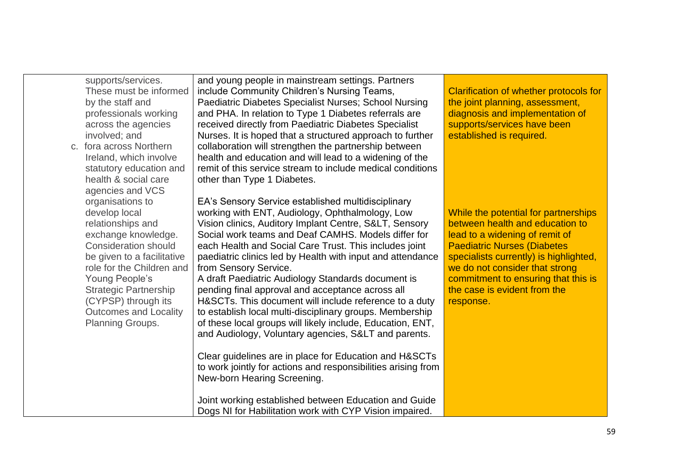| supports/services.<br>These must be informed<br>by the staff and<br>professionals working<br>across the agencies<br>involved; and<br>c. fora across Northern<br>Ireland, which involve<br>statutory education and<br>health & social care<br>agencies and VCS                                        | and young people in mainstream settings. Partners<br>include Community Children's Nursing Teams,<br>Paediatric Diabetes Specialist Nurses; School Nursing<br>and PHA. In relation to Type 1 Diabetes referrals are<br>received directly from Paediatric Diabetes Specialist<br>Nurses. It is hoped that a structured approach to further<br>collaboration will strengthen the partnership between<br>health and education and will lead to a widening of the<br>remit of this service stream to include medical conditions<br>other than Type 1 Diabetes.                                                                                                                                                                                                                                                                                                                                                                                                                                               | <b>Clarification of whether protocols for</b><br>the joint planning, assessment,<br>diagnosis and implementation of<br>supports/services have been<br>established is required.                                                                                                                                   |
|------------------------------------------------------------------------------------------------------------------------------------------------------------------------------------------------------------------------------------------------------------------------------------------------------|---------------------------------------------------------------------------------------------------------------------------------------------------------------------------------------------------------------------------------------------------------------------------------------------------------------------------------------------------------------------------------------------------------------------------------------------------------------------------------------------------------------------------------------------------------------------------------------------------------------------------------------------------------------------------------------------------------------------------------------------------------------------------------------------------------------------------------------------------------------------------------------------------------------------------------------------------------------------------------------------------------|------------------------------------------------------------------------------------------------------------------------------------------------------------------------------------------------------------------------------------------------------------------------------------------------------------------|
| organisations to<br>develop local<br>relationships and<br>exchange knowledge.<br><b>Consideration should</b><br>be given to a facilitative<br>role for the Children and<br>Young People's<br><b>Strategic Partnership</b><br>(CYPSP) through its<br><b>Outcomes and Locality</b><br>Planning Groups. | EA's Sensory Service established multidisciplinary<br>working with ENT, Audiology, Ophthalmology, Low<br>Vision clinics, Auditory Implant Centre, S<, Sensory<br>Social work teams and Deaf CAMHS. Models differ for<br>each Health and Social Care Trust. This includes joint<br>paediatric clinics led by Health with input and attendance<br>from Sensory Service.<br>A draft Paediatric Audiology Standards document is<br>pending final approval and acceptance across all<br>H&SCTs. This document will include reference to a duty<br>to establish local multi-disciplinary groups. Membership<br>of these local groups will likely include, Education, ENT,<br>and Audiology, Voluntary agencies, S< and parents.<br>Clear guidelines are in place for Education and H&SCTs<br>to work jointly for actions and responsibilities arising from<br>New-born Hearing Screening.<br>Joint working established between Education and Guide<br>Dogs NI for Habilitation work with CYP Vision impaired. | While the potential for partnerships<br>between health and education to<br>lead to a widening of remit of<br><b>Paediatric Nurses (Diabetes)</b><br>specialists currently) is highlighted,<br>we do not consider that strong<br>commitment to ensuring that this is<br>the case is evident from the<br>response. |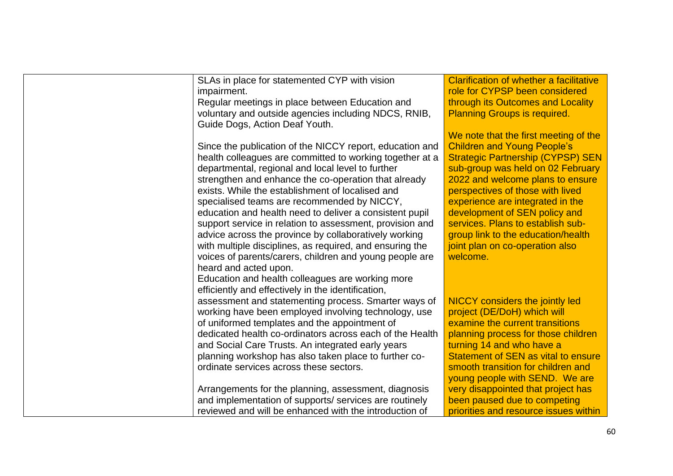| SLAs in place for statemented CYP with vision            | <b>Clarification of whether a facilitative</b> |
|----------------------------------------------------------|------------------------------------------------|
| impairment.                                              | role for CYPSP been considered                 |
| Regular meetings in place between Education and          | through its Outcomes and Locality              |
| voluntary and outside agencies including NDCS, RNIB,     | <b>Planning Groups is required.</b>            |
| Guide Dogs, Action Deaf Youth.                           |                                                |
|                                                          | We note that the first meeting of the          |
| Since the publication of the NICCY report, education and | <b>Children and Young People's</b>             |
| health colleagues are committed to working together at a | <b>Strategic Partnership (CYPSP) SEN</b>       |
| departmental, regional and local level to further        | sub-group was held on 02 February              |
| strengthen and enhance the co-operation that already     | 2022 and welcome plans to ensure               |
| exists. While the establishment of localised and         | perspectives of those with lived               |
| specialised teams are recommended by NICCY,              | experience are integrated in the               |
| education and health need to deliver a consistent pupil  | development of SEN policy and                  |
| support service in relation to assessment, provision and | services. Plans to establish sub-              |
| advice across the province by collaboratively working    | group link to the education/health             |
| with multiple disciplines, as required, and ensuring the | joint plan on co-operation also                |
| voices of parents/carers, children and young people are  | welcome.                                       |
| heard and acted upon.                                    |                                                |
| Education and health colleagues are working more         |                                                |
| efficiently and effectively in the identification,       |                                                |
| assessment and statementing process. Smarter ways of     | NICCY considers the jointly led                |
| working have been employed involving technology, use     | project (DE/DoH) which will                    |
| of uniformed templates and the appointment of            | examine the current transitions                |
| dedicated health co-ordinators across each of the Health | planning process for those children            |
| and Social Care Trusts. An integrated early years        | turning 14 and who have a                      |
| planning workshop has also taken place to further co-    | Statement of SEN as vital to ensure            |
| ordinate services across these sectors.                  | smooth transition for children and             |
|                                                          | young people with SEND. We are                 |
| Arrangements for the planning, assessment, diagnosis     | very disappointed that project has             |
| and implementation of supports/ services are routinely   | been paused due to competing                   |
| reviewed and will be enhanced with the introduction of   | priorities and resource issues within          |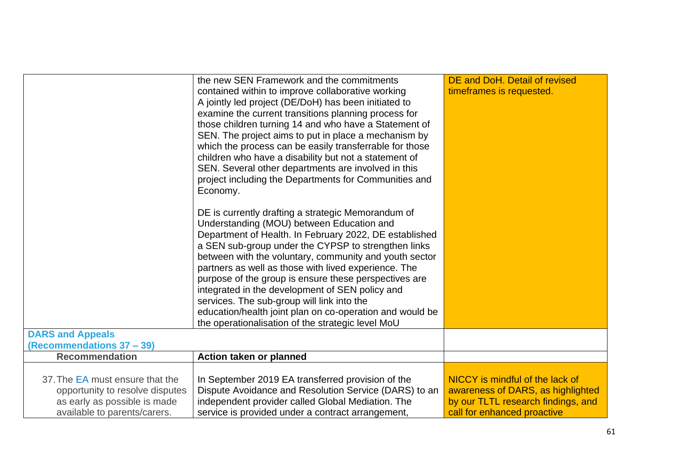|                                                                                                                                    | the new SEN Framework and the commitments                                                                                                                                                                            | DE and DoH. Detail of revised                                                                                                             |
|------------------------------------------------------------------------------------------------------------------------------------|----------------------------------------------------------------------------------------------------------------------------------------------------------------------------------------------------------------------|-------------------------------------------------------------------------------------------------------------------------------------------|
|                                                                                                                                    | contained within to improve collaborative working                                                                                                                                                                    | timeframes is requested.                                                                                                                  |
|                                                                                                                                    | A jointly led project (DE/DoH) has been initiated to                                                                                                                                                                 |                                                                                                                                           |
|                                                                                                                                    | examine the current transitions planning process for                                                                                                                                                                 |                                                                                                                                           |
|                                                                                                                                    | those children turning 14 and who have a Statement of                                                                                                                                                                |                                                                                                                                           |
|                                                                                                                                    | SEN. The project aims to put in place a mechanism by                                                                                                                                                                 |                                                                                                                                           |
|                                                                                                                                    | which the process can be easily transferrable for those                                                                                                                                                              |                                                                                                                                           |
|                                                                                                                                    | children who have a disability but not a statement of                                                                                                                                                                |                                                                                                                                           |
|                                                                                                                                    | SEN. Several other departments are involved in this                                                                                                                                                                  |                                                                                                                                           |
|                                                                                                                                    | project including the Departments for Communities and                                                                                                                                                                |                                                                                                                                           |
|                                                                                                                                    | Economy.                                                                                                                                                                                                             |                                                                                                                                           |
|                                                                                                                                    |                                                                                                                                                                                                                      |                                                                                                                                           |
|                                                                                                                                    | DE is currently drafting a strategic Memorandum of                                                                                                                                                                   |                                                                                                                                           |
|                                                                                                                                    | Understanding (MOU) between Education and                                                                                                                                                                            |                                                                                                                                           |
|                                                                                                                                    | Department of Health. In February 2022, DE established                                                                                                                                                               |                                                                                                                                           |
|                                                                                                                                    | a SEN sub-group under the CYPSP to strengthen links                                                                                                                                                                  |                                                                                                                                           |
|                                                                                                                                    | between with the voluntary, community and youth sector                                                                                                                                                               |                                                                                                                                           |
|                                                                                                                                    | partners as well as those with lived experience. The                                                                                                                                                                 |                                                                                                                                           |
|                                                                                                                                    | purpose of the group is ensure these perspectives are                                                                                                                                                                |                                                                                                                                           |
|                                                                                                                                    | integrated in the development of SEN policy and                                                                                                                                                                      |                                                                                                                                           |
|                                                                                                                                    | services. The sub-group will link into the                                                                                                                                                                           |                                                                                                                                           |
|                                                                                                                                    | education/health joint plan on co-operation and would be                                                                                                                                                             |                                                                                                                                           |
|                                                                                                                                    | the operationalisation of the strategic level MoU                                                                                                                                                                    |                                                                                                                                           |
| <b>DARS and Appeals</b>                                                                                                            |                                                                                                                                                                                                                      |                                                                                                                                           |
| (Recommendations 37 - 39)                                                                                                          |                                                                                                                                                                                                                      |                                                                                                                                           |
| <b>Recommendation</b>                                                                                                              | Action taken or planned                                                                                                                                                                                              |                                                                                                                                           |
|                                                                                                                                    |                                                                                                                                                                                                                      |                                                                                                                                           |
|                                                                                                                                    |                                                                                                                                                                                                                      |                                                                                                                                           |
|                                                                                                                                    |                                                                                                                                                                                                                      |                                                                                                                                           |
|                                                                                                                                    |                                                                                                                                                                                                                      |                                                                                                                                           |
|                                                                                                                                    |                                                                                                                                                                                                                      |                                                                                                                                           |
| 37. The EA must ensure that the<br>opportunity to resolve disputes<br>as early as possible is made<br>available to parents/carers. | In September 2019 EA transferred provision of the<br>Dispute Avoidance and Resolution Service (DARS) to an<br>independent provider called Global Mediation. The<br>service is provided under a contract arrangement, | NICCY is mindful of the lack of<br>awareness of DARS, as highlighted<br>by our TLTL research findings, and<br>call for enhanced proactive |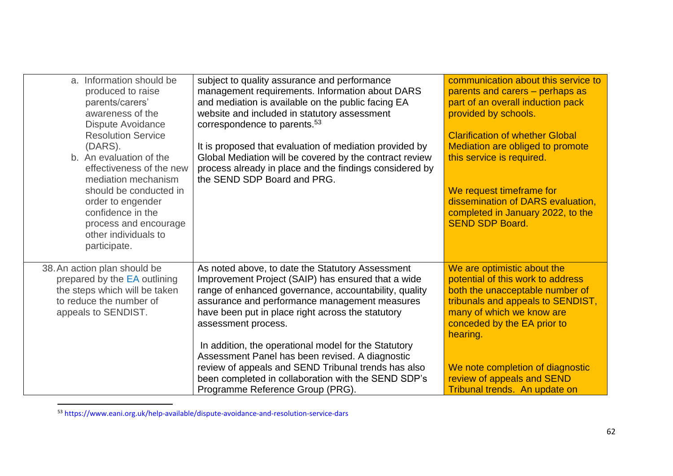| a. Information should be<br>produced to raise<br>parents/carers'<br>awareness of the<br>Dispute Avoidance<br><b>Resolution Service</b><br>(DARS).<br>b. An evaluation of the<br>effectiveness of the new<br>mediation mechanism<br>should be conducted in<br>order to engender<br>confidence in the<br>process and encourage<br>other individuals to<br>participate. | subject to quality assurance and performance<br>management requirements. Information about DARS<br>and mediation is available on the public facing EA<br>website and included in statutory assessment<br>correspondence to parents. <sup>53</sup><br>It is proposed that evaluation of mediation provided by<br>Global Mediation will be covered by the contract review<br>process already in place and the findings considered by<br>the SEND SDP Board and PRG.                                                                                         | communication about this service to<br>parents and carers – perhaps as<br>part of an overall induction pack<br>provided by schools.<br><b>Clarification of whether Global</b><br>Mediation are obliged to promote<br>this service is required.<br>We request timeframe for<br>dissemination of DARS evaluation,<br>completed in January 2022, to the<br><b>SEND SDP Board.</b> |
|----------------------------------------------------------------------------------------------------------------------------------------------------------------------------------------------------------------------------------------------------------------------------------------------------------------------------------------------------------------------|-----------------------------------------------------------------------------------------------------------------------------------------------------------------------------------------------------------------------------------------------------------------------------------------------------------------------------------------------------------------------------------------------------------------------------------------------------------------------------------------------------------------------------------------------------------|--------------------------------------------------------------------------------------------------------------------------------------------------------------------------------------------------------------------------------------------------------------------------------------------------------------------------------------------------------------------------------|
| 38. An action plan should be<br>prepared by the EA outlining<br>the steps which will be taken<br>to reduce the number of<br>appeals to SENDIST.                                                                                                                                                                                                                      | As noted above, to date the Statutory Assessment<br>Improvement Project (SAIP) has ensured that a wide<br>range of enhanced governance, accountability, quality<br>assurance and performance management measures<br>have been put in place right across the statutory<br>assessment process.<br>In addition, the operational model for the Statutory<br>Assessment Panel has been revised. A diagnostic<br>review of appeals and SEND Tribunal trends has also<br>been completed in collaboration with the SEND SDP's<br>Programme Reference Group (PRG). | We are optimistic about the<br>potential of this work to address<br>both the unacceptable number of<br>tribunals and appeals to SENDIST,<br>many of which we know are<br>conceded by the EA prior to<br>hearing.<br>We note completion of diagnostic<br>review of appeals and SEND<br>Tribunal trends. An update on                                                            |

<sup>53</sup> https://www.eani.org.uk/help-available/dispute-avoidance-and-resolution-service-dars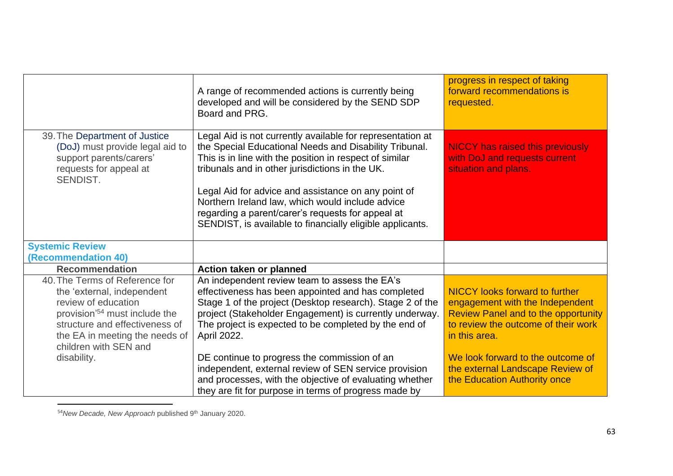|                                                                                                                                                                                                                                              | A range of recommended actions is currently being<br>developed and will be considered by the SEND SDP<br>Board and PRG.                                                                                                                                                                                                                                                                                                                                                                                                          | progress in respect of taking<br>forward recommendations is<br>requested.                                                                                                                                                                                                               |
|----------------------------------------------------------------------------------------------------------------------------------------------------------------------------------------------------------------------------------------------|----------------------------------------------------------------------------------------------------------------------------------------------------------------------------------------------------------------------------------------------------------------------------------------------------------------------------------------------------------------------------------------------------------------------------------------------------------------------------------------------------------------------------------|-----------------------------------------------------------------------------------------------------------------------------------------------------------------------------------------------------------------------------------------------------------------------------------------|
| 39. The Department of Justice<br>(DoJ) must provide legal aid to<br>support parents/carers'<br>requests for appeal at<br>SENDIST.                                                                                                            | Legal Aid is not currently available for representation at<br>the Special Educational Needs and Disability Tribunal.<br>This is in line with the position in respect of similar<br>tribunals and in other jurisdictions in the UK.<br>Legal Aid for advice and assistance on any point of<br>Northern Ireland law, which would include advice<br>regarding a parent/carer's requests for appeal at<br>SENDIST, is available to financially eligible applicants.                                                                  | <b>NICCY has raised this previously</b><br>with DoJ and requests current<br>situation and plans.                                                                                                                                                                                        |
| <b>Systemic Review</b><br>(Recommendation 40)                                                                                                                                                                                                |                                                                                                                                                                                                                                                                                                                                                                                                                                                                                                                                  |                                                                                                                                                                                                                                                                                         |
| <b>Recommendation</b>                                                                                                                                                                                                                        | Action taken or planned                                                                                                                                                                                                                                                                                                                                                                                                                                                                                                          |                                                                                                                                                                                                                                                                                         |
| 40. The Terms of Reference for<br>the 'external, independent<br>review of education<br>provision <sup>'54</sup> must include the<br>structure and effectiveness of<br>the EA in meeting the needs of<br>children with SEN and<br>disability. | An independent review team to assess the EA's<br>effectiveness has been appointed and has completed<br>Stage 1 of the project (Desktop research). Stage 2 of the<br>project (Stakeholder Engagement) is currently underway.<br>The project is expected to be completed by the end of<br>April 2022.<br>DE continue to progress the commission of an<br>independent, external review of SEN service provision<br>and processes, with the objective of evaluating whether<br>they are fit for purpose in terms of progress made by | <b>NICCY</b> looks forward to further<br>engagement with the Independent<br><b>Review Panel and to the opportunity</b><br>to review the outcome of their work<br>in this area.<br>We look forward to the outcome of<br>the external Landscape Review of<br>the Education Authority once |

<sup>54</sup>*New Decade, New Approach* published 9th January 2020.